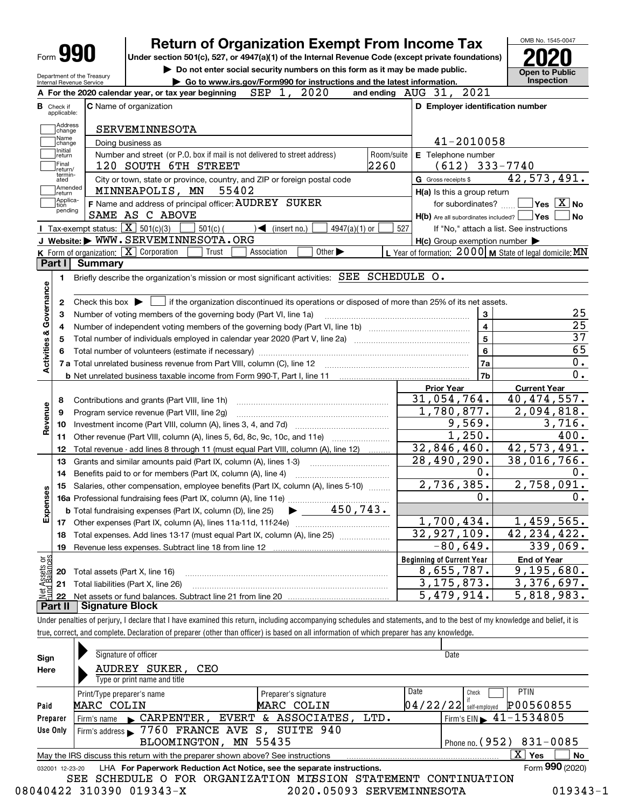|                           |                                  |                            | <b>Return of Organization Exempt From Income Tax</b>                                                                                                                                                                                                                                                                     |                                                                   | OMB No. 1545-0047                                    |
|---------------------------|----------------------------------|----------------------------|--------------------------------------------------------------------------------------------------------------------------------------------------------------------------------------------------------------------------------------------------------------------------------------------------------------------------|-------------------------------------------------------------------|------------------------------------------------------|
|                           | Form <b>990</b>                  |                            | Under section 501(c), 527, or 4947(a)(1) of the Internal Revenue Code (except private foundations)                                                                                                                                                                                                                       |                                                                   |                                                      |
|                           |                                  |                            | Do not enter social security numbers on this form as it may be made public.                                                                                                                                                                                                                                              |                                                                   | Open to Public                                       |
|                           | Internal Revenue Service         | Department of the Treasury | Go to www.irs.gov/Form990 for instructions and the latest information.                                                                                                                                                                                                                                                   | <b>Inspection</b>                                                 |                                                      |
|                           |                                  |                            | 2020<br>SEP 1,<br>A For the 2020 calendar year, or tax year beginning                                                                                                                                                                                                                                                    | and ending AUG 31, 2021                                           |                                                      |
|                           | <b>B</b> Check if<br>applicable: |                            | <b>C</b> Name of organization                                                                                                                                                                                                                                                                                            | D Employer identification number                                  |                                                      |
|                           | Address<br>change                |                            | SERVEMINNESOTA                                                                                                                                                                                                                                                                                                           |                                                                   |                                                      |
|                           | Name<br>change                   |                            | Doing business as                                                                                                                                                                                                                                                                                                        | 41-2010058                                                        |                                                      |
|                           | Initial<br>return                |                            | Number and street (or P.O. box if mail is not delivered to street address)<br>Room/suite                                                                                                                                                                                                                                 | E Telephone number                                                |                                                      |
|                           | Final<br>Ireturn/                |                            | 2260<br>120 SOUTH 6TH STREET                                                                                                                                                                                                                                                                                             | $(612)$ 333-7740                                                  |                                                      |
|                           | termin-<br>ated<br> Amended      |                            | City or town, state or province, country, and ZIP or foreign postal code                                                                                                                                                                                                                                                 | G Gross receipts \$                                               | 42,573,491.                                          |
|                           | ∣return                          |                            | 55402<br>MINNEAPOLIS, MN                                                                                                                                                                                                                                                                                                 | H(a) Is this a group return                                       |                                                      |
|                           | Applica-<br>tion<br>pending      |                            | F Name and address of principal officer: AUDREY SUKER                                                                                                                                                                                                                                                                    | for subordinates?                                                 | $\overline{\mathsf{Yes}}$ $\overline{\mathsf{X}}$ No |
|                           |                                  |                            | SAME AS C ABOVE                                                                                                                                                                                                                                                                                                          | $H(b)$ Are all subordinates included? $\Box$ Yes                  | ∣No                                                  |
|                           |                                  |                            | Tax-exempt status: $\boxed{\mathbf{X}}$ 501(c)(3)<br>$501(c)$ (<br>$\sqrt{\frac{1}{1}}$ (insert no.)<br>$4947(a)(1)$ or                                                                                                                                                                                                  | 527                                                               | If "No," attach a list. See instructions             |
|                           |                                  |                            | J Website: WWW.SERVEMINNESOTA.ORG                                                                                                                                                                                                                                                                                        | $H(c)$ Group exemption number $\blacktriangleright$               |                                                      |
|                           |                                  |                            | K Form of organization: X Corporation<br>Association<br>Other $\blacktriangleright$<br>Trust                                                                                                                                                                                                                             | L Year of formation: $2000 \text{ m}$ State of legal domicile: MN |                                                      |
|                           | Part I                           | <b>Summary</b>             |                                                                                                                                                                                                                                                                                                                          |                                                                   |                                                      |
|                           | 1.                               |                            | Briefly describe the organization's mission or most significant activities: SEE SCHEDULE O.                                                                                                                                                                                                                              |                                                                   |                                                      |
|                           |                                  |                            |                                                                                                                                                                                                                                                                                                                          |                                                                   |                                                      |
| Activities & Governance   | 2                                |                            | Check this box $\blacktriangleright$ $\Box$ if the organization discontinued its operations or disposed of more than 25% of its net assets.<br>Number of voting members of the governing body (Part VI, line 1a)                                                                                                         |                                                                   |                                                      |
|                           | З                                |                            | 3                                                                                                                                                                                                                                                                                                                        | 25                                                                |                                                      |
|                           | 4                                |                            | $\overline{\mathbf{4}}$                                                                                                                                                                                                                                                                                                  | $\overline{25}$                                                   |                                                      |
|                           | 5                                |                            |                                                                                                                                                                                                                                                                                                                          | $\overline{5}$                                                    | $\overline{37}$                                      |
|                           |                                  |                            |                                                                                                                                                                                                                                                                                                                          | $\bf 6$                                                           | 65                                                   |
|                           |                                  |                            | 7 a Total unrelated business revenue from Part VIII, column (C), line 12                                                                                                                                                                                                                                                 | 7a                                                                | 0.                                                   |
|                           |                                  |                            |                                                                                                                                                                                                                                                                                                                          | 7b                                                                | 0.                                                   |
|                           |                                  |                            |                                                                                                                                                                                                                                                                                                                          | <b>Prior Year</b><br>31,054,764.                                  | <b>Current Year</b>                                  |
|                           | 8                                |                            | Contributions and grants (Part VIII, line 1h)                                                                                                                                                                                                                                                                            |                                                                   | $\overline{40, 474, 557}$ .                          |
| Revenue                   | 9                                |                            | Program service revenue (Part VIII, line 2g)                                                                                                                                                                                                                                                                             | 1,780,877.                                                        | 2,094,818.                                           |
|                           | 10                               |                            |                                                                                                                                                                                                                                                                                                                          | 9,569.                                                            | 3,716.                                               |
|                           | 11                               |                            | Other revenue (Part VIII, column (A), lines 5, 6d, 8c, 9c, 10c, and 11e)                                                                                                                                                                                                                                                 | $\overline{1,250}$ .                                              | 400.                                                 |
|                           | 12                               |                            | Total revenue - add lines 8 through 11 (must equal Part VIII, column (A), line 12)                                                                                                                                                                                                                                       | 32,846,460.                                                       | 42,573,491.                                          |
|                           | 13                               |                            | Grants and similar amounts paid (Part IX, column (A), lines 1-3)                                                                                                                                                                                                                                                         | 28,490,290.                                                       | $\overline{38}$ , 016, 766.                          |
|                           | 14                               |                            | Benefits paid to or for members (Part IX, column (A), line 4)                                                                                                                                                                                                                                                            | $0$ .<br>2,736,385.                                               | 0.                                                   |
| w                         |                                  |                            | 15 Salaries, other compensation, employee benefits (Part IX, column (A), lines 5-10)                                                                                                                                                                                                                                     |                                                                   | $\overline{2,758,091}$ .                             |
|                           |                                  |                            |                                                                                                                                                                                                                                                                                                                          | 0.                                                                | 0.                                                   |
| Expense                   |                                  |                            | $\blacktriangleright$ 450,743.<br><b>b</b> Total fundraising expenses (Part IX, column (D), line 25)                                                                                                                                                                                                                     |                                                                   |                                                      |
|                           | 17                               |                            |                                                                                                                                                                                                                                                                                                                          | 1,700,434.                                                        | 1,459,565.                                           |
|                           | 18                               |                            | Total expenses. Add lines 13-17 (must equal Part IX, column (A), line 25) [                                                                                                                                                                                                                                              | 32,927,109.                                                       | 42, 234, 422.                                        |
|                           | 19                               |                            | Revenue less expenses. Subtract line 18 from line 12                                                                                                                                                                                                                                                                     | $-80,649.$                                                        | 339,069.                                             |
|                           |                                  |                            |                                                                                                                                                                                                                                                                                                                          | <b>Beginning of Current Year</b>                                  | <b>End of Year</b>                                   |
| t Assets or<br>d Balances | 20                               |                            | Total assets (Part X, line 16)                                                                                                                                                                                                                                                                                           | 8,655,787.                                                        | 9,195,680.                                           |
|                           | 21                               |                            | Total liabilities (Part X, line 26)                                                                                                                                                                                                                                                                                      | $\overline{3,175},873.$                                           | 3,376,697.                                           |
|                           | 22                               |                            |                                                                                                                                                                                                                                                                                                                          | $\overline{5,479}$ , 914.                                         | 5,818,983.                                           |
|                           | Part II                          | <b>Signature Block</b>     |                                                                                                                                                                                                                                                                                                                          |                                                                   |                                                      |
|                           |                                  |                            | Under penalties of perjury, I declare that I have examined this return, including accompanying schedules and statements, and to the best of my knowledge and belief, it is<br>true, correct, and complete. Declaration of preparer (other than officer) is based on all information of which preparer has any knowledge. |                                                                   |                                                      |
|                           |                                  |                            |                                                                                                                                                                                                                                                                                                                          |                                                                   |                                                      |
|                           |                                  |                            |                                                                                                                                                                                                                                                                                                                          |                                                                   |                                                      |

| Sign            | Signature of officer                                                                                                |                             | Date                                             |  |  |  |  |  |  |  |  |  |
|-----------------|---------------------------------------------------------------------------------------------------------------------|-----------------------------|--------------------------------------------------|--|--|--|--|--|--|--|--|--|
| Here            | AUDREY SUKER,<br>CEO                                                                                                |                             |                                                  |  |  |  |  |  |  |  |  |  |
|                 | Type or print name and title                                                                                        |                             |                                                  |  |  |  |  |  |  |  |  |  |
|                 | Print/Type preparer's name                                                                                          | Preparer's signature        | Date<br><b>PTIN</b><br>Check                     |  |  |  |  |  |  |  |  |  |
| Paid            | MARC COLIN                                                                                                          | MARC COLIN                  | P00560855<br>$04/22/22$ self-employed            |  |  |  |  |  |  |  |  |  |
| Preparer        | CARPENTER,<br>Firm's name<br>$\blacksquare$                                                                         | EVERT & ASSOCIATES,<br>LTD. | $^1$ Firm's EIN $\blacktriangleright$ 41-1534805 |  |  |  |  |  |  |  |  |  |
| Use Only        | 7760 FRANCE AVE S, SUITE 940<br>Firm's address $\blacktriangleright$                                                |                             |                                                  |  |  |  |  |  |  |  |  |  |
|                 | BLOOMINGTON, MN 55435                                                                                               |                             | Phone no. $(952)$ 831-0085                       |  |  |  |  |  |  |  |  |  |
|                 | $\mathbf{X}$<br><b>Yes</b><br>No<br>May the IRS discuss this return with the preparer shown above? See instructions |                             |                                                  |  |  |  |  |  |  |  |  |  |
| 032001 12-23-20 | LHA For Paperwork Reduction Act Notice, see the separate instructions.                                              |                             | Form 990 (2020)                                  |  |  |  |  |  |  |  |  |  |
|                 | SCHEDULE O FOR ORGANIZATION MISSION STATEMENT<br>SEE                                                                |                             | CONTINUATION                                     |  |  |  |  |  |  |  |  |  |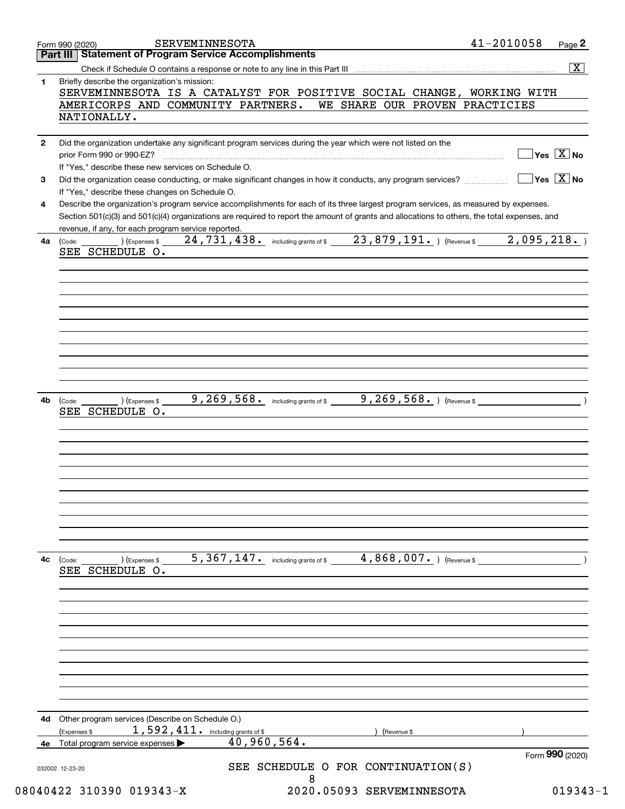|              | 41-2010058<br>SERVEMINNESOTA<br>Form 990 (2020)<br>Part III   Statement of Program Service Accomplishments                                                                                                                                                                           | Page 2                                 |
|--------------|--------------------------------------------------------------------------------------------------------------------------------------------------------------------------------------------------------------------------------------------------------------------------------------|----------------------------------------|
|              |                                                                                                                                                                                                                                                                                      | $\overline{\mathbf{X}}$                |
| 1            | Briefly describe the organization's mission:<br>SERVEMINNESOTA IS A CATALYST FOR POSITIVE SOCIAL CHANGE, WORKING WITH                                                                                                                                                                |                                        |
|              | AMERICORPS AND COMMUNITY PARTNERS.<br>WE SHARE OUR PROVEN PRACTICIES<br>NATIONALLY.                                                                                                                                                                                                  |                                        |
|              |                                                                                                                                                                                                                                                                                      |                                        |
| $\mathbf{2}$ | Did the organization undertake any significant program services during the year which were not listed on the                                                                                                                                                                         |                                        |
|              | prior Form 990 or 990-EZ?<br>If "Yes," describe these new services on Schedule O.                                                                                                                                                                                                    | $\sqrt{}$ Yes $\sqrt{X}$ No            |
| 3            | Did the organization cease conducting, or make significant changes in how it conducts, any program services?                                                                                                                                                                         | $\sqrt{}$ Yes $\sqrt{}$ X $\sqrt{}$ No |
|              | If "Yes," describe these changes on Schedule O.                                                                                                                                                                                                                                      |                                        |
| 4            | Describe the organization's program service accomplishments for each of its three largest program services, as measured by expenses.<br>Section 501(c)(3) and 501(c)(4) organizations are required to report the amount of grants and allocations to others, the total expenses, and |                                        |
|              | revenue, if any, for each program service reported.<br>24,731,438. including grants of \$23,879,191. ) (Revenue \$<br>2,095,218.                                                                                                                                                     |                                        |
| 4a           | (Expenses \$<br>(Code:<br>SEE SCHEDULE O.                                                                                                                                                                                                                                            |                                        |
|              |                                                                                                                                                                                                                                                                                      |                                        |
|              |                                                                                                                                                                                                                                                                                      |                                        |
|              |                                                                                                                                                                                                                                                                                      |                                        |
|              |                                                                                                                                                                                                                                                                                      |                                        |
|              |                                                                                                                                                                                                                                                                                      |                                        |
|              |                                                                                                                                                                                                                                                                                      |                                        |
| 4b           | 9, 269, 568. including grants of \$9, 269, 568. ) (Revenue \$<br>) (Expenses \$<br>(Code:                                                                                                                                                                                            |                                        |
|              | SEE SCHEDULE O.                                                                                                                                                                                                                                                                      |                                        |
|              |                                                                                                                                                                                                                                                                                      |                                        |
|              |                                                                                                                                                                                                                                                                                      |                                        |
|              |                                                                                                                                                                                                                                                                                      |                                        |
|              |                                                                                                                                                                                                                                                                                      |                                        |
|              |                                                                                                                                                                                                                                                                                      |                                        |
|              |                                                                                                                                                                                                                                                                                      |                                        |
|              |                                                                                                                                                                                                                                                                                      |                                        |
|              |                                                                                                                                                                                                                                                                                      |                                        |
|              |                                                                                                                                                                                                                                                                                      |                                        |
| 4c           | $4,868,007.$ ) (Revenue \$<br>5, 367, 147. including grants of \$<br>(Expenses \$<br>(Code:<br>SEE SCHEDULE O.                                                                                                                                                                       |                                        |
|              |                                                                                                                                                                                                                                                                                      |                                        |
|              |                                                                                                                                                                                                                                                                                      |                                        |
|              |                                                                                                                                                                                                                                                                                      |                                        |
|              |                                                                                                                                                                                                                                                                                      |                                        |
|              |                                                                                                                                                                                                                                                                                      |                                        |
|              |                                                                                                                                                                                                                                                                                      |                                        |
|              |                                                                                                                                                                                                                                                                                      |                                        |
|              |                                                                                                                                                                                                                                                                                      |                                        |
|              |                                                                                                                                                                                                                                                                                      |                                        |
| 4d           | Other program services (Describe on Schedule O.)<br>1,592,411. including grants of \$<br>(Expenses \$<br>(Revenue \$                                                                                                                                                                 |                                        |
| 4e           | 40,960,564.<br>Total program service expenses                                                                                                                                                                                                                                        |                                        |
|              | SEE SCHEDULE O FOR CONTINUATION(S)<br>032002 12-23-20                                                                                                                                                                                                                                | Form 990 (2020)                        |
|              | 8                                                                                                                                                                                                                                                                                    |                                        |
|              | 08040422 310390 019343-X<br>2020.05093 SERVEMINNESOTA                                                                                                                                                                                                                                | $019343 - 1$                           |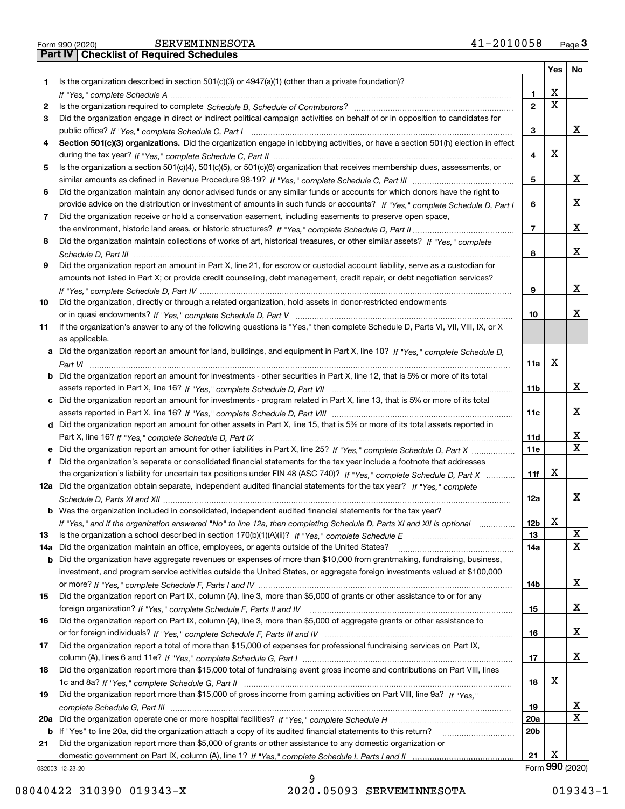|  | Form 990 (2020) |
|--|-----------------|
|  |                 |

|    |                                                                                                                                                                                                                                                                |                 | Yes         | No              |
|----|----------------------------------------------------------------------------------------------------------------------------------------------------------------------------------------------------------------------------------------------------------------|-----------------|-------------|-----------------|
| 1. | Is the organization described in section 501(c)(3) or 4947(a)(1) (other than a private foundation)?                                                                                                                                                            |                 |             |                 |
|    |                                                                                                                                                                                                                                                                | 1.              | х           |                 |
| 2  |                                                                                                                                                                                                                                                                | $\overline{2}$  | $\mathbf X$ |                 |
| 3  | Did the organization engage in direct or indirect political campaign activities on behalf of or in opposition to candidates for                                                                                                                                |                 |             |                 |
|    |                                                                                                                                                                                                                                                                | 3               |             | X               |
| 4  | Section 501(c)(3) organizations. Did the organization engage in lobbying activities, or have a section 501(h) election in effect                                                                                                                               |                 |             |                 |
|    |                                                                                                                                                                                                                                                                | 4               | х           |                 |
| 5  | Is the organization a section 501(c)(4), 501(c)(5), or 501(c)(6) organization that receives membership dues, assessments, or                                                                                                                                   |                 |             |                 |
|    |                                                                                                                                                                                                                                                                | 5               |             | x               |
| 6  | Did the organization maintain any donor advised funds or any similar funds or accounts for which donors have the right to                                                                                                                                      |                 |             |                 |
|    | provide advice on the distribution or investment of amounts in such funds or accounts? If "Yes," complete Schedule D, Part I                                                                                                                                   | 6               |             | x               |
| 7  | Did the organization receive or hold a conservation easement, including easements to preserve open space,                                                                                                                                                      |                 |             |                 |
|    |                                                                                                                                                                                                                                                                | 7               |             | x               |
| 8  | Did the organization maintain collections of works of art, historical treasures, or other similar assets? If "Yes," complete                                                                                                                                   |                 |             |                 |
|    |                                                                                                                                                                                                                                                                | 8               |             | x               |
| 9  | Did the organization report an amount in Part X, line 21, for escrow or custodial account liability, serve as a custodian for                                                                                                                                  |                 |             |                 |
|    | amounts not listed in Part X; or provide credit counseling, debt management, credit repair, or debt negotiation services?                                                                                                                                      |                 |             |                 |
|    |                                                                                                                                                                                                                                                                | 9               |             | x               |
| 10 | Did the organization, directly or through a related organization, hold assets in donor-restricted endowments                                                                                                                                                   |                 |             |                 |
|    |                                                                                                                                                                                                                                                                | 10              |             | х               |
| 11 | If the organization's answer to any of the following questions is "Yes," then complete Schedule D, Parts VI, VII, VIII, IX, or X                                                                                                                               |                 |             |                 |
|    | as applicable.                                                                                                                                                                                                                                                 |                 |             |                 |
|    | a Did the organization report an amount for land, buildings, and equipment in Part X, line 10? If "Yes," complete Schedule D,                                                                                                                                  |                 |             |                 |
|    |                                                                                                                                                                                                                                                                | 11a             | X           |                 |
|    | <b>b</b> Did the organization report an amount for investments - other securities in Part X, line 12, that is 5% or more of its total                                                                                                                          |                 |             |                 |
|    |                                                                                                                                                                                                                                                                | 11 <sub>b</sub> |             | x               |
|    | c Did the organization report an amount for investments - program related in Part X, line 13, that is 5% or more of its total                                                                                                                                  |                 |             |                 |
|    |                                                                                                                                                                                                                                                                | 11c             |             | x               |
|    | d Did the organization report an amount for other assets in Part X, line 15, that is 5% or more of its total assets reported in                                                                                                                                |                 |             |                 |
|    |                                                                                                                                                                                                                                                                | 11d             |             | X.              |
|    | e Did the organization report an amount for other liabilities in Part X, line 25? If "Yes," complete Schedule D, Part X                                                                                                                                        | <b>11e</b>      |             | $\mathbf{x}$    |
| f  | Did the organization's separate or consolidated financial statements for the tax year include a footnote that addresses                                                                                                                                        |                 |             |                 |
|    | the organization's liability for uncertain tax positions under FIN 48 (ASC 740)? If "Yes," complete Schedule D, Part X                                                                                                                                         | 11f             | х           |                 |
|    | 12a Did the organization obtain separate, independent audited financial statements for the tax year? If "Yes." complete                                                                                                                                        |                 |             |                 |
|    |                                                                                                                                                                                                                                                                | 12a             |             | x               |
|    | <b>b</b> Was the organization included in consolidated, independent audited financial statements for the tax year?                                                                                                                                             |                 |             |                 |
|    |                                                                                                                                                                                                                                                                | 12 <sub>b</sub> | Х           |                 |
|    | If "Yes," and if the organization answered "No" to line 12a, then completing Schedule D, Parts XI and XII is optional                                                                                                                                          |                 |             | X               |
| 13 | 14a Did the organization maintain an office, employees, or agents outside of the United States?                                                                                                                                                                | 13<br>14a       |             | X               |
|    |                                                                                                                                                                                                                                                                |                 |             |                 |
|    | <b>b</b> Did the organization have aggregate revenues or expenses of more than \$10,000 from grantmaking, fundraising, business,<br>investment, and program service activities outside the United States, or aggregate foreign investments valued at \$100,000 |                 |             |                 |
|    |                                                                                                                                                                                                                                                                |                 |             | X               |
|    |                                                                                                                                                                                                                                                                | 14b             |             |                 |
| 15 | Did the organization report on Part IX, column (A), line 3, more than \$5,000 of grants or other assistance to or for any                                                                                                                                      |                 |             | x               |
|    |                                                                                                                                                                                                                                                                | 15              |             |                 |
| 16 | Did the organization report on Part IX, column (A), line 3, more than \$5,000 of aggregate grants or other assistance to                                                                                                                                       |                 |             | x               |
|    |                                                                                                                                                                                                                                                                | 16              |             |                 |
| 17 | Did the organization report a total of more than \$15,000 of expenses for professional fundraising services on Part IX,                                                                                                                                        |                 |             |                 |
|    |                                                                                                                                                                                                                                                                | 17              |             | X               |
| 18 | Did the organization report more than \$15,000 total of fundraising event gross income and contributions on Part VIII, lines                                                                                                                                   |                 |             |                 |
|    |                                                                                                                                                                                                                                                                | 18              | х           |                 |
| 19 | Did the organization report more than \$15,000 of gross income from gaming activities on Part VIII, line 9a? If "Yes."                                                                                                                                         |                 |             |                 |
|    |                                                                                                                                                                                                                                                                | 19              |             | X.              |
|    |                                                                                                                                                                                                                                                                | 20a             |             | X               |
|    | b If "Yes" to line 20a, did the organization attach a copy of its audited financial statements to this return?                                                                                                                                                 | 20 <sub>b</sub> |             |                 |
| 21 | Did the organization report more than \$5,000 of grants or other assistance to any domestic organization or                                                                                                                                                    |                 |             |                 |
|    |                                                                                                                                                                                                                                                                | 21              | X           |                 |
|    | 032003 12-23-20                                                                                                                                                                                                                                                |                 |             | Form 990 (2020) |

032003 12-23-20

9 08040422 310390 019343-X 2020.05093 SERVEMINNESOTA 019343-1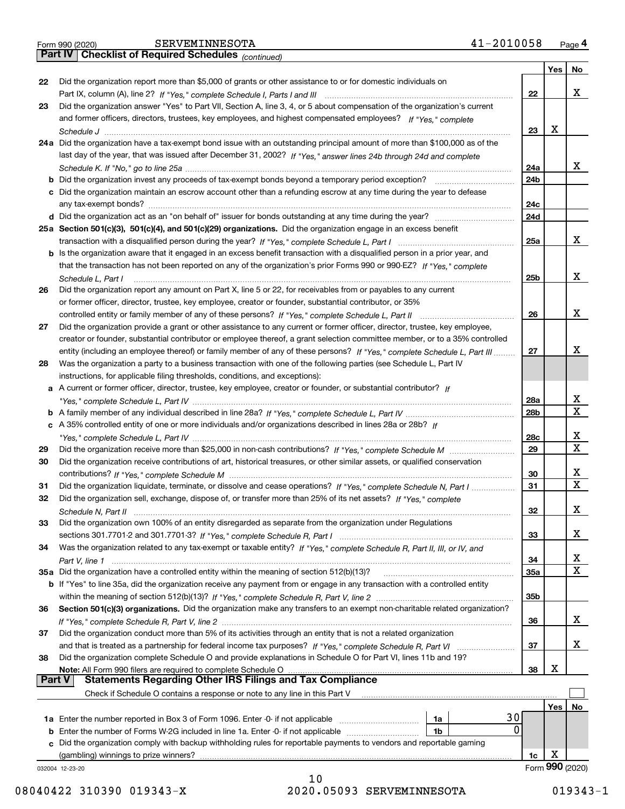|  | Form 990 (2020) |
|--|-----------------|
|  |                 |

*(continued)*

|               |                                                                                                                              |                 | Yes | <b>No</b>       |
|---------------|------------------------------------------------------------------------------------------------------------------------------|-----------------|-----|-----------------|
| 22            | Did the organization report more than \$5,000 of grants or other assistance to or for domestic individuals on                |                 |     |                 |
|               |                                                                                                                              | 22              |     | x               |
| 23            | Did the organization answer "Yes" to Part VII, Section A, line 3, 4, or 5 about compensation of the organization's current   |                 |     |                 |
|               | and former officers, directors, trustees, key employees, and highest compensated employees? If "Yes," complete               |                 | X   |                 |
|               | 24a Did the organization have a tax-exempt bond issue with an outstanding principal amount of more than \$100,000 as of the  | 23              |     |                 |
|               |                                                                                                                              |                 |     |                 |
|               | last day of the year, that was issued after December 31, 2002? If "Yes," answer lines 24b through 24d and complete           | 24a             |     | x               |
|               | b Did the organization invest any proceeds of tax-exempt bonds beyond a temporary period exception?                          | 24b             |     |                 |
|               | c Did the organization maintain an escrow account other than a refunding escrow at any time during the year to defease       |                 |     |                 |
|               |                                                                                                                              | 24c             |     |                 |
|               | d Did the organization act as an "on behalf of" issuer for bonds outstanding at any time during the year?                    | 24d             |     |                 |
|               | 25a Section 501(c)(3), 501(c)(4), and 501(c)(29) organizations. Did the organization engage in an excess benefit             |                 |     |                 |
|               |                                                                                                                              | 25a             |     | x               |
|               | b Is the organization aware that it engaged in an excess benefit transaction with a disqualified person in a prior year, and |                 |     |                 |
|               | that the transaction has not been reported on any of the organization's prior Forms 990 or 990-EZ? If "Yes," complete        |                 |     |                 |
|               | Schedule L. Part I                                                                                                           | 25 <sub>b</sub> |     | x               |
| 26            | Did the organization report any amount on Part X, line 5 or 22, for receivables from or payables to any current              |                 |     |                 |
|               | or former officer, director, trustee, key employee, creator or founder, substantial contributor, or 35%                      |                 |     |                 |
|               |                                                                                                                              | 26              |     | x               |
| 27            | Did the organization provide a grant or other assistance to any current or former officer, director, trustee, key employee,  |                 |     |                 |
|               | creator or founder, substantial contributor or employee thereof, a grant selection committee member, or to a 35% controlled  |                 |     |                 |
|               | entity (including an employee thereof) or family member of any of these persons? If "Yes," complete Schedule L, Part III     | 27              |     | x               |
| 28            | Was the organization a party to a business transaction with one of the following parties (see Schedule L, Part IV            |                 |     |                 |
|               | instructions, for applicable filing thresholds, conditions, and exceptions):                                                 |                 |     |                 |
|               | a A current or former officer, director, trustee, key employee, creator or founder, or substantial contributor? If           | 28a             |     | х               |
|               |                                                                                                                              | 28 <sub>b</sub> |     | $\mathbf X$     |
|               | c A 35% controlled entity of one or more individuals and/or organizations described in lines 28a or 28b? If                  |                 |     |                 |
|               |                                                                                                                              | 28c             |     | x               |
| 29            |                                                                                                                              | 29              |     | $\mathbf X$     |
| 30            | Did the organization receive contributions of art, historical treasures, or other similar assets, or qualified conservation  |                 |     |                 |
|               |                                                                                                                              | 30              |     | x               |
| 31            | Did the organization liquidate, terminate, or dissolve and cease operations? If "Yes," complete Schedule N, Part I           | 31              |     | $\mathbf X$     |
| 32            | Did the organization sell, exchange, dispose of, or transfer more than 25% of its net assets? If "Yes," complete             |                 |     |                 |
|               |                                                                                                                              | 32              |     | х               |
| 33            | Did the organization own 100% of an entity disregarded as separate from the organization under Regulations                   |                 |     |                 |
|               |                                                                                                                              | 33              |     | х               |
| 34            | Was the organization related to any tax-exempt or taxable entity? If "Yes," complete Schedule R, Part II, III, or IV, and    |                 |     |                 |
|               |                                                                                                                              | 34              |     | х               |
|               | 35a Did the organization have a controlled entity within the meaning of section 512(b)(13)?                                  | 35a             |     | $\mathbf X$     |
|               | b If "Yes" to line 35a, did the organization receive any payment from or engage in any transaction with a controlled entity  | 35 <sub>b</sub> |     |                 |
| 36            | Section 501(c)(3) organizations. Did the organization make any transfers to an exempt non-charitable related organization?   |                 |     |                 |
|               |                                                                                                                              | 36              |     | x               |
| 37            | Did the organization conduct more than 5% of its activities through an entity that is not a related organization             |                 |     |                 |
|               |                                                                                                                              | 37              |     | x               |
| 38            | Did the organization complete Schedule O and provide explanations in Schedule O for Part VI, lines 11b and 19?               |                 |     |                 |
|               | Note: All Form 990 filers are required to complete Schedule O                                                                | 38              | X   |                 |
| <b>Part V</b> | <b>Statements Regarding Other IRS Filings and Tax Compliance</b>                                                             |                 |     |                 |
|               | Check if Schedule O contains a response or note to any line in this Part V                                                   |                 |     |                 |
|               |                                                                                                                              |                 | Yes | No              |
|               | 30<br>1a                                                                                                                     |                 |     |                 |
|               | 0<br><b>b</b> Enter the number of Forms W-2G included in line 1a. Enter -0- if not applicable<br>1b                          |                 |     |                 |
| c             | Did the organization comply with backup withholding rules for reportable payments to vendors and reportable gaming           |                 |     |                 |
|               | (gambling) winnings to prize winners?                                                                                        | 1c              | х   | Form 990 (2020) |
|               | 032004 12-23-20                                                                                                              |                 |     |                 |

10 08040422 310390 019343-X 2020.05093 SERVEMINNESOTA 019343-1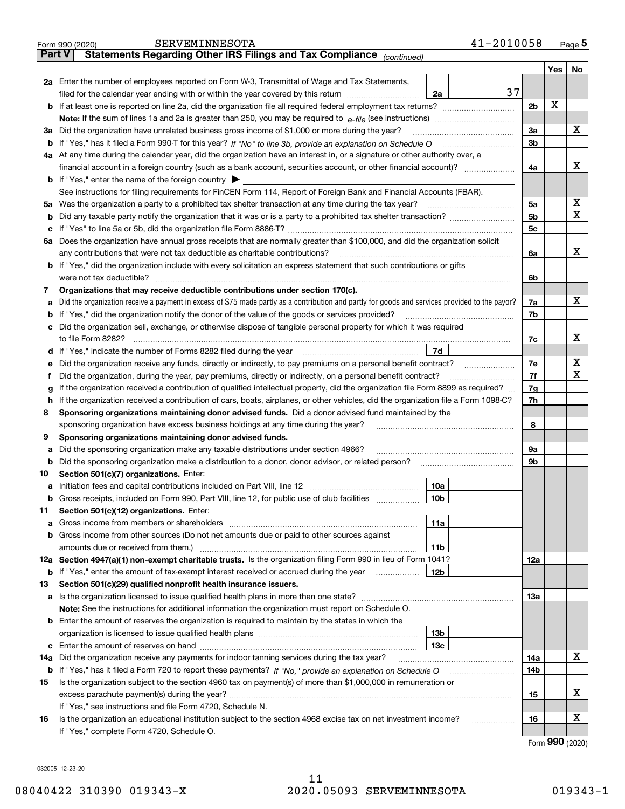|               | 41-2010058<br>SERVEMINNESOTA<br>Form 990 (2020)                                                                                                                               |                |         | <u>Page</u> 5 |  |  |  |  |  |  |  |
|---------------|-------------------------------------------------------------------------------------------------------------------------------------------------------------------------------|----------------|---------|---------------|--|--|--|--|--|--|--|
| <b>Part V</b> | Statements Regarding Other IRS Filings and Tax Compliance (continued)                                                                                                         |                |         |               |  |  |  |  |  |  |  |
|               |                                                                                                                                                                               |                | Yes $ $ | No            |  |  |  |  |  |  |  |
|               | 2a Enter the number of employees reported on Form W-3, Transmittal of Wage and Tax Statements,                                                                                |                |         |               |  |  |  |  |  |  |  |
|               | 37<br>filed for the calendar year ending with or within the year covered by this return <i>manumumumum</i><br>2a                                                              |                |         |               |  |  |  |  |  |  |  |
|               |                                                                                                                                                                               |                |         |               |  |  |  |  |  |  |  |
|               |                                                                                                                                                                               |                |         |               |  |  |  |  |  |  |  |
|               | 3a Did the organization have unrelated business gross income of \$1,000 or more during the year?                                                                              |                |         |               |  |  |  |  |  |  |  |
|               |                                                                                                                                                                               |                |         |               |  |  |  |  |  |  |  |
|               | 4a At any time during the calendar year, did the organization have an interest in, or a signature or other authority over, a                                                  |                |         |               |  |  |  |  |  |  |  |
|               |                                                                                                                                                                               |                |         |               |  |  |  |  |  |  |  |
|               | <b>b</b> If "Yes," enter the name of the foreign country $\blacktriangleright$                                                                                                |                |         |               |  |  |  |  |  |  |  |
|               | See instructions for filing requirements for FinCEN Form 114, Report of Foreign Bank and Financial Accounts (FBAR).                                                           |                |         |               |  |  |  |  |  |  |  |
|               | 5a Was the organization a party to a prohibited tax shelter transaction at any time during the tax year?                                                                      | 5a             |         | X             |  |  |  |  |  |  |  |
| b             |                                                                                                                                                                               | 5 <sub>b</sub> |         | х             |  |  |  |  |  |  |  |
|               |                                                                                                                                                                               | 5c             |         |               |  |  |  |  |  |  |  |
|               | 6a Does the organization have annual gross receipts that are normally greater than \$100,000, and did the organization solicit                                                |                |         |               |  |  |  |  |  |  |  |
|               |                                                                                                                                                                               | 6a             |         | х             |  |  |  |  |  |  |  |
|               | <b>b</b> If "Yes," did the organization include with every solicitation an express statement that such contributions or gifts                                                 |                |         |               |  |  |  |  |  |  |  |
|               | were not tax deductible?                                                                                                                                                      | 6b             |         |               |  |  |  |  |  |  |  |
| 7             | Organizations that may receive deductible contributions under section 170(c).                                                                                                 |                |         |               |  |  |  |  |  |  |  |
| а             | Did the organization receive a payment in excess of \$75 made partly as a contribution and partly for goods and services provided to the payor?                               | 7a             |         | х             |  |  |  |  |  |  |  |
|               | <b>b</b> If "Yes," did the organization notify the donor of the value of the goods or services provided?                                                                      | 7b             |         |               |  |  |  |  |  |  |  |
|               | c Did the organization sell, exchange, or otherwise dispose of tangible personal property for which it was required                                                           |                |         |               |  |  |  |  |  |  |  |
|               |                                                                                                                                                                               | 7с             |         | х             |  |  |  |  |  |  |  |
|               | 7d                                                                                                                                                                            |                |         |               |  |  |  |  |  |  |  |
| е             |                                                                                                                                                                               | 7e             |         | х             |  |  |  |  |  |  |  |
| f             | Did the organization, during the year, pay premiums, directly or indirectly, on a personal benefit contract?                                                                  | 7f             |         | x             |  |  |  |  |  |  |  |
| g             | If the organization received a contribution of qualified intellectual property, did the organization file Form 8899 as required?                                              |                |         |               |  |  |  |  |  |  |  |
| h.            | If the organization received a contribution of cars, boats, airplanes, or other vehicles, did the organization file a Form 1098-C?                                            |                |         |               |  |  |  |  |  |  |  |
| 8             | Sponsoring organizations maintaining donor advised funds. Did a donor advised fund maintained by the                                                                          |                |         |               |  |  |  |  |  |  |  |
|               | sponsoring organization have excess business holdings at any time during the year?                                                                                            | 8              |         |               |  |  |  |  |  |  |  |
| 9             | Sponsoring organizations maintaining donor advised funds.                                                                                                                     |                |         |               |  |  |  |  |  |  |  |
| а             | Did the sponsoring organization make any taxable distributions under section 4966?                                                                                            | 9а             |         |               |  |  |  |  |  |  |  |
|               | <b>b</b> Did the sponsoring organization make a distribution to a donor, donor advisor, or related person?                                                                    | 9b             |         |               |  |  |  |  |  |  |  |
| 10            | Section 501(c)(7) organizations. Enter:                                                                                                                                       |                |         |               |  |  |  |  |  |  |  |
|               | 10a                                                                                                                                                                           |                |         |               |  |  |  |  |  |  |  |
|               | 10b <br>Gross receipts, included on Form 990, Part VIII, line 12, for public use of club facilities                                                                           |                |         |               |  |  |  |  |  |  |  |
| 11            | Section 501(c)(12) organizations. Enter:                                                                                                                                      |                |         |               |  |  |  |  |  |  |  |
|               | <b>a</b> Gross income from members or shareholders<br>11a                                                                                                                     |                |         |               |  |  |  |  |  |  |  |
|               | b Gross income from other sources (Do not net amounts due or paid to other sources against                                                                                    |                |         |               |  |  |  |  |  |  |  |
|               | 11b                                                                                                                                                                           |                |         |               |  |  |  |  |  |  |  |
|               | 12a Section 4947(a)(1) non-exempt charitable trusts. Is the organization filing Form 990 in lieu of Form 1041?                                                                | 12a            |         |               |  |  |  |  |  |  |  |
|               | 12b<br><b>b</b> If "Yes," enter the amount of tax-exempt interest received or accrued during the year <i>manument</i>                                                         |                |         |               |  |  |  |  |  |  |  |
| 13            | Section 501(c)(29) qualified nonprofit health insurance issuers.                                                                                                              |                |         |               |  |  |  |  |  |  |  |
|               | a Is the organization licensed to issue qualified health plans in more than one state?                                                                                        | 13а            |         |               |  |  |  |  |  |  |  |
|               | Note: See the instructions for additional information the organization must report on Schedule O.                                                                             |                |         |               |  |  |  |  |  |  |  |
|               | <b>b</b> Enter the amount of reserves the organization is required to maintain by the states in which the                                                                     |                |         |               |  |  |  |  |  |  |  |
|               | 13b                                                                                                                                                                           |                |         |               |  |  |  |  |  |  |  |
|               | 13с                                                                                                                                                                           |                |         | x             |  |  |  |  |  |  |  |
| 14a           | Did the organization receive any payments for indoor tanning services during the tax year?                                                                                    | 14a            |         |               |  |  |  |  |  |  |  |
|               | <b>b</b> If "Yes," has it filed a Form 720 to report these payments? If "No," provide an explanation on Schedule O                                                            | 14b            |         |               |  |  |  |  |  |  |  |
| 15            | Is the organization subject to the section 4960 tax on payment(s) of more than \$1,000,000 in remuneration or                                                                 |                |         | x             |  |  |  |  |  |  |  |
|               |                                                                                                                                                                               | 15             |         |               |  |  |  |  |  |  |  |
| 16            | If "Yes," see instructions and file Form 4720, Schedule N.<br>Is the organization an educational institution subject to the section 4968 excise tax on net investment income? | 16             |         | х             |  |  |  |  |  |  |  |
|               | If "Yes," complete Form 4720, Schedule O.                                                                                                                                     |                |         |               |  |  |  |  |  |  |  |
|               |                                                                                                                                                                               |                |         |               |  |  |  |  |  |  |  |

Form (2020) **990**

032005 12-23-20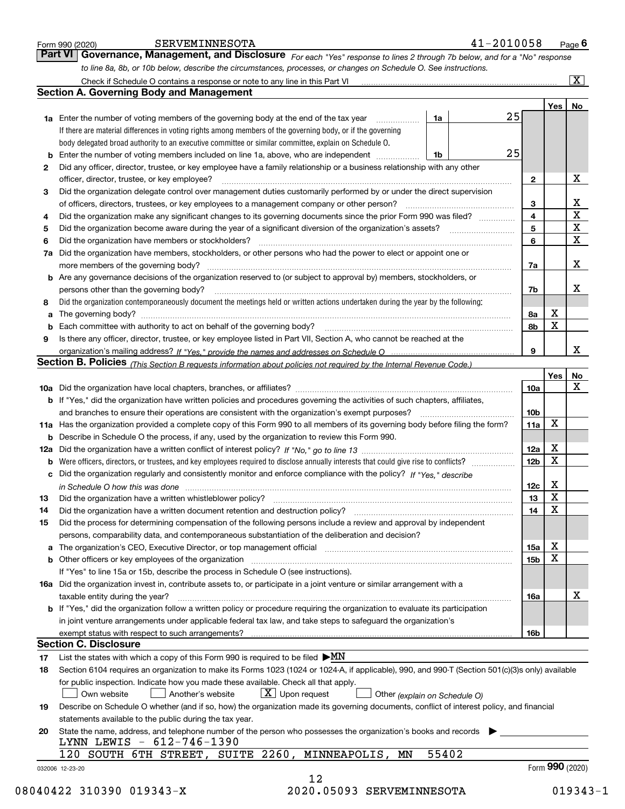| b<br>2<br>3<br>4<br>5<br>6<br>7a | Check if Schedule O contains a response or note to any line in this Part VI<br><b>Section A. Governing Body and Management</b><br>1a Enter the number of voting members of the governing body at the end of the tax year<br>1a<br>If there are material differences in voting rights among members of the governing body, or if the governing<br>body delegated broad authority to an executive committee or similar committee, explain on Schedule O.<br>Enter the number of voting members included on line 1a, above, who are independent<br>1b<br>Did any officer, director, trustee, or key employee have a family relationship or a business relationship with any other<br>officer, director, trustee, or key employee?<br>Did the organization delegate control over management duties customarily performed by or under the direct supervision<br>of officers, directors, trustees, or key employees to a management company or other person?<br>Did the organization make any significant changes to its governing documents since the prior Form 990 was filed?<br>Did the organization have members or stockholders?<br>Did the organization have members, stockholders, or other persons who had the power to elect or appoint one or | 25<br>25<br>$\mathbf{2}$<br>3<br>$\overline{4}$<br>5<br>6 | Yes             | $\overline{\mathbf{X}}$<br>No<br>X |
|----------------------------------|----------------------------------------------------------------------------------------------------------------------------------------------------------------------------------------------------------------------------------------------------------------------------------------------------------------------------------------------------------------------------------------------------------------------------------------------------------------------------------------------------------------------------------------------------------------------------------------------------------------------------------------------------------------------------------------------------------------------------------------------------------------------------------------------------------------------------------------------------------------------------------------------------------------------------------------------------------------------------------------------------------------------------------------------------------------------------------------------------------------------------------------------------------------------------------------------------------------------------------------------------|-----------------------------------------------------------|-----------------|------------------------------------|
|                                  |                                                                                                                                                                                                                                                                                                                                                                                                                                                                                                                                                                                                                                                                                                                                                                                                                                                                                                                                                                                                                                                                                                                                                                                                                                                    |                                                           |                 |                                    |
|                                  |                                                                                                                                                                                                                                                                                                                                                                                                                                                                                                                                                                                                                                                                                                                                                                                                                                                                                                                                                                                                                                                                                                                                                                                                                                                    |                                                           |                 |                                    |
|                                  |                                                                                                                                                                                                                                                                                                                                                                                                                                                                                                                                                                                                                                                                                                                                                                                                                                                                                                                                                                                                                                                                                                                                                                                                                                                    |                                                           |                 |                                    |
|                                  |                                                                                                                                                                                                                                                                                                                                                                                                                                                                                                                                                                                                                                                                                                                                                                                                                                                                                                                                                                                                                                                                                                                                                                                                                                                    |                                                           |                 |                                    |
|                                  |                                                                                                                                                                                                                                                                                                                                                                                                                                                                                                                                                                                                                                                                                                                                                                                                                                                                                                                                                                                                                                                                                                                                                                                                                                                    |                                                           |                 |                                    |
|                                  |                                                                                                                                                                                                                                                                                                                                                                                                                                                                                                                                                                                                                                                                                                                                                                                                                                                                                                                                                                                                                                                                                                                                                                                                                                                    |                                                           |                 |                                    |
|                                  |                                                                                                                                                                                                                                                                                                                                                                                                                                                                                                                                                                                                                                                                                                                                                                                                                                                                                                                                                                                                                                                                                                                                                                                                                                                    |                                                           |                 |                                    |
|                                  |                                                                                                                                                                                                                                                                                                                                                                                                                                                                                                                                                                                                                                                                                                                                                                                                                                                                                                                                                                                                                                                                                                                                                                                                                                                    |                                                           |                 |                                    |
|                                  |                                                                                                                                                                                                                                                                                                                                                                                                                                                                                                                                                                                                                                                                                                                                                                                                                                                                                                                                                                                                                                                                                                                                                                                                                                                    |                                                           |                 |                                    |
|                                  |                                                                                                                                                                                                                                                                                                                                                                                                                                                                                                                                                                                                                                                                                                                                                                                                                                                                                                                                                                                                                                                                                                                                                                                                                                                    |                                                           |                 |                                    |
|                                  |                                                                                                                                                                                                                                                                                                                                                                                                                                                                                                                                                                                                                                                                                                                                                                                                                                                                                                                                                                                                                                                                                                                                                                                                                                                    |                                                           |                 | $\frac{X}{X}}{X}$                  |
|                                  |                                                                                                                                                                                                                                                                                                                                                                                                                                                                                                                                                                                                                                                                                                                                                                                                                                                                                                                                                                                                                                                                                                                                                                                                                                                    |                                                           |                 |                                    |
|                                  |                                                                                                                                                                                                                                                                                                                                                                                                                                                                                                                                                                                                                                                                                                                                                                                                                                                                                                                                                                                                                                                                                                                                                                                                                                                    |                                                           |                 |                                    |
|                                  |                                                                                                                                                                                                                                                                                                                                                                                                                                                                                                                                                                                                                                                                                                                                                                                                                                                                                                                                                                                                                                                                                                                                                                                                                                                    |                                                           |                 |                                    |
|                                  |                                                                                                                                                                                                                                                                                                                                                                                                                                                                                                                                                                                                                                                                                                                                                                                                                                                                                                                                                                                                                                                                                                                                                                                                                                                    | 7a                                                        |                 | x                                  |
|                                  | <b>b</b> Are any governance decisions of the organization reserved to (or subject to approval by) members, stockholders, or                                                                                                                                                                                                                                                                                                                                                                                                                                                                                                                                                                                                                                                                                                                                                                                                                                                                                                                                                                                                                                                                                                                        |                                                           |                 |                                    |
|                                  | persons other than the governing body?                                                                                                                                                                                                                                                                                                                                                                                                                                                                                                                                                                                                                                                                                                                                                                                                                                                                                                                                                                                                                                                                                                                                                                                                             | 7b                                                        |                 | х                                  |
| 8                                | Did the organization contemporaneously document the meetings held or written actions undertaken during the year by the following:                                                                                                                                                                                                                                                                                                                                                                                                                                                                                                                                                                                                                                                                                                                                                                                                                                                                                                                                                                                                                                                                                                                  |                                                           |                 |                                    |
| a                                |                                                                                                                                                                                                                                                                                                                                                                                                                                                                                                                                                                                                                                                                                                                                                                                                                                                                                                                                                                                                                                                                                                                                                                                                                                                    | 8a                                                        | x               |                                    |
| b                                | Each committee with authority to act on behalf of the governing body? [11] manufactures manufactures with authority to act on behalf of the governing body? [11] manufactures manufactures with authority of the state with an                                                                                                                                                                                                                                                                                                                                                                                                                                                                                                                                                                                                                                                                                                                                                                                                                                                                                                                                                                                                                     | 8b                                                        | $\mathbf X$     |                                    |
| 9                                | Is there any officer, director, trustee, or key employee listed in Part VII, Section A, who cannot be reached at the                                                                                                                                                                                                                                                                                                                                                                                                                                                                                                                                                                                                                                                                                                                                                                                                                                                                                                                                                                                                                                                                                                                               |                                                           |                 |                                    |
|                                  |                                                                                                                                                                                                                                                                                                                                                                                                                                                                                                                                                                                                                                                                                                                                                                                                                                                                                                                                                                                                                                                                                                                                                                                                                                                    | 9                                                         |                 | $\mathbf X$                        |
|                                  | Section B. Policies <i>(This Section B requests information about policies not required by the Internal Revenue Code.)</i>                                                                                                                                                                                                                                                                                                                                                                                                                                                                                                                                                                                                                                                                                                                                                                                                                                                                                                                                                                                                                                                                                                                         |                                                           |                 |                                    |
|                                  |                                                                                                                                                                                                                                                                                                                                                                                                                                                                                                                                                                                                                                                                                                                                                                                                                                                                                                                                                                                                                                                                                                                                                                                                                                                    |                                                           | Yes             | <u>No</u>                          |
|                                  |                                                                                                                                                                                                                                                                                                                                                                                                                                                                                                                                                                                                                                                                                                                                                                                                                                                                                                                                                                                                                                                                                                                                                                                                                                                    | <b>10a</b>                                                |                 | X                                  |
|                                  | b If "Yes," did the organization have written policies and procedures governing the activities of such chapters, affiliates,                                                                                                                                                                                                                                                                                                                                                                                                                                                                                                                                                                                                                                                                                                                                                                                                                                                                                                                                                                                                                                                                                                                       |                                                           |                 |                                    |
|                                  | and branches to ensure their operations are consistent with the organization's exempt purposes?                                                                                                                                                                                                                                                                                                                                                                                                                                                                                                                                                                                                                                                                                                                                                                                                                                                                                                                                                                                                                                                                                                                                                    | 10 <sub>b</sub>                                           |                 |                                    |
|                                  | 11a Has the organization provided a complete copy of this Form 990 to all members of its governing body before filing the form?                                                                                                                                                                                                                                                                                                                                                                                                                                                                                                                                                                                                                                                                                                                                                                                                                                                                                                                                                                                                                                                                                                                    | 11a                                                       | X               |                                    |
| b                                | Describe in Schedule O the process, if any, used by the organization to review this Form 990.                                                                                                                                                                                                                                                                                                                                                                                                                                                                                                                                                                                                                                                                                                                                                                                                                                                                                                                                                                                                                                                                                                                                                      |                                                           |                 |                                    |
| 12a                              |                                                                                                                                                                                                                                                                                                                                                                                                                                                                                                                                                                                                                                                                                                                                                                                                                                                                                                                                                                                                                                                                                                                                                                                                                                                    | 12a                                                       | Х               |                                    |
| b                                | Were officers, directors, or trustees, and key employees required to disclose annually interests that could give rise to conflicts?                                                                                                                                                                                                                                                                                                                                                                                                                                                                                                                                                                                                                                                                                                                                                                                                                                                                                                                                                                                                                                                                                                                | 12 <sub>b</sub>                                           | х               |                                    |
|                                  | Did the organization regularly and consistently monitor and enforce compliance with the policy? If "Yes," describe                                                                                                                                                                                                                                                                                                                                                                                                                                                                                                                                                                                                                                                                                                                                                                                                                                                                                                                                                                                                                                                                                                                                 |                                                           |                 |                                    |
|                                  | in Schedule O how this was done measurements are all the set of the set of the set of the set of the set of th                                                                                                                                                                                                                                                                                                                                                                                                                                                                                                                                                                                                                                                                                                                                                                                                                                                                                                                                                                                                                                                                                                                                     | 12c                                                       | x               |                                    |
|                                  |                                                                                                                                                                                                                                                                                                                                                                                                                                                                                                                                                                                                                                                                                                                                                                                                                                                                                                                                                                                                                                                                                                                                                                                                                                                    | 13                                                        | X               |                                    |
| 14                               | Did the organization have a written document retention and destruction policy? manufactured and the organization have a written document retention and destruction policy?                                                                                                                                                                                                                                                                                                                                                                                                                                                                                                                                                                                                                                                                                                                                                                                                                                                                                                                                                                                                                                                                         | 14                                                        | X               |                                    |
| 15                               | Did the process for determining compensation of the following persons include a review and approval by independent                                                                                                                                                                                                                                                                                                                                                                                                                                                                                                                                                                                                                                                                                                                                                                                                                                                                                                                                                                                                                                                                                                                                 |                                                           |                 |                                    |
|                                  | persons, comparability data, and contemporaneous substantiation of the deliberation and decision?                                                                                                                                                                                                                                                                                                                                                                                                                                                                                                                                                                                                                                                                                                                                                                                                                                                                                                                                                                                                                                                                                                                                                  |                                                           |                 |                                    |
|                                  | a The organization's CEO, Executive Director, or top management official manufaction content content content of                                                                                                                                                                                                                                                                                                                                                                                                                                                                                                                                                                                                                                                                                                                                                                                                                                                                                                                                                                                                                                                                                                                                    | 15a                                                       | х               |                                    |
|                                  |                                                                                                                                                                                                                                                                                                                                                                                                                                                                                                                                                                                                                                                                                                                                                                                                                                                                                                                                                                                                                                                                                                                                                                                                                                                    | 15 <sub>b</sub>                                           | X               |                                    |
|                                  | If "Yes" to line 15a or 15b, describe the process in Schedule O (see instructions).                                                                                                                                                                                                                                                                                                                                                                                                                                                                                                                                                                                                                                                                                                                                                                                                                                                                                                                                                                                                                                                                                                                                                                |                                                           |                 |                                    |
|                                  | 16a Did the organization invest in, contribute assets to, or participate in a joint venture or similar arrangement with a                                                                                                                                                                                                                                                                                                                                                                                                                                                                                                                                                                                                                                                                                                                                                                                                                                                                                                                                                                                                                                                                                                                          |                                                           |                 |                                    |
|                                  | taxable entity during the year?                                                                                                                                                                                                                                                                                                                                                                                                                                                                                                                                                                                                                                                                                                                                                                                                                                                                                                                                                                                                                                                                                                                                                                                                                    | 16a                                                       |                 | х                                  |
|                                  | b If "Yes," did the organization follow a written policy or procedure requiring the organization to evaluate its participation                                                                                                                                                                                                                                                                                                                                                                                                                                                                                                                                                                                                                                                                                                                                                                                                                                                                                                                                                                                                                                                                                                                     |                                                           |                 |                                    |
|                                  | in joint venture arrangements under applicable federal tax law, and take steps to safeguard the organization's                                                                                                                                                                                                                                                                                                                                                                                                                                                                                                                                                                                                                                                                                                                                                                                                                                                                                                                                                                                                                                                                                                                                     |                                                           |                 |                                    |
|                                  | exempt status with respect to such arrangements?                                                                                                                                                                                                                                                                                                                                                                                                                                                                                                                                                                                                                                                                                                                                                                                                                                                                                                                                                                                                                                                                                                                                                                                                   | 16b                                                       |                 |                                    |
|                                  | <b>Section C. Disclosure</b>                                                                                                                                                                                                                                                                                                                                                                                                                                                                                                                                                                                                                                                                                                                                                                                                                                                                                                                                                                                                                                                                                                                                                                                                                       |                                                           |                 |                                    |
| 17                               | List the states with which a copy of this Form 990 is required to be filed $\blacktriangleright MN$                                                                                                                                                                                                                                                                                                                                                                                                                                                                                                                                                                                                                                                                                                                                                                                                                                                                                                                                                                                                                                                                                                                                                |                                                           |                 |                                    |
| 18                               | Section 6104 requires an organization to make its Forms 1023 (1024 or 1024-A, if applicable), 990, and 990-T (Section 501(c)(3)s only) available                                                                                                                                                                                                                                                                                                                                                                                                                                                                                                                                                                                                                                                                                                                                                                                                                                                                                                                                                                                                                                                                                                   |                                                           |                 |                                    |
|                                  | for public inspection. Indicate how you made these available. Check all that apply.                                                                                                                                                                                                                                                                                                                                                                                                                                                                                                                                                                                                                                                                                                                                                                                                                                                                                                                                                                                                                                                                                                                                                                |                                                           |                 |                                    |
|                                  | $X$ Upon request<br>Own website<br>Another's website<br>Other (explain on Schedule O)                                                                                                                                                                                                                                                                                                                                                                                                                                                                                                                                                                                                                                                                                                                                                                                                                                                                                                                                                                                                                                                                                                                                                              |                                                           |                 |                                    |
| 19                               | Describe on Schedule O whether (and if so, how) the organization made its governing documents, conflict of interest policy, and financial                                                                                                                                                                                                                                                                                                                                                                                                                                                                                                                                                                                                                                                                                                                                                                                                                                                                                                                                                                                                                                                                                                          |                                                           |                 |                                    |
|                                  | statements available to the public during the tax year.                                                                                                                                                                                                                                                                                                                                                                                                                                                                                                                                                                                                                                                                                                                                                                                                                                                                                                                                                                                                                                                                                                                                                                                            |                                                           |                 |                                    |
| 20                               | State the name, address, and telephone number of the person who possesses the organization's books and records                                                                                                                                                                                                                                                                                                                                                                                                                                                                                                                                                                                                                                                                                                                                                                                                                                                                                                                                                                                                                                                                                                                                     |                                                           |                 |                                    |
|                                  | LYNN LEWIS - 612-746-1390                                                                                                                                                                                                                                                                                                                                                                                                                                                                                                                                                                                                                                                                                                                                                                                                                                                                                                                                                                                                                                                                                                                                                                                                                          |                                                           |                 |                                    |
| 032006 12-23-20                  | 120 SOUTH 6TH STREET, SUITE 2260, MINNEAPOLIS, MN<br>55402                                                                                                                                                                                                                                                                                                                                                                                                                                                                                                                                                                                                                                                                                                                                                                                                                                                                                                                                                                                                                                                                                                                                                                                         |                                                           | Form 990 (2020) |                                    |

SERVEMINNESOTA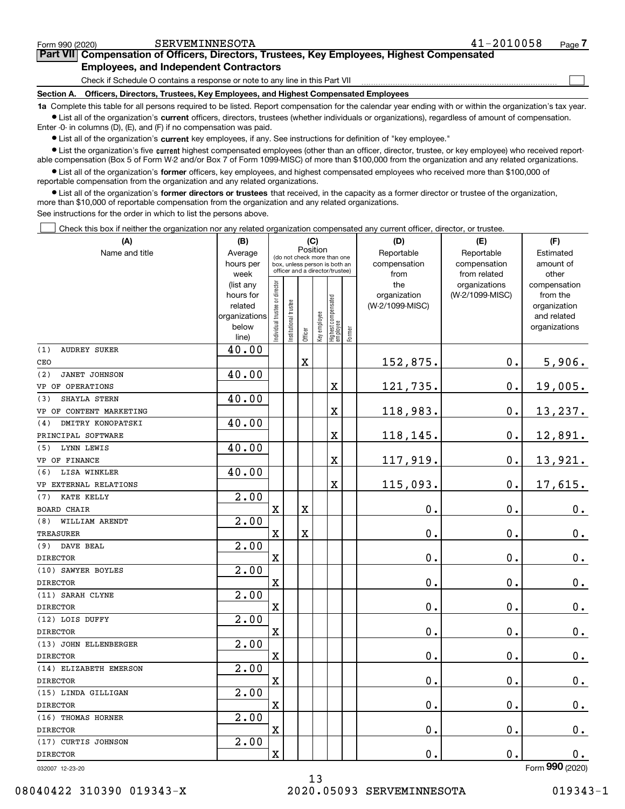| Form 990 (2020)                                                                                                                                           | SERVEMINNESOTA                                                                                    | 41-2010058 | Page - |  |  |  |  |  |  |
|-----------------------------------------------------------------------------------------------------------------------------------------------------------|---------------------------------------------------------------------------------------------------|------------|--------|--|--|--|--|--|--|
|                                                                                                                                                           | <b>Part VII</b> Compensation of Officers, Directors, Trustees, Key Employees, Highest Compensated |            |        |  |  |  |  |  |  |
|                                                                                                                                                           | <b>Employees, and Independent Contractors</b>                                                     |            |        |  |  |  |  |  |  |
|                                                                                                                                                           | Check if Schedule O contains a response or note to any line in this Part VII                      |            |        |  |  |  |  |  |  |
| <b>Section A.</b>                                                                                                                                         | Officers, Directors, Trustees, Key Employees, and Highest Compensated Employees                   |            |        |  |  |  |  |  |  |
| to Complete this tople for all persons required to be listed. Benef compensation for the colondary very ending with or within the examination's toy year. |                                                                                                   |            |        |  |  |  |  |  |  |

**1a •** List all of the organization's current officers, directors, trustees (whether individuals or organizations), regardless of amount of compensation. Complete this table for all persons required to be listed. Report compensation for the calendar year ending with or within the organization's tax year. Enter -0- in columns (D), (E), and (F) if no compensation was paid.

 $\bullet$  List all of the organization's  $\,$ current key employees, if any. See instructions for definition of "key employee."

**•** List the organization's five current highest compensated employees (other than an officer, director, trustee, or key employee) who received reportable compensation (Box 5 of Form W-2 and/or Box 7 of Form 1099-MISC) of more than \$100,000 from the organization and any related organizations.

**•** List all of the organization's former officers, key employees, and highest compensated employees who received more than \$100,000 of reportable compensation from the organization and any related organizations.

**former directors or trustees**  ¥ List all of the organization's that received, in the capacity as a former director or trustee of the organization, more than \$10,000 of reportable compensation from the organization and any related organizations.

See instructions for the order in which to list the persons above.

Check this box if neither the organization nor any related organization compensated any current officer, director, or trustee.  $\mathcal{L}^{\text{max}}$ 

| Reportable<br>Reportable<br>Name and title<br>Average<br>Estimated<br>(do not check more than one<br>compensation<br>hours per<br>compensation<br>amount of<br>box, unless person is both an<br>officer and a director/trustee)<br>week<br>from related<br>other<br>from<br>ndividual trustee or director<br>(list any<br>the<br>organizations<br>compensation<br>(W-2/1099-MISC)<br>hours for<br>organization<br>from the<br>Highest compensated<br> employee<br>nstitutional trustee<br>(W-2/1099-MISC)<br>related<br>organization<br>Key employee<br>organizations<br>and related<br>below<br>organizations<br>Former<br>Officer<br>line)<br>40.00<br><b>AUDREY SUKER</b><br>0.<br>$\mathbf X$<br>152,875.<br>5,906.<br>40.00<br>(2)<br><b>JANET JOHNSON</b><br>121,735.<br>0.<br>19,005.<br>X<br>40.00<br>SHAYLA STERN<br>X<br>118,983.<br>0.<br>13,237.<br>40.00<br>DMITRY KONOPATSKI<br>0.<br>X<br>118,145.<br>12,891.<br>40.00<br>LYNN LEWIS<br>0.<br>X<br>117,919.<br>13,921.<br>40.00<br>LISA WINKLER<br>115,093.<br>0.<br>17,615.<br>X<br>$\overline{2.00}$<br>KATE KELLY<br>0.<br>0.<br>$\mathbf X$<br>X<br>0.<br>2.00<br>WILLIAM ARENDT<br>X<br>X<br>0.<br>0.<br>$0_{.}$<br>2.00<br>$\mathbf X$<br>0.<br>0.<br>$0_{.}$<br>2.00<br>$\mathbf{0}$ .<br>$\mathbf x$<br>0.<br>$0_{.}$<br>$\overline{2.00}$<br>0.<br>$\mathbf X$<br>0.<br>$0_{.}$<br>$\overline{2.00}$<br>X<br>0.<br>0.<br>$\mathbf 0$ .<br>2.00<br>$\rm X$<br>0.<br>$0_{.}$<br>0.<br>2.00<br>$\overline{\textbf{X}}$<br>0.<br>0.<br>0.<br>2.00<br>$\rm X$<br>0.<br>0.<br>$0_{.}$<br>2.00<br>0.<br>X<br>0.<br>$\mathbf 0$ .<br>2.00<br>0.<br>$\mathbf X$<br>0.<br>$\mathbf 0$ . | (A)                     | (B)<br>(C) |          |  |  |  |  | (D) | (F) |  |  |  |
|-------------------------------------------------------------------------------------------------------------------------------------------------------------------------------------------------------------------------------------------------------------------------------------------------------------------------------------------------------------------------------------------------------------------------------------------------------------------------------------------------------------------------------------------------------------------------------------------------------------------------------------------------------------------------------------------------------------------------------------------------------------------------------------------------------------------------------------------------------------------------------------------------------------------------------------------------------------------------------------------------------------------------------------------------------------------------------------------------------------------------------------------------------------------------------------------------------------------------------------------------------------------------------------------------------------------------------------------------------------------------------------------------------------------------------------------------------------------------------------------------------------------------------------------------------------------------------------------------------------------------------------------------------|-------------------------|------------|----------|--|--|--|--|-----|-----|--|--|--|
|                                                                                                                                                                                                                                                                                                                                                                                                                                                                                                                                                                                                                                                                                                                                                                                                                                                                                                                                                                                                                                                                                                                                                                                                                                                                                                                                                                                                                                                                                                                                                                                                                                                       |                         |            | Position |  |  |  |  |     |     |  |  |  |
|                                                                                                                                                                                                                                                                                                                                                                                                                                                                                                                                                                                                                                                                                                                                                                                                                                                                                                                                                                                                                                                                                                                                                                                                                                                                                                                                                                                                                                                                                                                                                                                                                                                       |                         |            |          |  |  |  |  |     |     |  |  |  |
|                                                                                                                                                                                                                                                                                                                                                                                                                                                                                                                                                                                                                                                                                                                                                                                                                                                                                                                                                                                                                                                                                                                                                                                                                                                                                                                                                                                                                                                                                                                                                                                                                                                       |                         |            |          |  |  |  |  |     |     |  |  |  |
|                                                                                                                                                                                                                                                                                                                                                                                                                                                                                                                                                                                                                                                                                                                                                                                                                                                                                                                                                                                                                                                                                                                                                                                                                                                                                                                                                                                                                                                                                                                                                                                                                                                       |                         |            |          |  |  |  |  |     |     |  |  |  |
|                                                                                                                                                                                                                                                                                                                                                                                                                                                                                                                                                                                                                                                                                                                                                                                                                                                                                                                                                                                                                                                                                                                                                                                                                                                                                                                                                                                                                                                                                                                                                                                                                                                       |                         |            |          |  |  |  |  |     |     |  |  |  |
|                                                                                                                                                                                                                                                                                                                                                                                                                                                                                                                                                                                                                                                                                                                                                                                                                                                                                                                                                                                                                                                                                                                                                                                                                                                                                                                                                                                                                                                                                                                                                                                                                                                       |                         |            |          |  |  |  |  |     |     |  |  |  |
|                                                                                                                                                                                                                                                                                                                                                                                                                                                                                                                                                                                                                                                                                                                                                                                                                                                                                                                                                                                                                                                                                                                                                                                                                                                                                                                                                                                                                                                                                                                                                                                                                                                       |                         |            |          |  |  |  |  |     |     |  |  |  |
|                                                                                                                                                                                                                                                                                                                                                                                                                                                                                                                                                                                                                                                                                                                                                                                                                                                                                                                                                                                                                                                                                                                                                                                                                                                                                                                                                                                                                                                                                                                                                                                                                                                       |                         |            |          |  |  |  |  |     |     |  |  |  |
|                                                                                                                                                                                                                                                                                                                                                                                                                                                                                                                                                                                                                                                                                                                                                                                                                                                                                                                                                                                                                                                                                                                                                                                                                                                                                                                                                                                                                                                                                                                                                                                                                                                       | (1)                     |            |          |  |  |  |  |     |     |  |  |  |
|                                                                                                                                                                                                                                                                                                                                                                                                                                                                                                                                                                                                                                                                                                                                                                                                                                                                                                                                                                                                                                                                                                                                                                                                                                                                                                                                                                                                                                                                                                                                                                                                                                                       | CEO                     |            |          |  |  |  |  |     |     |  |  |  |
|                                                                                                                                                                                                                                                                                                                                                                                                                                                                                                                                                                                                                                                                                                                                                                                                                                                                                                                                                                                                                                                                                                                                                                                                                                                                                                                                                                                                                                                                                                                                                                                                                                                       |                         |            |          |  |  |  |  |     |     |  |  |  |
|                                                                                                                                                                                                                                                                                                                                                                                                                                                                                                                                                                                                                                                                                                                                                                                                                                                                                                                                                                                                                                                                                                                                                                                                                                                                                                                                                                                                                                                                                                                                                                                                                                                       | VP OF OPERATIONS        |            |          |  |  |  |  |     |     |  |  |  |
|                                                                                                                                                                                                                                                                                                                                                                                                                                                                                                                                                                                                                                                                                                                                                                                                                                                                                                                                                                                                                                                                                                                                                                                                                                                                                                                                                                                                                                                                                                                                                                                                                                                       | (3)                     |            |          |  |  |  |  |     |     |  |  |  |
|                                                                                                                                                                                                                                                                                                                                                                                                                                                                                                                                                                                                                                                                                                                                                                                                                                                                                                                                                                                                                                                                                                                                                                                                                                                                                                                                                                                                                                                                                                                                                                                                                                                       | VP OF CONTENT MARKETING |            |          |  |  |  |  |     |     |  |  |  |
|                                                                                                                                                                                                                                                                                                                                                                                                                                                                                                                                                                                                                                                                                                                                                                                                                                                                                                                                                                                                                                                                                                                                                                                                                                                                                                                                                                                                                                                                                                                                                                                                                                                       | (4)                     |            |          |  |  |  |  |     |     |  |  |  |
|                                                                                                                                                                                                                                                                                                                                                                                                                                                                                                                                                                                                                                                                                                                                                                                                                                                                                                                                                                                                                                                                                                                                                                                                                                                                                                                                                                                                                                                                                                                                                                                                                                                       | PRINCIPAL SOFTWARE      |            |          |  |  |  |  |     |     |  |  |  |
|                                                                                                                                                                                                                                                                                                                                                                                                                                                                                                                                                                                                                                                                                                                                                                                                                                                                                                                                                                                                                                                                                                                                                                                                                                                                                                                                                                                                                                                                                                                                                                                                                                                       | (5)                     |            |          |  |  |  |  |     |     |  |  |  |
|                                                                                                                                                                                                                                                                                                                                                                                                                                                                                                                                                                                                                                                                                                                                                                                                                                                                                                                                                                                                                                                                                                                                                                                                                                                                                                                                                                                                                                                                                                                                                                                                                                                       | VP OF FINANCE           |            |          |  |  |  |  |     |     |  |  |  |
|                                                                                                                                                                                                                                                                                                                                                                                                                                                                                                                                                                                                                                                                                                                                                                                                                                                                                                                                                                                                                                                                                                                                                                                                                                                                                                                                                                                                                                                                                                                                                                                                                                                       | (6)                     |            |          |  |  |  |  |     |     |  |  |  |
|                                                                                                                                                                                                                                                                                                                                                                                                                                                                                                                                                                                                                                                                                                                                                                                                                                                                                                                                                                                                                                                                                                                                                                                                                                                                                                                                                                                                                                                                                                                                                                                                                                                       | VP EXTERNAL RELATIONS   |            |          |  |  |  |  |     |     |  |  |  |
|                                                                                                                                                                                                                                                                                                                                                                                                                                                                                                                                                                                                                                                                                                                                                                                                                                                                                                                                                                                                                                                                                                                                                                                                                                                                                                                                                                                                                                                                                                                                                                                                                                                       | (7)                     |            |          |  |  |  |  |     |     |  |  |  |
|                                                                                                                                                                                                                                                                                                                                                                                                                                                                                                                                                                                                                                                                                                                                                                                                                                                                                                                                                                                                                                                                                                                                                                                                                                                                                                                                                                                                                                                                                                                                                                                                                                                       | <b>BOARD CHAIR</b>      |            |          |  |  |  |  |     |     |  |  |  |
|                                                                                                                                                                                                                                                                                                                                                                                                                                                                                                                                                                                                                                                                                                                                                                                                                                                                                                                                                                                                                                                                                                                                                                                                                                                                                                                                                                                                                                                                                                                                                                                                                                                       | (8)                     |            |          |  |  |  |  |     |     |  |  |  |
|                                                                                                                                                                                                                                                                                                                                                                                                                                                                                                                                                                                                                                                                                                                                                                                                                                                                                                                                                                                                                                                                                                                                                                                                                                                                                                                                                                                                                                                                                                                                                                                                                                                       | TREASURER               |            |          |  |  |  |  |     |     |  |  |  |
|                                                                                                                                                                                                                                                                                                                                                                                                                                                                                                                                                                                                                                                                                                                                                                                                                                                                                                                                                                                                                                                                                                                                                                                                                                                                                                                                                                                                                                                                                                                                                                                                                                                       | (9) DAVE BEAL           |            |          |  |  |  |  |     |     |  |  |  |
|                                                                                                                                                                                                                                                                                                                                                                                                                                                                                                                                                                                                                                                                                                                                                                                                                                                                                                                                                                                                                                                                                                                                                                                                                                                                                                                                                                                                                                                                                                                                                                                                                                                       | <b>DIRECTOR</b>         |            |          |  |  |  |  |     |     |  |  |  |
|                                                                                                                                                                                                                                                                                                                                                                                                                                                                                                                                                                                                                                                                                                                                                                                                                                                                                                                                                                                                                                                                                                                                                                                                                                                                                                                                                                                                                                                                                                                                                                                                                                                       | (10) SAWYER BOYLES      |            |          |  |  |  |  |     |     |  |  |  |
|                                                                                                                                                                                                                                                                                                                                                                                                                                                                                                                                                                                                                                                                                                                                                                                                                                                                                                                                                                                                                                                                                                                                                                                                                                                                                                                                                                                                                                                                                                                                                                                                                                                       | <b>DIRECTOR</b>         |            |          |  |  |  |  |     |     |  |  |  |
|                                                                                                                                                                                                                                                                                                                                                                                                                                                                                                                                                                                                                                                                                                                                                                                                                                                                                                                                                                                                                                                                                                                                                                                                                                                                                                                                                                                                                                                                                                                                                                                                                                                       | (11) SARAH CLYNE        |            |          |  |  |  |  |     |     |  |  |  |
|                                                                                                                                                                                                                                                                                                                                                                                                                                                                                                                                                                                                                                                                                                                                                                                                                                                                                                                                                                                                                                                                                                                                                                                                                                                                                                                                                                                                                                                                                                                                                                                                                                                       | <b>DIRECTOR</b>         |            |          |  |  |  |  |     |     |  |  |  |
|                                                                                                                                                                                                                                                                                                                                                                                                                                                                                                                                                                                                                                                                                                                                                                                                                                                                                                                                                                                                                                                                                                                                                                                                                                                                                                                                                                                                                                                                                                                                                                                                                                                       | (12) LOIS DUFFY         |            |          |  |  |  |  |     |     |  |  |  |
|                                                                                                                                                                                                                                                                                                                                                                                                                                                                                                                                                                                                                                                                                                                                                                                                                                                                                                                                                                                                                                                                                                                                                                                                                                                                                                                                                                                                                                                                                                                                                                                                                                                       | <b>DIRECTOR</b>         |            |          |  |  |  |  |     |     |  |  |  |
|                                                                                                                                                                                                                                                                                                                                                                                                                                                                                                                                                                                                                                                                                                                                                                                                                                                                                                                                                                                                                                                                                                                                                                                                                                                                                                                                                                                                                                                                                                                                                                                                                                                       | (13) JOHN ELLENBERGER   |            |          |  |  |  |  |     |     |  |  |  |
|                                                                                                                                                                                                                                                                                                                                                                                                                                                                                                                                                                                                                                                                                                                                                                                                                                                                                                                                                                                                                                                                                                                                                                                                                                                                                                                                                                                                                                                                                                                                                                                                                                                       | <b>DIRECTOR</b>         |            |          |  |  |  |  |     |     |  |  |  |
|                                                                                                                                                                                                                                                                                                                                                                                                                                                                                                                                                                                                                                                                                                                                                                                                                                                                                                                                                                                                                                                                                                                                                                                                                                                                                                                                                                                                                                                                                                                                                                                                                                                       | (14) ELIZABETH EMERSON  |            |          |  |  |  |  |     |     |  |  |  |
|                                                                                                                                                                                                                                                                                                                                                                                                                                                                                                                                                                                                                                                                                                                                                                                                                                                                                                                                                                                                                                                                                                                                                                                                                                                                                                                                                                                                                                                                                                                                                                                                                                                       | <b>DIRECTOR</b>         |            |          |  |  |  |  |     |     |  |  |  |
|                                                                                                                                                                                                                                                                                                                                                                                                                                                                                                                                                                                                                                                                                                                                                                                                                                                                                                                                                                                                                                                                                                                                                                                                                                                                                                                                                                                                                                                                                                                                                                                                                                                       | (15) LINDA GILLIGAN     |            |          |  |  |  |  |     |     |  |  |  |
|                                                                                                                                                                                                                                                                                                                                                                                                                                                                                                                                                                                                                                                                                                                                                                                                                                                                                                                                                                                                                                                                                                                                                                                                                                                                                                                                                                                                                                                                                                                                                                                                                                                       | <b>DIRECTOR</b>         |            |          |  |  |  |  |     |     |  |  |  |
|                                                                                                                                                                                                                                                                                                                                                                                                                                                                                                                                                                                                                                                                                                                                                                                                                                                                                                                                                                                                                                                                                                                                                                                                                                                                                                                                                                                                                                                                                                                                                                                                                                                       | (16) THOMAS HORNER      |            |          |  |  |  |  |     |     |  |  |  |
|                                                                                                                                                                                                                                                                                                                                                                                                                                                                                                                                                                                                                                                                                                                                                                                                                                                                                                                                                                                                                                                                                                                                                                                                                                                                                                                                                                                                                                                                                                                                                                                                                                                       | <b>DIRECTOR</b>         |            |          |  |  |  |  |     |     |  |  |  |
|                                                                                                                                                                                                                                                                                                                                                                                                                                                                                                                                                                                                                                                                                                                                                                                                                                                                                                                                                                                                                                                                                                                                                                                                                                                                                                                                                                                                                                                                                                                                                                                                                                                       | (17) CURTIS JOHNSON     |            |          |  |  |  |  |     |     |  |  |  |
|                                                                                                                                                                                                                                                                                                                                                                                                                                                                                                                                                                                                                                                                                                                                                                                                                                                                                                                                                                                                                                                                                                                                                                                                                                                                                                                                                                                                                                                                                                                                                                                                                                                       | <b>DIRECTOR</b>         |            |          |  |  |  |  |     |     |  |  |  |

032007 12-23-20

Form (2020) **990**

13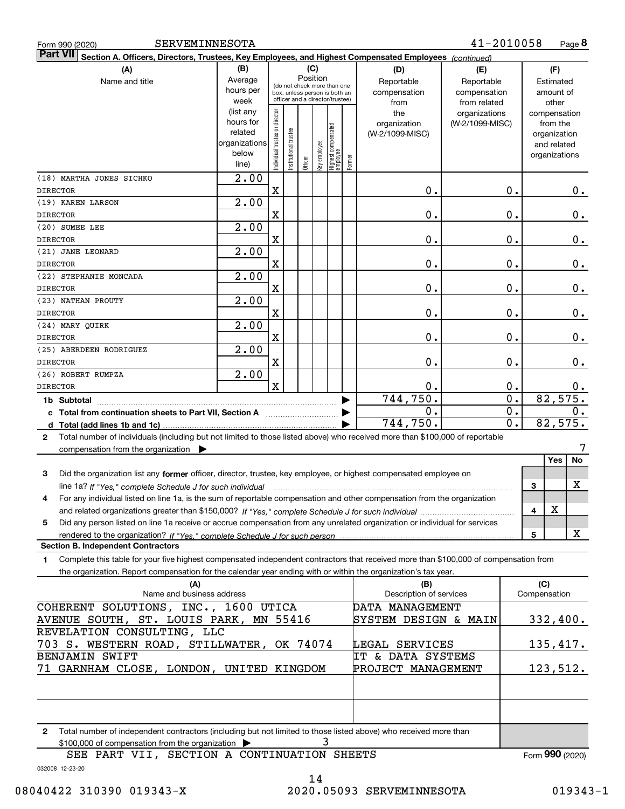| SERVEMINNESOTA<br>Form 990 (2020)                                                                                                                    |                            |                                |                       |         |              |                                                              |        |                         | 41-2010058      |                    |              |               | Page 8    |
|------------------------------------------------------------------------------------------------------------------------------------------------------|----------------------------|--------------------------------|-----------------------|---------|--------------|--------------------------------------------------------------|--------|-------------------------|-----------------|--------------------|--------------|---------------|-----------|
| <b>Part VII</b><br>Section A. Officers, Directors, Trustees, Key Employees, and Highest Compensated Employees (continued)                            |                            |                                |                       |         |              |                                                              |        |                         |                 |                    |              |               |           |
| (A)                                                                                                                                                  | (B)                        |                                |                       |         |              |                                                              |        | (D)                     | (E)             |                    |              | (F)           |           |
| Name and title                                                                                                                                       | (C)<br>Position<br>Average |                                |                       |         |              |                                                              |        | Reportable              | Reportable      | Estimated          |              |               |           |
|                                                                                                                                                      | hours per                  |                                |                       |         |              | (do not check more than one<br>box, unless person is both an |        | compensation            | compensation    |                    |              |               |           |
|                                                                                                                                                      | week                       |                                |                       |         |              | officer and a director/trustee)                              |        | from                    | from related    | amount of<br>other |              |               |           |
|                                                                                                                                                      | (list any                  |                                |                       |         |              |                                                              |        | the                     | organizations   |                    |              | compensation  |           |
|                                                                                                                                                      | hours for                  |                                |                       |         |              |                                                              |        | organization            | (W-2/1099-MISC) |                    |              | from the      |           |
|                                                                                                                                                      | related                    |                                |                       |         |              |                                                              |        | (W-2/1099-MISC)         |                 |                    |              | organization  |           |
|                                                                                                                                                      | organizations              |                                |                       |         |              |                                                              |        |                         |                 |                    |              | and related   |           |
|                                                                                                                                                      | below                      |                                |                       |         |              |                                                              |        |                         |                 |                    |              | organizations |           |
|                                                                                                                                                      | line)                      | Individual trustee or director | Institutional trustee | Officer | Key employee | Highest compensated<br> employee                             | Former |                         |                 |                    |              |               |           |
| (18) MARTHA JONES SICHKO                                                                                                                             | $\overline{2.00}$          |                                |                       |         |              |                                                              |        |                         |                 |                    |              |               |           |
| <b>DIRECTOR</b>                                                                                                                                      |                            | $\mathbf X$                    |                       |         |              |                                                              |        | 0.                      |                 | 0.                 |              |               |           |
|                                                                                                                                                      |                            |                                |                       |         |              |                                                              |        |                         |                 |                    |              |               | 0.        |
| (19) KAREN LARSON                                                                                                                                    | $\overline{2.00}$          |                                |                       |         |              |                                                              |        |                         |                 |                    |              |               |           |
| <b>DIRECTOR</b>                                                                                                                                      |                            | $\mathbf X$                    |                       |         |              |                                                              |        | 0.                      |                 | 0.                 |              |               | 0.        |
| (20) SUMEE LEE                                                                                                                                       | $\overline{2.00}$          |                                |                       |         |              |                                                              |        |                         |                 |                    |              |               |           |
| <b>DIRECTOR</b>                                                                                                                                      |                            | $\mathbf X$                    |                       |         |              |                                                              |        | 0.                      |                 | 0.                 |              |               | 0.        |
| (21) JANE LEONARD                                                                                                                                    | $\overline{2.00}$          |                                |                       |         |              |                                                              |        |                         |                 |                    |              |               |           |
| <b>DIRECTOR</b>                                                                                                                                      |                            | $\mathbf X$                    |                       |         |              |                                                              |        | 0.                      |                 | 0.                 |              |               | 0.        |
| (22) STEPHANIE MONCADA                                                                                                                               | $\overline{2.00}$          |                                |                       |         |              |                                                              |        |                         |                 |                    |              |               |           |
|                                                                                                                                                      |                            |                                |                       |         |              |                                                              |        |                         |                 |                    |              |               |           |
| <b>DIRECTOR</b>                                                                                                                                      |                            | $\mathbf X$                    |                       |         |              |                                                              |        | 0.                      |                 | 0.                 |              |               | 0.        |
| (23) NATHAN PROUTY                                                                                                                                   | $\overline{2.00}$          |                                |                       |         |              |                                                              |        |                         |                 |                    |              |               |           |
| <b>DIRECTOR</b>                                                                                                                                      |                            | $\mathbf X$                    |                       |         |              |                                                              |        | 0.                      |                 | 0.                 |              |               | 0.        |
| (24) MARY OUIRK                                                                                                                                      | $\overline{2.00}$          |                                |                       |         |              |                                                              |        |                         |                 |                    |              |               |           |
| <b>DIRECTOR</b>                                                                                                                                      |                            | $\mathbf X$                    |                       |         |              |                                                              |        | 0.                      |                 | 0.                 |              |               | 0.        |
| (25) ABERDEEN RODRIGUEZ                                                                                                                              | $\overline{2.00}$          |                                |                       |         |              |                                                              |        |                         |                 |                    |              |               |           |
| <b>DIRECTOR</b>                                                                                                                                      |                            | $\mathbf X$                    |                       |         |              |                                                              |        | 0.                      |                 | 0.                 |              |               | 0.        |
| (26) ROBERT RUMPZA                                                                                                                                   | $\overline{2.00}$          |                                |                       |         |              |                                                              |        |                         |                 |                    |              |               |           |
| <b>DIRECTOR</b>                                                                                                                                      |                            | $\mathbf x$                    |                       |         |              |                                                              |        | 0.                      |                 | 0.                 |              |               |           |
|                                                                                                                                                      |                            |                                |                       |         |              |                                                              |        | 744, 750.               |                 | $\overline{0}$ .   |              |               | 0.        |
|                                                                                                                                                      |                            |                                |                       |         |              |                                                              |        |                         |                 |                    |              |               | 82,575.   |
| c Total from continuation sheets to Part VII, Section A                                                                                              |                            |                                |                       |         |              |                                                              |        | $\mathbf 0$ .           |                 | 0.                 | 0.           |               |           |
|                                                                                                                                                      |                            |                                |                       |         |              |                                                              |        | 744, 750.               |                 | 0.                 |              |               | 82,575.   |
| Total number of individuals (including but not limited to those listed above) who received more than \$100,000 of reportable<br>$\mathbf{2}$         |                            |                                |                       |         |              |                                                              |        |                         |                 |                    |              |               |           |
| compensation from the organization $\blacktriangleright$                                                                                             |                            |                                |                       |         |              |                                                              |        |                         |                 |                    |              |               | 7         |
|                                                                                                                                                      |                            |                                |                       |         |              |                                                              |        |                         |                 |                    |              | Yes           | No        |
| 3<br>Did the organization list any former officer, director, trustee, key employee, or highest compensated employee on                               |                            |                                |                       |         |              |                                                              |        |                         |                 |                    |              |               |           |
|                                                                                                                                                      |                            |                                |                       |         |              |                                                              |        |                         |                 |                    | 3            |               | X         |
| line 1a? If "Yes," complete Schedule J for such individual manufactured contained and the line 1a? If "Yes," complete Schedule J for such individual |                            |                                |                       |         |              |                                                              |        |                         |                 |                    |              |               |           |
| For any individual listed on line 1a, is the sum of reportable compensation and other compensation from the organization                             |                            |                                |                       |         |              |                                                              |        |                         |                 |                    |              |               |           |
|                                                                                                                                                      |                            |                                |                       |         |              |                                                              |        |                         |                 |                    | 4            | Χ             |           |
| Did any person listed on line 1a receive or accrue compensation from any unrelated organization or individual for services<br>5                      |                            |                                |                       |         |              |                                                              |        |                         |                 |                    |              |               |           |
| rendered to the organization? If "Yes." complete Schedule J for such person.                                                                         |                            |                                |                       |         |              |                                                              |        |                         |                 |                    | 5            |               | X         |
| <b>Section B. Independent Contractors</b>                                                                                                            |                            |                                |                       |         |              |                                                              |        |                         |                 |                    |              |               |           |
| Complete this table for your five highest compensated independent contractors that received more than \$100,000 of compensation from<br>1.           |                            |                                |                       |         |              |                                                              |        |                         |                 |                    |              |               |           |
| the organization. Report compensation for the calendar year ending with or within the organization's tax year.                                       |                            |                                |                       |         |              |                                                              |        |                         |                 |                    |              |               |           |
| (A)                                                                                                                                                  |                            |                                |                       |         |              |                                                              |        | (B)                     |                 |                    | (C)          |               |           |
| Name and business address                                                                                                                            |                            |                                |                       |         |              |                                                              |        | Description of services |                 |                    | Compensation |               |           |
|                                                                                                                                                      |                            |                                |                       |         |              |                                                              |        |                         |                 |                    |              |               |           |
| COHERENT SOLUTIONS, INC., 1600 UTICA<br>DATA MANAGEMENT                                                                                              |                            |                                |                       |         |              |                                                              |        |                         |                 |                    |              |               |           |
| AVENUE SOUTH, ST. LOUIS PARK, MN 55416<br>SYSTEM DESIGN & MAIN                                                                                       |                            |                                |                       |         |              |                                                              |        |                         |                 |                    | 332,400.     |               |           |
| REVELATION CONSULTING, LLC                                                                                                                           |                            |                                |                       |         |              |                                                              |        |                         |                 |                    |              |               |           |
| 703 S. WESTERN ROAD, STILLWATER, OK 74074                                                                                                            |                            |                                |                       |         |              |                                                              |        | LEGAL SERVICES          |                 |                    |              |               | 135, 417. |
| BENJAMIN SWIFT                                                                                                                                       |                            |                                |                       |         |              |                                                              |        | IT & DATA SYSTEMS       |                 |                    |              |               |           |
| 71 GARNHAM CLOSE,<br>LONDON, UNITED KINGDOM                                                                                                          |                            |                                |                       |         |              |                                                              |        | PROJECT MANAGEMENT      |                 |                    |              |               | 123,512.  |
|                                                                                                                                                      |                            |                                |                       |         |              |                                                              |        |                         |                 |                    |              |               |           |
|                                                                                                                                                      |                            |                                |                       |         |              |                                                              |        |                         |                 |                    |              |               |           |
|                                                                                                                                                      |                            |                                |                       |         |              |                                                              |        |                         |                 |                    |              |               |           |
|                                                                                                                                                      |                            |                                |                       |         |              |                                                              |        |                         |                 |                    |              |               |           |
|                                                                                                                                                      |                            |                                |                       |         |              |                                                              |        |                         |                 |                    |              |               |           |
| Total number of independent contractors (including but not limited to those listed above) who received more than<br>2                                |                            |                                |                       |         |              |                                                              |        |                         |                 |                    |              |               |           |
| \$100,000 of compensation from the organization                                                                                                      |                            |                                |                       |         |              | 3                                                            |        |                         |                 |                    |              |               |           |

SEE PART VII, SECTION A CONTINUATION SHEETS

Form (2020) **990**

032008 12-23-20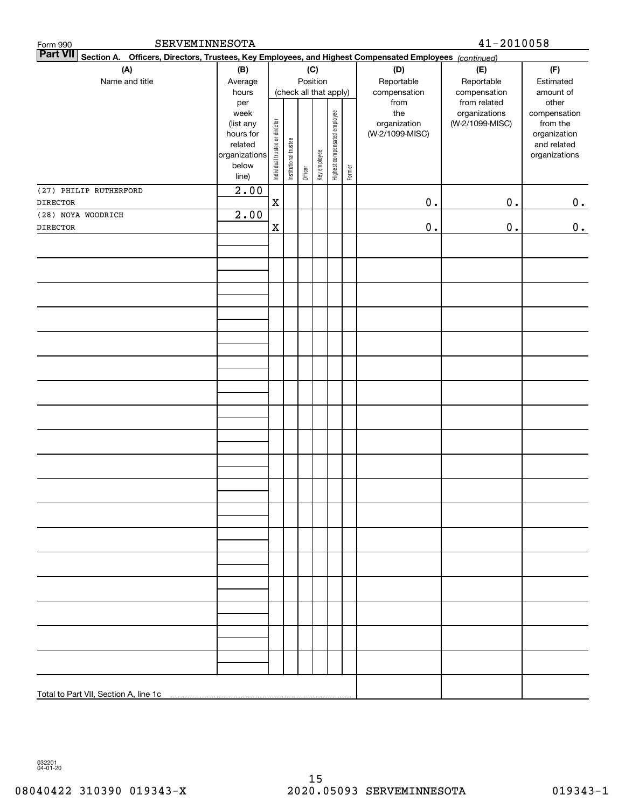| SERVEMINNESOTA<br>Form 990                                                                                                   |                      |                                |                       |         |                        |                              |        |                      | $41 - 2010058$               |                             |
|------------------------------------------------------------------------------------------------------------------------------|----------------------|--------------------------------|-----------------------|---------|------------------------|------------------------------|--------|----------------------|------------------------------|-----------------------------|
| <b>Part VII</b><br>Officers, Directors, Trustees, Key Employees, and Highest Compensated Employees (continued)<br>Section A. |                      |                                |                       |         |                        |                              |        |                      |                              |                             |
| (A)                                                                                                                          | (B)                  |                                |                       |         | (C)                    |                              |        | (D)                  | (E)                          | (F)                         |
| Name and title                                                                                                               | Average              |                                |                       |         | Position               |                              |        | Reportable           | Reportable                   | Estimated                   |
|                                                                                                                              | hours<br>per         |                                |                       |         | (check all that apply) |                              |        | compensation<br>from | compensation<br>from related | amount of<br>other          |
|                                                                                                                              | week                 |                                |                       |         |                        |                              |        | the                  | organizations                | compensation                |
|                                                                                                                              | (list any            |                                |                       |         |                        |                              |        | organization         | (W-2/1099-MISC)              | from the                    |
|                                                                                                                              | hours for<br>related |                                |                       |         |                        |                              |        | (W-2/1099-MISC)      |                              | organization<br>and related |
|                                                                                                                              | organizations        | Individual trustee or director | Institutional trustee |         | Key employee           | Highest compensated employee |        |                      |                              | organizations               |
|                                                                                                                              | below                |                                |                       | Officer |                        |                              | Former |                      |                              |                             |
|                                                                                                                              | line)                |                                |                       |         |                        |                              |        |                      |                              |                             |
| (27) PHILIP RUTHERFORD<br><b>DIRECTOR</b>                                                                                    | 2.00                 | $\mathbf X$                    |                       |         |                        |                              |        | $0$ .                | $0$ .                        | 0.                          |
| (28) NOYA WOODRICH                                                                                                           | 2.00                 |                                |                       |         |                        |                              |        |                      |                              |                             |
| DIRECTOR                                                                                                                     |                      | $\mathbf x$                    |                       |         |                        |                              |        | $\mathbf 0$ .        | $0$ .                        | 0.                          |
|                                                                                                                              |                      |                                |                       |         |                        |                              |        |                      |                              |                             |
|                                                                                                                              |                      |                                |                       |         |                        |                              |        |                      |                              |                             |
|                                                                                                                              |                      |                                |                       |         |                        |                              |        |                      |                              |                             |
|                                                                                                                              |                      |                                |                       |         |                        |                              |        |                      |                              |                             |
|                                                                                                                              |                      |                                |                       |         |                        |                              |        |                      |                              |                             |
|                                                                                                                              |                      |                                |                       |         |                        |                              |        |                      |                              |                             |
|                                                                                                                              |                      |                                |                       |         |                        |                              |        |                      |                              |                             |
|                                                                                                                              |                      |                                |                       |         |                        |                              |        |                      |                              |                             |
|                                                                                                                              |                      |                                |                       |         |                        |                              |        |                      |                              |                             |
|                                                                                                                              |                      |                                |                       |         |                        |                              |        |                      |                              |                             |
|                                                                                                                              |                      |                                |                       |         |                        |                              |        |                      |                              |                             |
|                                                                                                                              |                      |                                |                       |         |                        |                              |        |                      |                              |                             |
|                                                                                                                              |                      |                                |                       |         |                        |                              |        |                      |                              |                             |
|                                                                                                                              |                      |                                |                       |         |                        |                              |        |                      |                              |                             |
|                                                                                                                              |                      |                                |                       |         |                        |                              |        |                      |                              |                             |
|                                                                                                                              |                      |                                |                       |         |                        |                              |        |                      |                              |                             |
|                                                                                                                              |                      |                                |                       |         |                        |                              |        |                      |                              |                             |
|                                                                                                                              |                      |                                |                       |         |                        |                              |        |                      |                              |                             |
|                                                                                                                              |                      |                                |                       |         |                        |                              |        |                      |                              |                             |
|                                                                                                                              |                      |                                |                       |         |                        |                              |        |                      |                              |                             |
|                                                                                                                              |                      |                                |                       |         |                        |                              |        |                      |                              |                             |
|                                                                                                                              |                      |                                |                       |         |                        |                              |        |                      |                              |                             |
|                                                                                                                              |                      |                                |                       |         |                        |                              |        |                      |                              |                             |
|                                                                                                                              |                      |                                |                       |         |                        |                              |        |                      |                              |                             |
|                                                                                                                              |                      |                                |                       |         |                        |                              |        |                      |                              |                             |
|                                                                                                                              |                      |                                |                       |         |                        |                              |        |                      |                              |                             |
|                                                                                                                              |                      |                                |                       |         |                        |                              |        |                      |                              |                             |
|                                                                                                                              |                      |                                |                       |         |                        |                              |        |                      |                              |                             |
|                                                                                                                              |                      |                                |                       |         |                        |                              |        |                      |                              |                             |

032201 04-01-20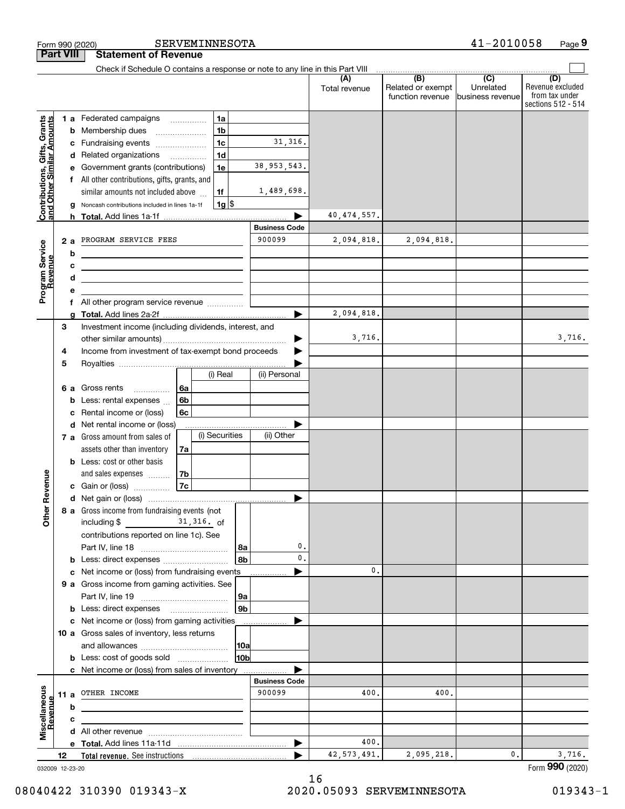|                                                                                         | <b>Part VIII</b>       | <b>Statement of Revenue</b>                                                                                                                                                                                                                                                                                                                                                                                                                                                                                                                                                                                                                               |                                                                                 |                      |                                                                           |                             |                                              |                                                 |                                                                 |
|-----------------------------------------------------------------------------------------|------------------------|-----------------------------------------------------------------------------------------------------------------------------------------------------------------------------------------------------------------------------------------------------------------------------------------------------------------------------------------------------------------------------------------------------------------------------------------------------------------------------------------------------------------------------------------------------------------------------------------------------------------------------------------------------------|---------------------------------------------------------------------------------|----------------------|---------------------------------------------------------------------------|-----------------------------|----------------------------------------------|-------------------------------------------------|-----------------------------------------------------------------|
|                                                                                         |                        | Check if Schedule O contains a response or note to any line in this Part VIII                                                                                                                                                                                                                                                                                                                                                                                                                                                                                                                                                                             |                                                                                 |                      |                                                                           |                             |                                              |                                                 |                                                                 |
|                                                                                         |                        |                                                                                                                                                                                                                                                                                                                                                                                                                                                                                                                                                                                                                                                           |                                                                                 |                      |                                                                           | (A)<br>Total revenue        | (B)<br>Related or exempt<br>function revenue | $\overline{C}$<br>Unrelated<br>business revenue | (D)<br>Revenue excluded<br>from tax under<br>sections 512 - 514 |
| Contributions, Gifts, Grants<br>and Other Similar Amounts<br>Program Service<br>Revenue | 2a<br>b<br>с<br>d<br>е | 1 a Federated campaigns<br><b>b</b> Membership dues<br>c Fundraising events<br>d Related organizations<br>e Government grants (contributions)<br>All other contributions, gifts, grants, and<br>similar amounts not included above<br>Noncash contributions included in lines 1a-1f<br>PROGRAM SERVICE FEES<br><u> 1989 - Johann Barn, mars ann an t-Amhain Aonaich an t-Aonaich an t-Aonaich ann an t-Aonaich ann an t-Aonaich</u><br><u> 1989 - Johann Barbara, martin amerikan basar dan berasal dalam basar dalam basar dalam basar dalam basar dala</u><br>the control of the control of the control of the control of the control of the control of | 1a<br>1 <sub>b</sub><br>1 <sub>c</sub><br>1 <sub>d</sub><br>1e<br>1f<br>$1g$ \$ |                      | 31, 316.<br>38, 953, 543.<br>1,489,698.<br><b>Business Code</b><br>900099 | 40, 474, 557.<br>2,094,818. | 2,094,818.                                   |                                                 |                                                                 |
|                                                                                         |                        |                                                                                                                                                                                                                                                                                                                                                                                                                                                                                                                                                                                                                                                           |                                                                                 |                      | ►                                                                         | 2,094,818.                  |                                              |                                                 |                                                                 |
|                                                                                         | a<br>3<br>4<br>5       | Investment income (including dividends, interest, and<br>Income from investment of tax-exempt bond proceeds                                                                                                                                                                                                                                                                                                                                                                                                                                                                                                                                               |                                                                                 |                      |                                                                           | 3,716.                      |                                              |                                                 | 3,716.                                                          |
|                                                                                         | 6а<br>b                | Gross rents<br>.<br>Less: rental expenses<br>Rental income or (loss)<br>d Net rental income or (loss)<br>7 a Gross amount from sales of<br>assets other than inventory<br><b>b</b> Less: cost or other basis                                                                                                                                                                                                                                                                                                                                                                                                                                              | (i) Real<br>l 6a<br>6b<br>6с<br>(i) Securities<br>7a                            |                      | (ii) Personal<br>(ii) Other                                               |                             |                                              |                                                 |                                                                 |
| Revenue                                                                                 |                        | and sales expenses<br>c Gain or (loss)                                                                                                                                                                                                                                                                                                                                                                                                                                                                                                                                                                                                                    | 7 <sub>b</sub><br> 7c                                                           |                      |                                                                           |                             |                                              |                                                 |                                                                 |
| <b>Othe</b>                                                                             |                        | 8 a Gross income from fundraising events (not<br>including \$<br>contributions reported on line 1c). See                                                                                                                                                                                                                                                                                                                                                                                                                                                                                                                                                  | $31,316.$ of                                                                    | 8a<br>8b             | $\mathbf 0$ .<br>0.                                                       |                             |                                              |                                                 |                                                                 |
|                                                                                         |                        | c Net income or (loss) from fundraising events<br>9 a Gross income from gaming activities. See<br><b>b</b> Less: direct expenses <b>manually</b>                                                                                                                                                                                                                                                                                                                                                                                                                                                                                                          |                                                                                 | 9a<br>9 <sub>b</sub> |                                                                           | 0.                          |                                              |                                                 |                                                                 |
|                                                                                         |                        | c Net income or (loss) from gaming activities<br>10 a Gross sales of inventory, less returns<br><b>b</b> Less: cost of goods sold                                                                                                                                                                                                                                                                                                                                                                                                                                                                                                                         |                                                                                 | 10a<br>10b           | .                                                                         |                             |                                              |                                                 |                                                                 |
| Miscellaneous<br>Revenue                                                                | 11 a<br>b<br>с         | c Net income or (loss) from sales of inventory<br>OTHER INCOME                                                                                                                                                                                                                                                                                                                                                                                                                                                                                                                                                                                            |                                                                                 |                      | <b>Business Code</b><br>900099                                            | 400.                        | 400.                                         |                                                 |                                                                 |
|                                                                                         |                        |                                                                                                                                                                                                                                                                                                                                                                                                                                                                                                                                                                                                                                                           |                                                                                 |                      |                                                                           |                             |                                              |                                                 |                                                                 |
|                                                                                         |                        |                                                                                                                                                                                                                                                                                                                                                                                                                                                                                                                                                                                                                                                           |                                                                                 |                      | ▶                                                                         | 400.<br>42, 573, 491.       | 2,095,218.                                   | 0.                                              | 3,716.                                                          |
|                                                                                         | 12                     |                                                                                                                                                                                                                                                                                                                                                                                                                                                                                                                                                                                                                                                           |                                                                                 |                      |                                                                           |                             |                                              |                                                 |                                                                 |

Form 990 (2020) SERVEMINNESOTA 4 I-ZUIUU58 Page

SERVEMINNESOTA

032009 12-23-20

**9**

41-2010058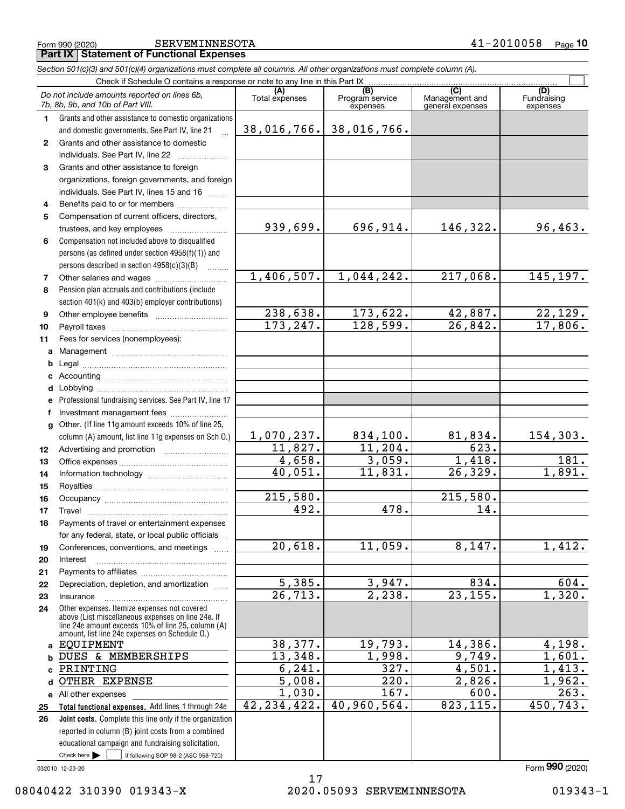Form 990 (2020) Page **Part IX Statement of Functional Expenses** SERVEMINNESOTA 41-2010058

|        | Section 501(c)(3) and 501(c)(4) organizations must complete all columns. All other organizations must complete column (A).                                                                                 |                       |                             |                                    |                         |
|--------|------------------------------------------------------------------------------------------------------------------------------------------------------------------------------------------------------------|-----------------------|-----------------------------|------------------------------------|-------------------------|
|        | Check if Schedule O contains a response or note to any line in this Part IX                                                                                                                                |                       | (B)                         | (C)                                | (D)                     |
|        | Do not include amounts reported on lines 6b,<br>7b, 8b, 9b, and 10b of Part VIII.                                                                                                                          | (A)<br>Total expenses | Program service<br>expenses | Management and<br>general expenses | Fundraising<br>expenses |
| 1.     | Grants and other assistance to domestic organizations                                                                                                                                                      |                       |                             |                                    |                         |
|        | and domestic governments. See Part IV, line 21                                                                                                                                                             | 38,016,766.           | 38,016,766.                 |                                    |                         |
| 2      | Grants and other assistance to domestic                                                                                                                                                                    |                       |                             |                                    |                         |
|        | individuals. See Part IV, line 22                                                                                                                                                                          |                       |                             |                                    |                         |
| 3      | Grants and other assistance to foreign                                                                                                                                                                     |                       |                             |                                    |                         |
|        | organizations, foreign governments, and foreign                                                                                                                                                            |                       |                             |                                    |                         |
|        | individuals. See Part IV, lines 15 and 16                                                                                                                                                                  |                       |                             |                                    |                         |
| 4      | Benefits paid to or for members                                                                                                                                                                            |                       |                             |                                    |                         |
| 5      | Compensation of current officers, directors,                                                                                                                                                               |                       |                             |                                    |                         |
|        | trustees, and key employees                                                                                                                                                                                | 939,699.              | 696,914.                    | 146,322.                           | 96,463.                 |
| 6      | Compensation not included above to disqualified                                                                                                                                                            |                       |                             |                                    |                         |
|        | persons (as defined under section 4958(f)(1)) and                                                                                                                                                          |                       |                             |                                    |                         |
|        | persons described in section 4958(c)(3)(B)                                                                                                                                                                 |                       |                             |                                    |                         |
| 7      | Other salaries and wages                                                                                                                                                                                   | 1,406,507.            | 1,044,242.                  | 217,068.                           | 145, 197.               |
| 8      | Pension plan accruals and contributions (include                                                                                                                                                           |                       |                             |                                    |                         |
|        | section 401(k) and 403(b) employer contributions)                                                                                                                                                          |                       |                             | 42,887.                            |                         |
| 9      |                                                                                                                                                                                                            | 238,638.              | 173,622.                    |                                    | 22,129.                 |
| 10     |                                                                                                                                                                                                            | 173, 247.             | 128,599.                    | 26,842.                            | 17,806.                 |
| 11     | Fees for services (nonemployees):                                                                                                                                                                          |                       |                             |                                    |                         |
| a      |                                                                                                                                                                                                            |                       |                             |                                    |                         |
| b      |                                                                                                                                                                                                            |                       |                             |                                    |                         |
| c      |                                                                                                                                                                                                            |                       |                             |                                    |                         |
| d<br>е | Professional fundraising services. See Part IV, line 17                                                                                                                                                    |                       |                             |                                    |                         |
| f      | Investment management fees                                                                                                                                                                                 |                       |                             |                                    |                         |
| g      | Other. (If line 11g amount exceeds 10% of line 25,                                                                                                                                                         |                       |                             |                                    |                         |
|        | column (A) amount, list line 11g expenses on Sch O.)                                                                                                                                                       | 1,070,237.            | 834,100.                    | 81,834.                            | 154, 303.               |
| 12     |                                                                                                                                                                                                            | 11,827.               | 11, 204.                    | $\overline{623}$ .                 |                         |
| 13     |                                                                                                                                                                                                            | 4,658.                | 3,059.                      | 1,418.                             | 181.                    |
| 14     |                                                                                                                                                                                                            | 40,051.               | 11,831.                     | 26, 329.                           | 1,891.                  |
| 15     |                                                                                                                                                                                                            |                       |                             |                                    |                         |
| 16     |                                                                                                                                                                                                            | 215,580.              |                             | 215,580.                           |                         |
| 17     |                                                                                                                                                                                                            | 492.                  | 478.                        | 14.                                |                         |
| 18     | Payments of travel or entertainment expenses                                                                                                                                                               |                       |                             |                                    |                         |
|        | for any federal, state, or local public officials                                                                                                                                                          |                       |                             |                                    |                         |
| 19     | Conferences, conventions, and meetings                                                                                                                                                                     | 20,618.               | 11,059.                     | 8,147.                             | 1,412.                  |
| 20     | Interest                                                                                                                                                                                                   |                       |                             |                                    |                         |
| 21     |                                                                                                                                                                                                            |                       |                             |                                    |                         |
| 22     | Depreciation, depletion, and amortization                                                                                                                                                                  | 5,385.                | 3,947.                      | 834.                               | 604.                    |
| 23     | Insurance                                                                                                                                                                                                  | $\overline{26,713.}$  | 2, 238.                     | 23, 155.                           | 1,320.                  |
| 24     | Other expenses. Itemize expenses not covered<br>above (List miscellaneous expenses on line 24e. If<br>line 24e amount exceeds 10% of line 25, column (A)<br>amount, list line 24e expenses on Schedule O.) |                       |                             |                                    |                         |
| a      | EQUIPMENT                                                                                                                                                                                                  | 38,377.               | 19,793.                     | 14,386.                            | 4,198.                  |
| b      | DUES & MEMBERSHIPS                                                                                                                                                                                         | 13,348.               | 1,998.                      | 9,749.                             | 1,601.                  |
| c      | PRINTING                                                                                                                                                                                                   | 6, 241.               | 327.                        | 4,501.                             | 1,413.                  |
| d      | OTHER EXPENSE                                                                                                                                                                                              | 5,008.                | 220.                        | 2,826.                             | 1,962.                  |
|        | e All other expenses                                                                                                                                                                                       | 1,030.                | 167.                        | 600.                               | 263.                    |
| 25     | Total functional expenses. Add lines 1 through 24e                                                                                                                                                         | 42, 234, 422.         | 40,960,564.                 | 823,115.                           | 450,743.                |
| 26     | Joint costs. Complete this line only if the organization                                                                                                                                                   |                       |                             |                                    |                         |
|        | reported in column (B) joint costs from a combined                                                                                                                                                         |                       |                             |                                    |                         |
|        | educational campaign and fundraising solicitation.                                                                                                                                                         |                       |                             |                                    |                         |

032010 12-23-20

Check here

Check here  $\bullet$  if following SOP 98-2 (ASC 958-720)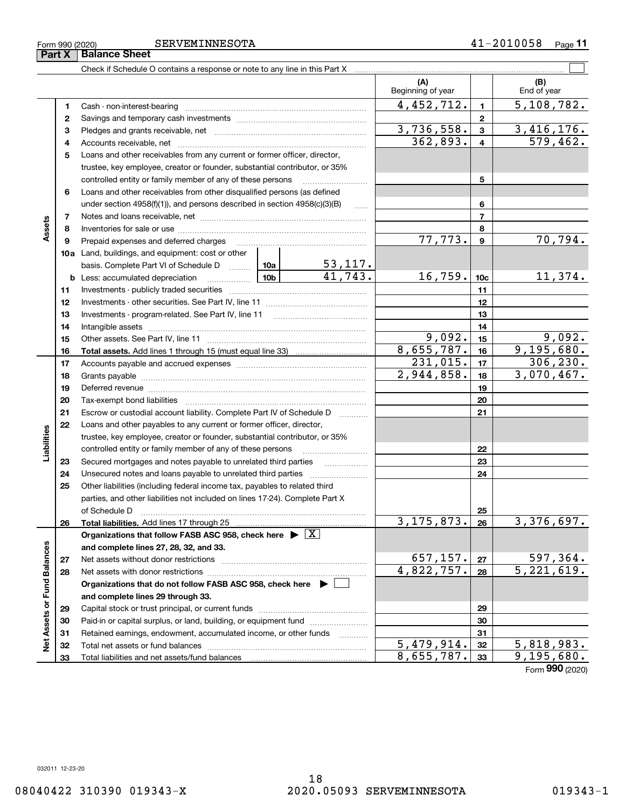Form 990 (2020) SERVEMINNESOTA 4 1 – 2 0 1 0 0 5 8 <sub>Page</sub> 11 **Part X Balance Sheet** SERVEMINNESOTA

Check if Schedule O contains a response or note to any line in this Part X

|                             |              |                                                                                                                                                                                                                                              |            |                     | (A)<br>Beginning of year  |                 | (B)<br>End of year            |
|-----------------------------|--------------|----------------------------------------------------------------------------------------------------------------------------------------------------------------------------------------------------------------------------------------------|------------|---------------------|---------------------------|-----------------|-------------------------------|
|                             | 1            | Cash - non-interest-bearing                                                                                                                                                                                                                  |            |                     | $\overline{4, 452, 712.}$ | $\mathbf{1}$    | 5,108,782.                    |
|                             | $\mathbf{2}$ |                                                                                                                                                                                                                                              |            |                     |                           | $\mathbf{2}$    |                               |
|                             | 3            |                                                                                                                                                                                                                                              | 3,736,558. | 3                   |                           |                 |                               |
|                             | 4            |                                                                                                                                                                                                                                              |            |                     | 362,893.                  | 4               | $\frac{3,416,176.}{579,462.}$ |
|                             | 5            | Loans and other receivables from any current or former officer, director,                                                                                                                                                                    |            |                     |                           |                 |                               |
|                             |              | trustee, key employee, creator or founder, substantial contributor, or 35%                                                                                                                                                                   |            |                     |                           |                 |                               |
|                             |              | controlled entity or family member of any of these persons                                                                                                                                                                                   |            |                     |                           | 5               |                               |
|                             | 6            | Loans and other receivables from other disqualified persons (as defined                                                                                                                                                                      |            |                     |                           |                 |                               |
|                             |              | under section $4958(f)(1)$ , and persons described in section $4958(c)(3)(B)$                                                                                                                                                                |            | $\ldots$            |                           | 6               |                               |
|                             | 7            |                                                                                                                                                                                                                                              |            |                     |                           | 7               |                               |
| Assets                      | 8            |                                                                                                                                                                                                                                              |            |                     |                           | 8               |                               |
|                             | 9            | Prepaid expenses and deferred charges                                                                                                                                                                                                        |            |                     | 77,773.                   | 9               | 70,794.                       |
|                             |              | 10a Land, buildings, and equipment: cost or other                                                                                                                                                                                            |            |                     |                           |                 |                               |
|                             |              |                                                                                                                                                                                                                                              |            |                     |                           |                 |                               |
|                             |              | basis. Complete Part VI of Schedule D $\begin{array}{ c c c c c }\n\hline\n10a & 53,117. \\ \hline\n\text{Less: accumulated depreciation} & 10b & 41,743. \\ \hline\n\end{array}$<br><u>  10b</u><br><b>b</b> Less: accumulated depreciation |            |                     | 16,759.                   | 10 <sub>c</sub> | 11,374.                       |
|                             | 11           |                                                                                                                                                                                                                                              |            |                     |                           | 11              |                               |
|                             | 12           |                                                                                                                                                                                                                                              |            | 12                  |                           |                 |                               |
|                             | 13           |                                                                                                                                                                                                                                              |            | 13                  |                           |                 |                               |
|                             | 14           |                                                                                                                                                                                                                                              |            | 14                  |                           |                 |                               |
|                             | 15           |                                                                                                                                                                                                                                              | 9,092.     | 15                  | 9,092.                    |                 |                               |
|                             | 16           |                                                                                                                                                                                                                                              |            |                     | 8,655,787.                | 16              | 9, 195, 680.                  |
|                             | 17           |                                                                                                                                                                                                                                              |            | 231,015.            | 17                        | 306, 230.       |                               |
|                             | 18           |                                                                                                                                                                                                                                              | 2,944,858. | 18                  | 3,070,467.                |                 |                               |
|                             | 19           | Deferred revenue information and contact the contract of the contract of the contract of the contract of the contract of the contract of the contract of the contract of the contract of the contract of the contract of the c               |            | 19                  |                           |                 |                               |
|                             | 20           |                                                                                                                                                                                                                                              |            | 20                  |                           |                 |                               |
|                             | 21           | Escrow or custodial account liability. Complete Part IV of Schedule D                                                                                                                                                                        |            |                     |                           | 21              |                               |
|                             | 22           | Loans and other payables to any current or former officer, director,                                                                                                                                                                         |            | 1.1.1.1.1.1.1.1.1.1 |                           |                 |                               |
| Liabilities                 |              | trustee, key employee, creator or founder, substantial contributor, or 35%                                                                                                                                                                   |            |                     |                           |                 |                               |
|                             |              | controlled entity or family member of any of these persons                                                                                                                                                                                   |            |                     |                           | 22              |                               |
|                             | 23           | Secured mortgages and notes payable to unrelated third parties                                                                                                                                                                               |            |                     |                           | 23              |                               |
|                             | 24           |                                                                                                                                                                                                                                              |            |                     |                           | 24              |                               |
|                             | 25           | Other liabilities (including federal income tax, payables to related third                                                                                                                                                                   |            |                     |                           |                 |                               |
|                             |              | parties, and other liabilities not included on lines 17-24). Complete Part X                                                                                                                                                                 |            |                     |                           |                 |                               |
|                             |              | of Schedule D                                                                                                                                                                                                                                |            |                     |                           | 25              |                               |
|                             | 26           |                                                                                                                                                                                                                                              |            |                     | 3, 175, 873.              | 26              | 3,376,697.                    |
|                             |              | Organizations that follow FASB ASC 958, check here $\blacktriangleright \boxed{X}$                                                                                                                                                           |            |                     |                           |                 |                               |
|                             |              | and complete lines 27, 28, 32, and 33.                                                                                                                                                                                                       |            |                     |                           |                 |                               |
|                             | 27           | Net assets without donor restrictions                                                                                                                                                                                                        |            |                     | 657, 157.                 | 27              | 597,364.                      |
|                             | 28           |                                                                                                                                                                                                                                              | 4,822,757. | 28                  | 5,221,619.                |                 |                               |
|                             |              | Organizations that do not follow FASB ASC 958, check here $\blacktriangleright$                                                                                                                                                              |            |                     |                           |                 |                               |
|                             |              | and complete lines 29 through 33.                                                                                                                                                                                                            |            |                     |                           |                 |                               |
|                             | 29           |                                                                                                                                                                                                                                              |            |                     | 29                        |                 |                               |
|                             | 30           | Paid-in or capital surplus, or land, building, or equipment fund                                                                                                                                                                             |            |                     |                           | 30              |                               |
| Net Assets or Fund Balances | 31           | Retained earnings, endowment, accumulated income, or other funds                                                                                                                                                                             |            | .                   |                           | 31              |                               |
|                             | 32           |                                                                                                                                                                                                                                              |            |                     | 5,479,914.                | 32              | 5,818,983.                    |
|                             | 33           |                                                                                                                                                                                                                                              | 8,655,787. | 33                  | 9, 195, 680.              |                 |                               |

 $\mathcal{L}^{\text{max}}$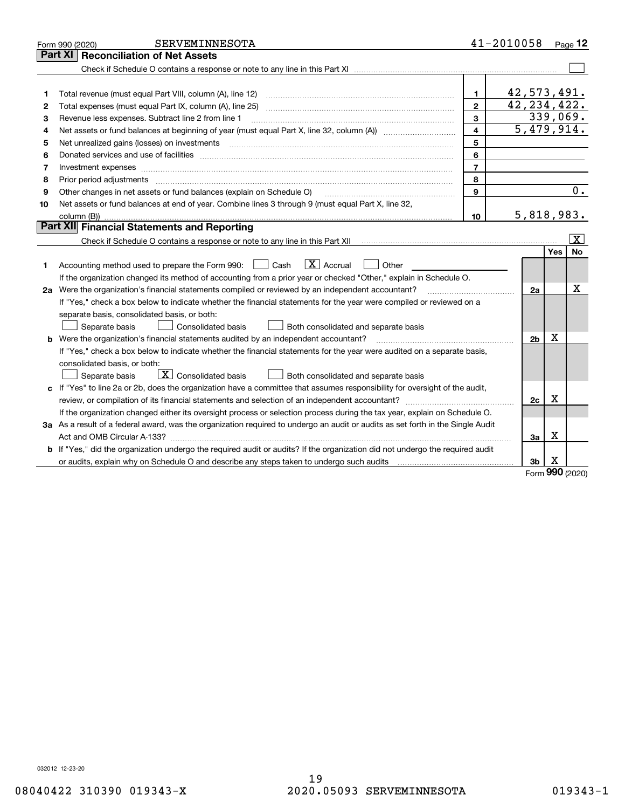|    | SERVEMINNESOTA<br>Form 990 (2020)                                                                                               |                | 41-2010058     |                 | Page $12$         |
|----|---------------------------------------------------------------------------------------------------------------------------------|----------------|----------------|-----------------|-------------------|
|    | Part XI<br><b>Reconciliation of Net Assets</b>                                                                                  |                |                |                 |                   |
|    |                                                                                                                                 |                |                |                 |                   |
|    |                                                                                                                                 |                |                |                 |                   |
| 1  |                                                                                                                                 | 1              | 42,573,491.    |                 |                   |
| 2  |                                                                                                                                 | $\mathbf{2}$   | 42, 234, 422.  |                 |                   |
| 3  | Revenue less expenses. Subtract line 2 from line 1                                                                              | 3              |                | 339,069.        |                   |
| 4  |                                                                                                                                 | 4              | 5,479,914.     |                 |                   |
| 5  | Net unrealized gains (losses) on investments                                                                                    | 5              |                |                 |                   |
| 6  |                                                                                                                                 | 6              |                |                 |                   |
| 7  | Investment expenses                                                                                                             | $\overline{7}$ |                |                 |                   |
| 8  | Prior period adjustments                                                                                                        | 8              |                |                 |                   |
| 9  | Other changes in net assets or fund balances (explain on Schedule O)                                                            | 9              |                |                 | 0.                |
| 10 | Net assets or fund balances at end of year. Combine lines 3 through 9 (must equal Part X, line 32,                              |                |                |                 |                   |
|    |                                                                                                                                 | 10             | 5,818,983.     |                 |                   |
|    | <b>Part XII Financial Statements and Reporting</b>                                                                              |                |                |                 |                   |
|    |                                                                                                                                 |                |                |                 | $\vert$ X $\vert$ |
|    |                                                                                                                                 |                |                | Yes             | <b>No</b>         |
| 1. | $\boxed{\mathbf{X}}$ Accrual<br>Accounting method used to prepare the Form 990: <u>[</u> Cash<br>Other                          |                |                |                 |                   |
|    | If the organization changed its method of accounting from a prior year or checked "Other," explain in Schedule O.               |                |                |                 |                   |
|    | 2a Were the organization's financial statements compiled or reviewed by an independent accountant?                              |                | 2a             |                 | x                 |
|    | If "Yes," check a box below to indicate whether the financial statements for the year were compiled or reviewed on a            |                |                |                 |                   |
|    | separate basis, consolidated basis, or both:                                                                                    |                |                |                 |                   |
|    | Both consolidated and separate basis<br>Separate basis<br>Consolidated basis                                                    |                |                |                 |                   |
|    | <b>b</b> Were the organization's financial statements audited by an independent accountant?                                     |                | 2 <sub>b</sub> | X               |                   |
|    | If "Yes," check a box below to indicate whether the financial statements for the year were audited on a separate basis,         |                |                |                 |                   |
|    | consolidated basis, or both:                                                                                                    |                |                |                 |                   |
|    | X Consolidated basis<br>Both consolidated and separate basis<br>Separate basis                                                  |                |                |                 |                   |
|    | c If "Yes" to line 2a or 2b, does the organization have a committee that assumes responsibility for oversight of the audit,     |                |                |                 |                   |
|    |                                                                                                                                 |                | 2c             | X               |                   |
|    | If the organization changed either its oversight process or selection process during the tax year, explain on Schedule O.       |                |                |                 |                   |
|    | 3a As a result of a federal award, was the organization required to undergo an audit or audits as set forth in the Single Audit |                |                |                 |                   |
|    |                                                                                                                                 |                | За             | х               |                   |
|    | b If "Yes," did the organization undergo the required audit or audits? If the organization did not undergo the required audit   |                |                |                 |                   |
|    |                                                                                                                                 |                | 3 <sub>b</sub> | х<br><u>nuu</u> |                   |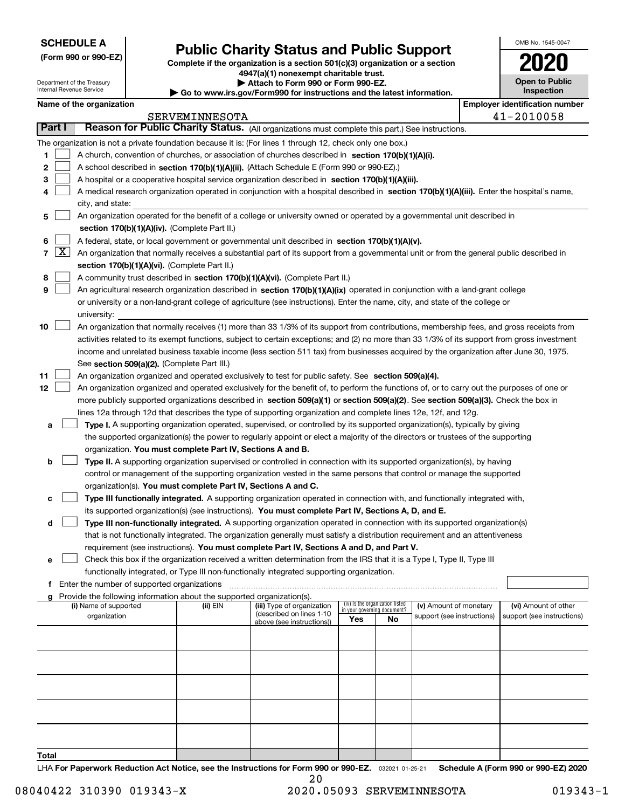Department of the Treasury Internal Revenue Service

**(Form 990 or 990-EZ)**

## **Public Charity Status and Public Support**

**Complete if the organization is a section 501(c)(3) organization or a section 4947(a)(1) nonexempt charitable trust.**

**| Attach to Form 990 or Form 990-EZ.** 

**| Go to www.irs.gov/Form990 for instructions and the latest information.**

| OMB No. 1545-0047                   |
|-------------------------------------|
| 020                                 |
| <b>Open to Public</b><br>Inspection |

 $\blacksquare$ 

|  | Name of the organization |
|--|--------------------------|
|--|--------------------------|

|               |                     | Name of the organization                                                                                                                     |                |                                                        |                             |                                 |                            |  | <b>Employer identification number</b>              |  |  |
|---------------|---------------------|----------------------------------------------------------------------------------------------------------------------------------------------|----------------|--------------------------------------------------------|-----------------------------|---------------------------------|----------------------------|--|----------------------------------------------------|--|--|
|               |                     |                                                                                                                                              | SERVEMINNESOTA |                                                        |                             |                                 |                            |  | 41-2010058                                         |  |  |
| <b>Part I</b> |                     | Reason for Public Charity Status. (All organizations must complete this part.) See instructions.                                             |                |                                                        |                             |                                 |                            |  |                                                    |  |  |
|               |                     | The organization is not a private foundation because it is: (For lines 1 through 12, check only one box.)                                    |                |                                                        |                             |                                 |                            |  |                                                    |  |  |
| 1             |                     | A church, convention of churches, or association of churches described in section 170(b)(1)(A)(i).                                           |                |                                                        |                             |                                 |                            |  |                                                    |  |  |
| 2             |                     | A school described in section 170(b)(1)(A)(ii). (Attach Schedule E (Form 990 or 990-EZ).)                                                    |                |                                                        |                             |                                 |                            |  |                                                    |  |  |
| з             |                     | A hospital or a cooperative hospital service organization described in section 170(b)(1)(A)(iii).                                            |                |                                                        |                             |                                 |                            |  |                                                    |  |  |
|               |                     | A medical research organization operated in conjunction with a hospital described in section 170(b)(1)(A)(iii). Enter the hospital's name,   |                |                                                        |                             |                                 |                            |  |                                                    |  |  |
|               |                     | city, and state:                                                                                                                             |                |                                                        |                             |                                 |                            |  |                                                    |  |  |
| 5             |                     | An organization operated for the benefit of a college or university owned or operated by a governmental unit described in                    |                |                                                        |                             |                                 |                            |  |                                                    |  |  |
|               |                     | section 170(b)(1)(A)(iv). (Complete Part II.)                                                                                                |                |                                                        |                             |                                 |                            |  |                                                    |  |  |
| 6             |                     | A federal, state, or local government or governmental unit described in section 170(b)(1)(A)(v).                                             |                |                                                        |                             |                                 |                            |  |                                                    |  |  |
| 7             | $\lfloor x \rfloor$ | An organization that normally receives a substantial part of its support from a governmental unit or from the general public described in    |                |                                                        |                             |                                 |                            |  |                                                    |  |  |
|               |                     | section 170(b)(1)(A)(vi). (Complete Part II.)                                                                                                |                |                                                        |                             |                                 |                            |  |                                                    |  |  |
| 8             |                     | A community trust described in section 170(b)(1)(A)(vi). (Complete Part II.)                                                                 |                |                                                        |                             |                                 |                            |  |                                                    |  |  |
| 9             |                     | An agricultural research organization described in section 170(b)(1)(A)(ix) operated in conjunction with a land-grant college                |                |                                                        |                             |                                 |                            |  |                                                    |  |  |
|               |                     | or university or a non-land-grant college of agriculture (see instructions). Enter the name, city, and state of the college or               |                |                                                        |                             |                                 |                            |  |                                                    |  |  |
|               |                     | university:                                                                                                                                  |                |                                                        |                             |                                 |                            |  |                                                    |  |  |
| 10            |                     | An organization that normally receives (1) more than 33 1/3% of its support from contributions, membership fees, and gross receipts from     |                |                                                        |                             |                                 |                            |  |                                                    |  |  |
|               |                     | activities related to its exempt functions, subject to certain exceptions; and (2) no more than 33 1/3% of its support from gross investment |                |                                                        |                             |                                 |                            |  |                                                    |  |  |
|               |                     | income and unrelated business taxable income (less section 511 tax) from businesses acquired by the organization after June 30, 1975.        |                |                                                        |                             |                                 |                            |  |                                                    |  |  |
|               |                     | See section 509(a)(2). (Complete Part III.)                                                                                                  |                |                                                        |                             |                                 |                            |  |                                                    |  |  |
| 11            |                     | An organization organized and operated exclusively to test for public safety. See section 509(a)(4).                                         |                |                                                        |                             |                                 |                            |  |                                                    |  |  |
| 12            |                     | An organization organized and operated exclusively for the benefit of, to perform the functions of, or to carry out the purposes of one or   |                |                                                        |                             |                                 |                            |  |                                                    |  |  |
|               |                     | more publicly supported organizations described in section 509(a)(1) or section 509(a)(2). See section 509(a)(3). Check the box in           |                |                                                        |                             |                                 |                            |  |                                                    |  |  |
|               |                     | lines 12a through 12d that describes the type of supporting organization and complete lines 12e, 12f, and 12g.                               |                |                                                        |                             |                                 |                            |  |                                                    |  |  |
| а             |                     | Type I. A supporting organization operated, supervised, or controlled by its supported organization(s), typically by giving                  |                |                                                        |                             |                                 |                            |  |                                                    |  |  |
|               |                     | the supported organization(s) the power to regularly appoint or elect a majority of the directors or trustees of the supporting              |                |                                                        |                             |                                 |                            |  |                                                    |  |  |
|               |                     | organization. You must complete Part IV, Sections A and B.                                                                                   |                |                                                        |                             |                                 |                            |  |                                                    |  |  |
| b             |                     | Type II. A supporting organization supervised or controlled in connection with its supported organization(s), by having                      |                |                                                        |                             |                                 |                            |  |                                                    |  |  |
|               |                     | control or management of the supporting organization vested in the same persons that control or manage the supported                         |                |                                                        |                             |                                 |                            |  |                                                    |  |  |
|               |                     | organization(s). You must complete Part IV, Sections A and C.                                                                                |                |                                                        |                             |                                 |                            |  |                                                    |  |  |
| c             |                     | Type III functionally integrated. A supporting organization operated in connection with, and functionally integrated with,                   |                |                                                        |                             |                                 |                            |  |                                                    |  |  |
|               |                     | its supported organization(s) (see instructions). You must complete Part IV, Sections A, D, and E.                                           |                |                                                        |                             |                                 |                            |  |                                                    |  |  |
| d             |                     | Type III non-functionally integrated. A supporting organization operated in connection with its supported organization(s)                    |                |                                                        |                             |                                 |                            |  |                                                    |  |  |
|               |                     | that is not functionally integrated. The organization generally must satisfy a distribution requirement and an attentiveness                 |                |                                                        |                             |                                 |                            |  |                                                    |  |  |
|               |                     | requirement (see instructions). You must complete Part IV, Sections A and D, and Part V.                                                     |                |                                                        |                             |                                 |                            |  |                                                    |  |  |
| е             |                     | Check this box if the organization received a written determination from the IRS that it is a Type I, Type II, Type III                      |                |                                                        |                             |                                 |                            |  |                                                    |  |  |
|               |                     | functionally integrated, or Type III non-functionally integrated supporting organization.                                                    |                |                                                        |                             |                                 |                            |  |                                                    |  |  |
|               |                     | f Enter the number of supported organizations                                                                                                |                |                                                        |                             |                                 |                            |  |                                                    |  |  |
|               |                     | g Provide the following information about the supported organization(s).                                                                     |                |                                                        |                             |                                 |                            |  |                                                    |  |  |
|               |                     | (i) Name of supported                                                                                                                        | (ii) EIN       | (iii) Type of organization<br>(described on lines 1-10 | in your governing document? | (iv) Is the organization listed | (v) Amount of monetary     |  | (vi) Amount of other<br>support (see instructions) |  |  |
|               |                     | organization                                                                                                                                 |                | above (see instructions))                              | Yes                         | No.                             | support (see instructions) |  |                                                    |  |  |
|               |                     |                                                                                                                                              |                |                                                        |                             |                                 |                            |  |                                                    |  |  |
|               |                     |                                                                                                                                              |                |                                                        |                             |                                 |                            |  |                                                    |  |  |
|               |                     |                                                                                                                                              |                |                                                        |                             |                                 |                            |  |                                                    |  |  |
|               |                     |                                                                                                                                              |                |                                                        |                             |                                 |                            |  |                                                    |  |  |
|               |                     |                                                                                                                                              |                |                                                        |                             |                                 |                            |  |                                                    |  |  |
|               |                     |                                                                                                                                              |                |                                                        |                             |                                 |                            |  |                                                    |  |  |
|               |                     |                                                                                                                                              |                |                                                        |                             |                                 |                            |  |                                                    |  |  |
|               |                     |                                                                                                                                              |                |                                                        |                             |                                 |                            |  |                                                    |  |  |
|               |                     |                                                                                                                                              |                |                                                        |                             |                                 |                            |  |                                                    |  |  |
|               |                     |                                                                                                                                              |                |                                                        |                             |                                 |                            |  |                                                    |  |  |
| Total         |                     |                                                                                                                                              |                |                                                        |                             |                                 |                            |  |                                                    |  |  |

LHA For Paperwork Reduction Act Notice, see the Instructions for Form 990 or 990-EZ. <sub>032021</sub> o1-25-21 Schedule A (Form 990 or 990-EZ) 2020 20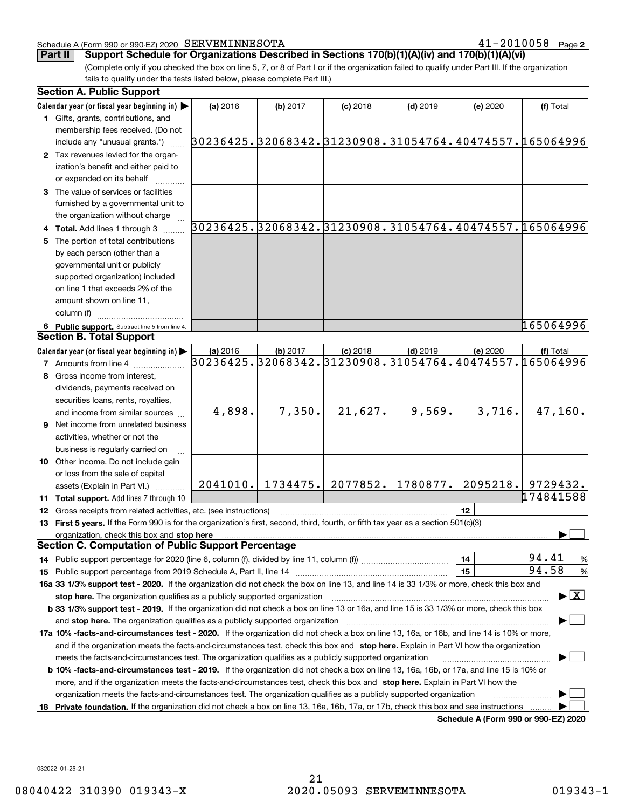#### Schedule A (Form 990 or 990-EZ) 2020 Page SERVEMINNESOTA 41-2010058

 $41 - 2010058$  Page 2

**Part II Support Schedule for Organizations Described in Sections 170(b)(1)(A)(iv) and 170(b)(1)(A)(vi)**

(Complete only if you checked the box on line 5, 7, or 8 of Part I or if the organization failed to qualify under Part III. If the organization fails to qualify under the tests listed below, please complete Part III.)

|    | <b>Section A. Public Support</b>                                                                                                               |                                                             |          |            |            |                                                        |                                          |
|----|------------------------------------------------------------------------------------------------------------------------------------------------|-------------------------------------------------------------|----------|------------|------------|--------------------------------------------------------|------------------------------------------|
|    | Calendar year (or fiscal year beginning in)                                                                                                    | (a) 2016                                                    | (b) 2017 | $(c)$ 2018 | $(d)$ 2019 | (e) 2020                                               | (f) Total                                |
|    | 1 Gifts, grants, contributions, and<br>membership fees received. (Do not                                                                       |                                                             |          |            |            |                                                        |                                          |
|    | include any "unusual grants.")                                                                                                                 | 30236425. 32068342. 31230908. 31054764. 40474557. 165064996 |          |            |            |                                                        |                                          |
|    | 2 Tax revenues levied for the organ-<br>ization's benefit and either paid to<br>or expended on its behalf                                      |                                                             |          |            |            |                                                        |                                          |
|    | 3 The value of services or facilities<br>furnished by a governmental unit to                                                                   |                                                             |          |            |            |                                                        |                                          |
|    | the organization without charge                                                                                                                | 30236425. 32068342. 31230908. 31054764. 40474557. 165064996 |          |            |            |                                                        |                                          |
|    | 4 Total. Add lines 1 through 3                                                                                                                 |                                                             |          |            |            |                                                        |                                          |
| 5. | The portion of total contributions                                                                                                             |                                                             |          |            |            |                                                        |                                          |
|    | by each person (other than a<br>governmental unit or publicly                                                                                  |                                                             |          |            |            |                                                        |                                          |
|    | supported organization) included                                                                                                               |                                                             |          |            |            |                                                        |                                          |
|    | on line 1 that exceeds 2% of the                                                                                                               |                                                             |          |            |            |                                                        |                                          |
|    | amount shown on line 11,                                                                                                                       |                                                             |          |            |            |                                                        |                                          |
|    | column (f)                                                                                                                                     |                                                             |          |            |            |                                                        |                                          |
|    | 6 Public support. Subtract line 5 from line 4.                                                                                                 |                                                             |          |            |            |                                                        | 165064996                                |
|    | <b>Section B. Total Support</b>                                                                                                                |                                                             |          |            |            |                                                        |                                          |
|    | Calendar year (or fiscal year beginning in)                                                                                                    | (a) 2016                                                    | (b) 2017 | $(c)$ 2018 | $(d)$ 2019 | (e) 2020                                               | (f) Total                                |
|    | <b>7</b> Amounts from line 4                                                                                                                   |                                                             |          |            |            | 30236425.32068342.31230908.31054764.40474557.165064996 |                                          |
|    | 8 Gross income from interest,                                                                                                                  |                                                             |          |            |            |                                                        |                                          |
|    | dividends, payments received on                                                                                                                |                                                             |          |            |            |                                                        |                                          |
|    | securities loans, rents, royalties,                                                                                                            |                                                             |          |            |            |                                                        |                                          |
|    | and income from similar sources                                                                                                                | 4,898.                                                      | 7,350.   | 21,627.    | 9,569.     | 3,716.                                                 | 47,160.                                  |
|    | 9 Net income from unrelated business                                                                                                           |                                                             |          |            |            |                                                        |                                          |
|    | activities, whether or not the                                                                                                                 |                                                             |          |            |            |                                                        |                                          |
|    | business is regularly carried on                                                                                                               |                                                             |          |            |            |                                                        |                                          |
|    | 10 Other income. Do not include gain                                                                                                           |                                                             |          |            |            |                                                        |                                          |
|    | or loss from the sale of capital                                                                                                               |                                                             |          |            |            |                                                        |                                          |
|    | assets (Explain in Part VI.)                                                                                                                   | 2041010.                                                    | 1734475. | 2077852.   | 1780877.   | 2095218.                                               | 9729432.                                 |
|    | 11 Total support. Add lines 7 through 10                                                                                                       |                                                             |          |            |            |                                                        | 174841588                                |
|    | 12 Gross receipts from related activities, etc. (see instructions)                                                                             |                                                             |          |            |            | 12                                                     |                                          |
|    | 13 First 5 years. If the Form 990 is for the organization's first, second, third, fourth, or fifth tax year as a section 501(c)(3)             |                                                             |          |            |            |                                                        |                                          |
|    | organization, check this box and stop here<br><b>Section C. Computation of Public Support Percentage</b>                                       |                                                             |          |            |            |                                                        |                                          |
|    |                                                                                                                                                |                                                             |          |            |            |                                                        | 94.41                                    |
|    |                                                                                                                                                |                                                             |          |            |            | 14<br>15                                               | %<br>94.58                               |
|    | 16a 33 1/3% support test - 2020. If the organization did not check the box on line 13, and line 14 is 33 1/3% or more, check this box and      |                                                             |          |            |            |                                                        | $\%$                                     |
|    | stop here. The organization qualifies as a publicly supported organization                                                                     |                                                             |          |            |            |                                                        | $\blacktriangleright$ $\boxed{\text{X}}$ |
|    | b 33 1/3% support test - 2019. If the organization did not check a box on line 13 or 16a, and line 15 is 33 1/3% or more, check this box       |                                                             |          |            |            |                                                        |                                          |
|    | and stop here. The organization qualifies as a publicly supported organization                                                                 |                                                             |          |            |            |                                                        |                                          |
|    | 17a 10% -facts-and-circumstances test - 2020. If the organization did not check a box on line 13, 16a, or 16b, and line 14 is 10% or more,     |                                                             |          |            |            |                                                        |                                          |
|    | and if the organization meets the facts-and-circumstances test, check this box and stop here. Explain in Part VI how the organization          |                                                             |          |            |            |                                                        |                                          |
|    | meets the facts-and-circumstances test. The organization qualifies as a publicly supported organization                                        |                                                             |          |            |            |                                                        |                                          |
|    | <b>b 10% -facts-and-circumstances test - 2019.</b> If the organization did not check a box on line 13, 16a, 16b, or 17a, and line 15 is 10% or |                                                             |          |            |            |                                                        |                                          |
|    | more, and if the organization meets the facts-and-circumstances test, check this box and stop here. Explain in Part VI how the                 |                                                             |          |            |            |                                                        |                                          |
|    | organization meets the facts-and-circumstances test. The organization qualifies as a publicly supported organization                           |                                                             |          |            |            |                                                        |                                          |
| 18 | Private foundation. If the organization did not check a box on line 13, 16a, 16b, 17a, or 17b, check this box and see instructions             |                                                             |          |            |            |                                                        |                                          |
|    |                                                                                                                                                |                                                             |          |            |            | Schedule A (Form 990 or 990-EZ) 2020                   |                                          |

032022 01-25-21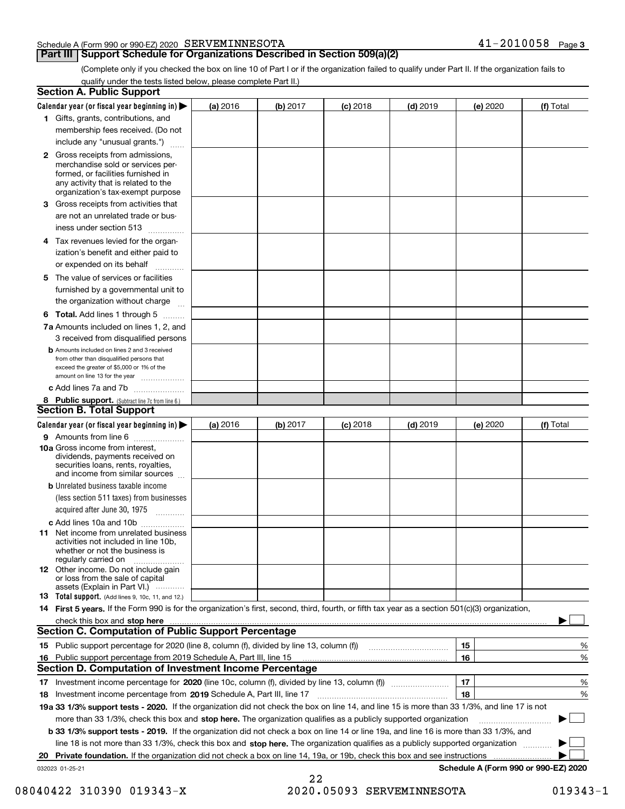#### Schedule A (Form 990 or 990-EZ) 2020 Page SERVEMINNESOTA 41-2010058

## **Part III Support Schedule for Organizations Described in Section 509(a)(2)**

(Complete only if you checked the box on line 10 of Part I or if the organization failed to qualify under Part II. If the organization fails to qualify under the tests listed below, please complete Part II.)

| <b>Section A. Public Support</b>                                                                                                                                                                                                                                                             |          |          |            |            |                 |                                      |
|----------------------------------------------------------------------------------------------------------------------------------------------------------------------------------------------------------------------------------------------------------------------------------------------|----------|----------|------------|------------|-----------------|--------------------------------------|
| Calendar year (or fiscal year beginning in) $\blacktriangleright$                                                                                                                                                                                                                            | (a) 2016 | (b) 2017 | $(c)$ 2018 | $(d)$ 2019 | <b>(e)</b> 2020 | (f) Total                            |
| 1 Gifts, grants, contributions, and                                                                                                                                                                                                                                                          |          |          |            |            |                 |                                      |
| membership fees received. (Do not                                                                                                                                                                                                                                                            |          |          |            |            |                 |                                      |
| include any "unusual grants.")                                                                                                                                                                                                                                                               |          |          |            |            |                 |                                      |
| <b>2</b> Gross receipts from admissions,<br>merchandise sold or services per-<br>formed, or facilities furnished in<br>any activity that is related to the<br>organization's tax-exempt purpose                                                                                              |          |          |            |            |                 |                                      |
| 3 Gross receipts from activities that<br>are not an unrelated trade or bus-<br>iness under section 513                                                                                                                                                                                       |          |          |            |            |                 |                                      |
| 4 Tax revenues levied for the organ-<br>ization's benefit and either paid to                                                                                                                                                                                                                 |          |          |            |            |                 |                                      |
| or expended on its behalf<br>5 The value of services or facilities<br>furnished by a governmental unit to<br>the organization without charge                                                                                                                                                 |          |          |            |            |                 |                                      |
|                                                                                                                                                                                                                                                                                              |          |          |            |            |                 |                                      |
| <b>6 Total.</b> Add lines 1 through 5<br>7a Amounts included on lines 1, 2, and<br>3 received from disqualified persons                                                                                                                                                                      |          |          |            |            |                 |                                      |
| <b>b</b> Amounts included on lines 2 and 3 received<br>from other than disqualified persons that<br>exceed the greater of \$5,000 or 1% of the<br>amount on line 13 for the year                                                                                                             |          |          |            |            |                 |                                      |
| c Add lines 7a and 7b                                                                                                                                                                                                                                                                        |          |          |            |            |                 |                                      |
| 8 Public support. (Subtract line 7c from line 6.)<br><b>Section B. Total Support</b>                                                                                                                                                                                                         |          |          |            |            |                 |                                      |
| Calendar year (or fiscal year beginning in) $\blacktriangleright$                                                                                                                                                                                                                            | (a) 2016 | (b) 2017 | $(c)$ 2018 | $(d)$ 2019 | (e) 2020        | (f) Total                            |
| 9 Amounts from line 6                                                                                                                                                                                                                                                                        |          |          |            |            |                 |                                      |
| <b>10a</b> Gross income from interest,<br>dividends, payments received on<br>securities loans, rents, royalties,<br>and income from similar sources                                                                                                                                          |          |          |            |            |                 |                                      |
| <b>b</b> Unrelated business taxable income<br>(less section 511 taxes) from businesses<br>acquired after June 30, 1975                                                                                                                                                                       |          |          |            |            |                 |                                      |
| c Add lines 10a and 10b                                                                                                                                                                                                                                                                      |          |          |            |            |                 |                                      |
| 11 Net income from unrelated business<br>activities not included in line 10b,<br>whether or not the business is<br>regularly carried on                                                                                                                                                      |          |          |            |            |                 |                                      |
| <b>12</b> Other income. Do not include gain<br>or loss from the sale of capital<br>assets (Explain in Part VI.)                                                                                                                                                                              |          |          |            |            |                 |                                      |
| <b>13</b> Total support. (Add lines 9, 10c, 11, and 12.)                                                                                                                                                                                                                                     |          |          |            |            |                 |                                      |
| 14 First 5 years. If the Form 990 is for the organization's first, second, third, fourth, or fifth tax year as a section 501(c)(3) organization,                                                                                                                                             |          |          |            |            |                 |                                      |
| check this box and stop here communication and content to the state of the state of the state of the state of the state of the state of the state of the state of the state of the state of the state of the state of the stat<br><b>Section C. Computation of Public Support Percentage</b> |          |          |            |            |                 |                                      |
| 15 Public support percentage for 2020 (line 8, column (f), divided by line 13, column (f))                                                                                                                                                                                                   |          |          |            |            | 15              | %                                    |
| 16 Public support percentage from 2019 Schedule A, Part III, line 15                                                                                                                                                                                                                         |          |          |            |            | 16              | %                                    |
| <b>Section D. Computation of Investment Income Percentage</b>                                                                                                                                                                                                                                |          |          |            |            |                 |                                      |
|                                                                                                                                                                                                                                                                                              |          |          |            |            | 17              | %                                    |
| 18 Investment income percentage from 2019 Schedule A, Part III, line 17                                                                                                                                                                                                                      |          |          |            |            | 18              | %                                    |
| 19a 33 1/3% support tests - 2020. If the organization did not check the box on line 14, and line 15 is more than 33 1/3%, and line 17 is not                                                                                                                                                 |          |          |            |            |                 |                                      |
| more than 33 1/3%, check this box and stop here. The organization qualifies as a publicly supported organization                                                                                                                                                                             |          |          |            |            |                 | $\sim$                               |
| b 33 1/3% support tests - 2019. If the organization did not check a box on line 14 or line 19a, and line 16 is more than 33 1/3%, and                                                                                                                                                        |          |          |            |            |                 |                                      |
| line 18 is not more than 33 1/3%, check this box and stop here. The organization qualifies as a publicly supported organization                                                                                                                                                              |          |          |            |            |                 |                                      |
| 20 Private foundation. If the organization did not check a box on line 14, 19a, or 19b, check this box and see instructions                                                                                                                                                                  |          |          |            |            |                 |                                      |
| 032023 01-25-21                                                                                                                                                                                                                                                                              |          |          |            |            |                 | Schedule A (Form 990 or 990-EZ) 2020 |
|                                                                                                                                                                                                                                                                                              |          | 22       |            |            |                 |                                      |

 <sup>08040422 310390 019343-</sup>X 2020.05093 SERVEMINNESOTA 019343-1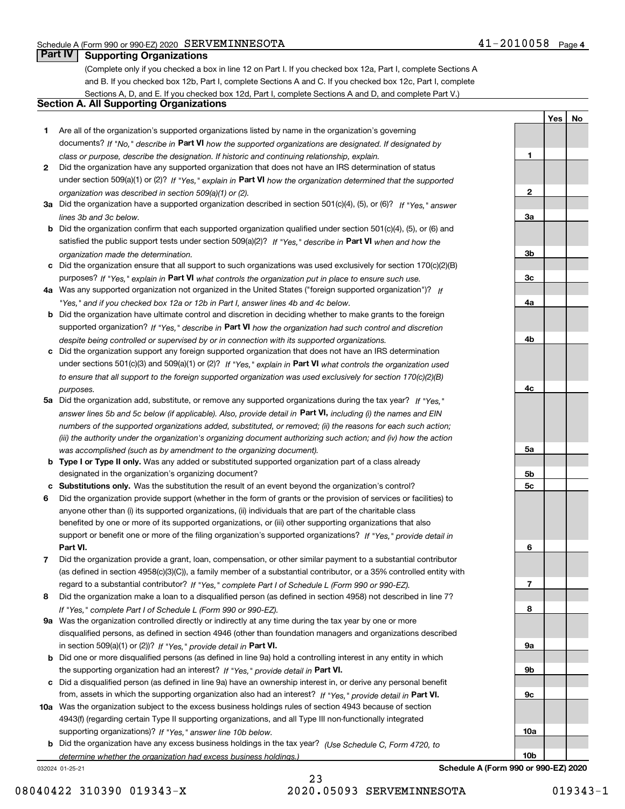**1**

**2**

**3a**

**3b**

**3c**

**4a**

**4b**

**4c**

**5a**

**5b5c**

**6**

**7**

**8**

**9a**

**9b**

**9c**

**10a**

**10b**

**YesNo**

## **Part IV Supporting Organizations**

(Complete only if you checked a box in line 12 on Part I. If you checked box 12a, Part I, complete Sections A and B. If you checked box 12b, Part I, complete Sections A and C. If you checked box 12c, Part I, complete Sections A, D, and E. If you checked box 12d, Part I, complete Sections A and D, and complete Part V.)

### **Section A. All Supporting Organizations**

- **1** Are all of the organization's supported organizations listed by name in the organization's governing documents? If "No," describe in **Part VI** how the supported organizations are designated. If designated by *class or purpose, describe the designation. If historic and continuing relationship, explain.*
- **2** Did the organization have any supported organization that does not have an IRS determination of status under section 509(a)(1) or (2)? If "Yes," explain in Part VI how the organization determined that the supported *organization was described in section 509(a)(1) or (2).*
- **3a** Did the organization have a supported organization described in section 501(c)(4), (5), or (6)? If "Yes," answer *lines 3b and 3c below.*
- **b** Did the organization confirm that each supported organization qualified under section 501(c)(4), (5), or (6) and satisfied the public support tests under section 509(a)(2)? If "Yes," describe in **Part VI** when and how the *organization made the determination.*
- **c**Did the organization ensure that all support to such organizations was used exclusively for section 170(c)(2)(B) purposes? If "Yes," explain in **Part VI** what controls the organization put in place to ensure such use.
- **4a***If* Was any supported organization not organized in the United States ("foreign supported organization")? *"Yes," and if you checked box 12a or 12b in Part I, answer lines 4b and 4c below.*
- **b** Did the organization have ultimate control and discretion in deciding whether to make grants to the foreign supported organization? If "Yes," describe in **Part VI** how the organization had such control and discretion *despite being controlled or supervised by or in connection with its supported organizations.*
- **c** Did the organization support any foreign supported organization that does not have an IRS determination under sections 501(c)(3) and 509(a)(1) or (2)? If "Yes," explain in **Part VI** what controls the organization used *to ensure that all support to the foreign supported organization was used exclusively for section 170(c)(2)(B) purposes.*
- **5a** Did the organization add, substitute, or remove any supported organizations during the tax year? If "Yes," answer lines 5b and 5c below (if applicable). Also, provide detail in **Part VI,** including (i) the names and EIN *numbers of the supported organizations added, substituted, or removed; (ii) the reasons for each such action; (iii) the authority under the organization's organizing document authorizing such action; and (iv) how the action was accomplished (such as by amendment to the organizing document).*
- **b** Type I or Type II only. Was any added or substituted supported organization part of a class already designated in the organization's organizing document?
- **cSubstitutions only.**  Was the substitution the result of an event beyond the organization's control?
- **6** Did the organization provide support (whether in the form of grants or the provision of services or facilities) to **Part VI.** *If "Yes," provide detail in* support or benefit one or more of the filing organization's supported organizations? anyone other than (i) its supported organizations, (ii) individuals that are part of the charitable class benefited by one or more of its supported organizations, or (iii) other supporting organizations that also
- **7**Did the organization provide a grant, loan, compensation, or other similar payment to a substantial contributor *If "Yes," complete Part I of Schedule L (Form 990 or 990-EZ).* regard to a substantial contributor? (as defined in section 4958(c)(3)(C)), a family member of a substantial contributor, or a 35% controlled entity with
- **8** Did the organization make a loan to a disqualified person (as defined in section 4958) not described in line 7? *If "Yes," complete Part I of Schedule L (Form 990 or 990-EZ).*
- **9a** Was the organization controlled directly or indirectly at any time during the tax year by one or more in section 509(a)(1) or (2))? If "Yes," *provide detail in* <code>Part VI.</code> disqualified persons, as defined in section 4946 (other than foundation managers and organizations described
- **b** Did one or more disqualified persons (as defined in line 9a) hold a controlling interest in any entity in which the supporting organization had an interest? If "Yes," provide detail in P**art VI**.
- **c**Did a disqualified person (as defined in line 9a) have an ownership interest in, or derive any personal benefit from, assets in which the supporting organization also had an interest? If "Yes," provide detail in P**art VI.**
- **10a** Was the organization subject to the excess business holdings rules of section 4943 because of section supporting organizations)? If "Yes," answer line 10b below. 4943(f) (regarding certain Type II supporting organizations, and all Type III non-functionally integrated
- **b** Did the organization have any excess business holdings in the tax year? (Use Schedule C, Form 4720, to **Schedule A (Form 990 or 990-EZ) 2020** *determine whether the organization had excess business holdings.)*

032024 01-25-21

23 08040422 310390 019343-X 2020.05093 SERVEMINNESOTA 019343-1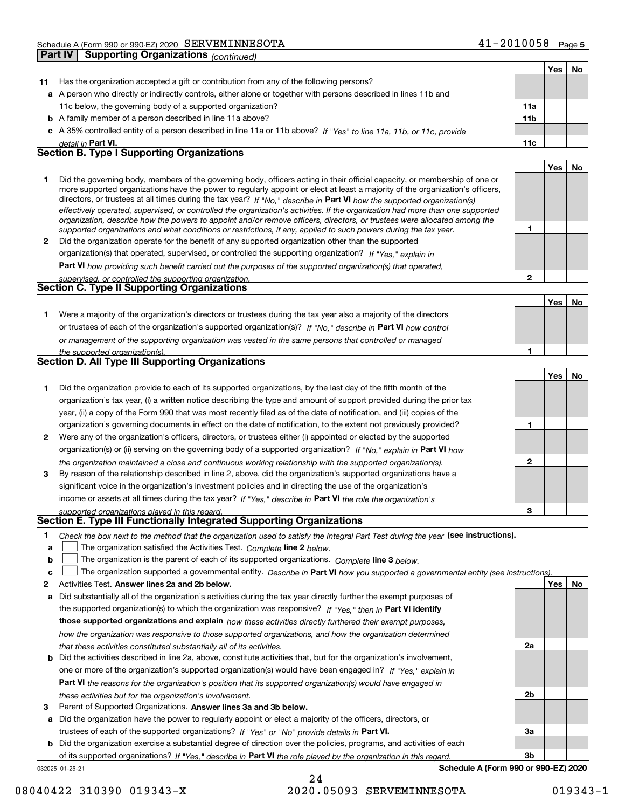|              | <b>Supporting Organizations (continued)</b><br>Part IV                                                                                                                                                                                                                                                                                                                                                                                                                                                                                                                                                                                               |                 |     |    |
|--------------|------------------------------------------------------------------------------------------------------------------------------------------------------------------------------------------------------------------------------------------------------------------------------------------------------------------------------------------------------------------------------------------------------------------------------------------------------------------------------------------------------------------------------------------------------------------------------------------------------------------------------------------------------|-----------------|-----|----|
|              |                                                                                                                                                                                                                                                                                                                                                                                                                                                                                                                                                                                                                                                      |                 | Yes | No |
| 11           | Has the organization accepted a gift or contribution from any of the following persons?                                                                                                                                                                                                                                                                                                                                                                                                                                                                                                                                                              |                 |     |    |
|              | a A person who directly or indirectly controls, either alone or together with persons described in lines 11b and                                                                                                                                                                                                                                                                                                                                                                                                                                                                                                                                     |                 |     |    |
|              | 11c below, the governing body of a supported organization?                                                                                                                                                                                                                                                                                                                                                                                                                                                                                                                                                                                           | 11a             |     |    |
|              | <b>b</b> A family member of a person described in line 11a above?                                                                                                                                                                                                                                                                                                                                                                                                                                                                                                                                                                                    | 11 <sub>b</sub> |     |    |
|              | c A 35% controlled entity of a person described in line 11a or 11b above? If "Yes" to line 11a, 11b, or 11c, provide                                                                                                                                                                                                                                                                                                                                                                                                                                                                                                                                 |                 |     |    |
|              | detail in Part VI.                                                                                                                                                                                                                                                                                                                                                                                                                                                                                                                                                                                                                                   | 11c             |     |    |
|              | <b>Section B. Type I Supporting Organizations</b>                                                                                                                                                                                                                                                                                                                                                                                                                                                                                                                                                                                                    |                 |     |    |
|              |                                                                                                                                                                                                                                                                                                                                                                                                                                                                                                                                                                                                                                                      |                 | Yes | No |
| 1.           | Did the governing body, members of the governing body, officers acting in their official capacity, or membership of one or<br>more supported organizations have the power to regularly appoint or elect at least a majority of the organization's officers,<br>directors, or trustees at all times during the tax year? If "No," describe in Part VI how the supported organization(s)<br>effectively operated, supervised, or controlled the organization's activities. If the organization had more than one supported<br>organization, describe how the powers to appoint and/or remove officers, directors, or trustees were allocated among the |                 |     |    |
|              | supported organizations and what conditions or restrictions, if any, applied to such powers during the tax year.                                                                                                                                                                                                                                                                                                                                                                                                                                                                                                                                     | 1               |     |    |
| $\mathbf{2}$ | Did the organization operate for the benefit of any supported organization other than the supported                                                                                                                                                                                                                                                                                                                                                                                                                                                                                                                                                  |                 |     |    |
|              | organization(s) that operated, supervised, or controlled the supporting organization? If "Yes," explain in                                                                                                                                                                                                                                                                                                                                                                                                                                                                                                                                           |                 |     |    |
|              | Part VI how providing such benefit carried out the purposes of the supported organization(s) that operated,                                                                                                                                                                                                                                                                                                                                                                                                                                                                                                                                          |                 |     |    |
|              | supervised, or controlled the supporting organization.                                                                                                                                                                                                                                                                                                                                                                                                                                                                                                                                                                                               | $\overline{2}$  |     |    |
|              | Section C. Type II Supporting Organizations                                                                                                                                                                                                                                                                                                                                                                                                                                                                                                                                                                                                          |                 |     |    |
|              |                                                                                                                                                                                                                                                                                                                                                                                                                                                                                                                                                                                                                                                      |                 | Yes | No |
| 1.           | Were a majority of the organization's directors or trustees during the tax year also a majority of the directors                                                                                                                                                                                                                                                                                                                                                                                                                                                                                                                                     |                 |     |    |
|              | or trustees of each of the organization's supported organization(s)? If "No," describe in Part VI how control                                                                                                                                                                                                                                                                                                                                                                                                                                                                                                                                        |                 |     |    |
|              | or management of the supporting organization was vested in the same persons that controlled or managed                                                                                                                                                                                                                                                                                                                                                                                                                                                                                                                                               |                 |     |    |
|              | the supported organization(s).<br><b>Section D. All Type III Supporting Organizations</b>                                                                                                                                                                                                                                                                                                                                                                                                                                                                                                                                                            | 1               |     |    |
|              |                                                                                                                                                                                                                                                                                                                                                                                                                                                                                                                                                                                                                                                      |                 |     |    |
|              |                                                                                                                                                                                                                                                                                                                                                                                                                                                                                                                                                                                                                                                      |                 | Yes | No |
| 1.           | Did the organization provide to each of its supported organizations, by the last day of the fifth month of the                                                                                                                                                                                                                                                                                                                                                                                                                                                                                                                                       |                 |     |    |
|              | organization's tax year, (i) a written notice describing the type and amount of support provided during the prior tax                                                                                                                                                                                                                                                                                                                                                                                                                                                                                                                                |                 |     |    |
|              | year, (ii) a copy of the Form 990 that was most recently filed as of the date of notification, and (iii) copies of the                                                                                                                                                                                                                                                                                                                                                                                                                                                                                                                               |                 |     |    |
|              | organization's governing documents in effect on the date of notification, to the extent not previously provided?                                                                                                                                                                                                                                                                                                                                                                                                                                                                                                                                     | 1               |     |    |
| 2            | Were any of the organization's officers, directors, or trustees either (i) appointed or elected by the supported                                                                                                                                                                                                                                                                                                                                                                                                                                                                                                                                     |                 |     |    |
|              | organization(s) or (ii) serving on the governing body of a supported organization? If "No," explain in Part VI how                                                                                                                                                                                                                                                                                                                                                                                                                                                                                                                                   | $\mathbf 2$     |     |    |
| 3            | the organization maintained a close and continuous working relationship with the supported organization(s).<br>By reason of the relationship described in line 2, above, did the organization's supported organizations have a                                                                                                                                                                                                                                                                                                                                                                                                                       |                 |     |    |
|              | significant voice in the organization's investment policies and in directing the use of the organization's                                                                                                                                                                                                                                                                                                                                                                                                                                                                                                                                           |                 |     |    |
|              | income or assets at all times during the tax year? If "Yes," describe in Part VI the role the organization's                                                                                                                                                                                                                                                                                                                                                                                                                                                                                                                                         |                 |     |    |
|              | supported organizations played in this regard.                                                                                                                                                                                                                                                                                                                                                                                                                                                                                                                                                                                                       | 3               |     |    |
|              | Section E. Type III Functionally Integrated Supporting Organizations                                                                                                                                                                                                                                                                                                                                                                                                                                                                                                                                                                                 |                 |     |    |
| 1.           | Check the box next to the method that the organization used to satisfy the Integral Part Test during the year (see instructions).                                                                                                                                                                                                                                                                                                                                                                                                                                                                                                                    |                 |     |    |
| a            | The organization satisfied the Activities Test. Complete line 2 below.                                                                                                                                                                                                                                                                                                                                                                                                                                                                                                                                                                               |                 |     |    |
| b            | The organization is the parent of each of its supported organizations. Complete line 3 below.                                                                                                                                                                                                                                                                                                                                                                                                                                                                                                                                                        |                 |     |    |
| c            | The organization supported a governmental entity. Describe in Part VI how you supported a governmental entity (see instructions)                                                                                                                                                                                                                                                                                                                                                                                                                                                                                                                     |                 |     |    |
| 2            | Activities Test. Answer lines 2a and 2b below.                                                                                                                                                                                                                                                                                                                                                                                                                                                                                                                                                                                                       |                 | Yes | No |
| а            | Did substantially all of the organization's activities during the tax year directly further the exempt purposes of                                                                                                                                                                                                                                                                                                                                                                                                                                                                                                                                   |                 |     |    |
|              | the supported organization(s) to which the organization was responsive? If "Yes," then in Part VI identify                                                                                                                                                                                                                                                                                                                                                                                                                                                                                                                                           |                 |     |    |
|              | those supported organizations and explain how these activities directly furthered their exempt purposes,                                                                                                                                                                                                                                                                                                                                                                                                                                                                                                                                             |                 |     |    |
|              | how the organization was responsive to those supported organizations, and how the organization determined                                                                                                                                                                                                                                                                                                                                                                                                                                                                                                                                            |                 |     |    |
|              | that these activities constituted substantially all of its activities.                                                                                                                                                                                                                                                                                                                                                                                                                                                                                                                                                                               | 2a              |     |    |

- **b** Did the activities described in line 2a, above, constitute activities that, but for the organization's involvement, **Part VI**  *the reasons for the organization's position that its supported organization(s) would have engaged in* one or more of the organization's supported organization(s) would have been engaged in? If "Yes," e*xplain in these activities but for the organization's involvement.*
- **3** Parent of Supported Organizations. Answer lines 3a and 3b below.

**a** Did the organization have the power to regularly appoint or elect a majority of the officers, directors, or trustees of each of the supported organizations? If "Yes" or "No" provide details in **Part VI.** 

032025 01-25-21 **b** Did the organization exercise a substantial degree of direction over the policies, programs, and activities of each of its supported organizations? If "Yes," describe in Part VI the role played by the organization in this regard.

24

**Schedule A (Form 990 or 990-EZ) 2020**

**2b**

**3a**

**3b**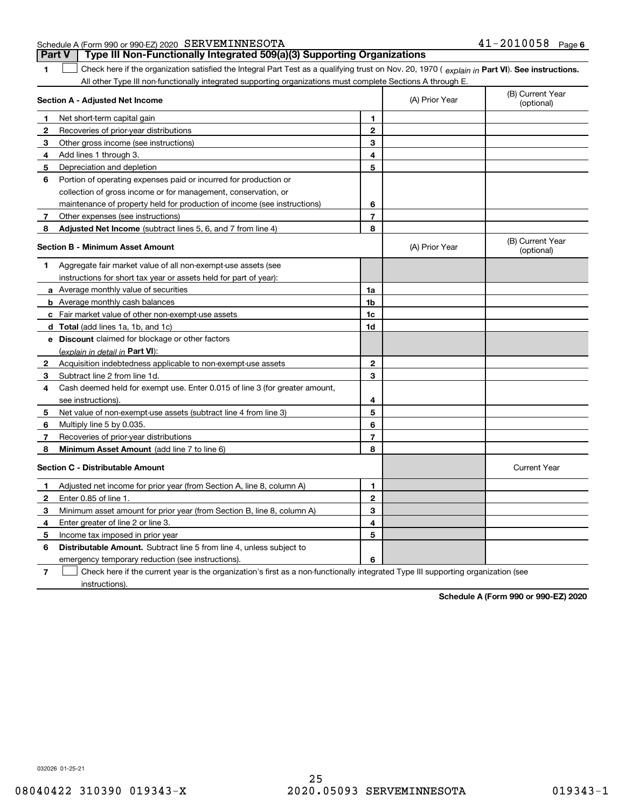| 2010058<br>Schedule A (Form 990 or 990-EZ) 2020 $\,$ SERVEMINNESOTA $\,$<br>Page 6 |
|------------------------------------------------------------------------------------|
|------------------------------------------------------------------------------------|

**1**

1 Check here if the organization satisfied the Integral Part Test as a qualifying trust on Nov. 20, 1970 (explain in Part VI). See instructions. All other Type III non-functionally integrated supporting organizations must complete Sections A through E.

|              | Section A - Adjusted Net Income                                             | (A) Prior Year | (B) Current Year<br>(optional) |                                |
|--------------|-----------------------------------------------------------------------------|----------------|--------------------------------|--------------------------------|
| 1            | Net short-term capital gain                                                 | 1              |                                |                                |
| 2            | Recoveries of prior-year distributions                                      | $\overline{2}$ |                                |                                |
| 3            | Other gross income (see instructions)                                       | 3              |                                |                                |
| 4            | Add lines 1 through 3.                                                      | 4              |                                |                                |
| 5            | Depreciation and depletion                                                  | 5              |                                |                                |
| 6            | Portion of operating expenses paid or incurred for production or            |                |                                |                                |
|              | collection of gross income or for management, conservation, or              |                |                                |                                |
|              | maintenance of property held for production of income (see instructions)    | 6              |                                |                                |
| 7            | Other expenses (see instructions)                                           | $\overline{7}$ |                                |                                |
| 8            | Adjusted Net Income (subtract lines 5, 6, and 7 from line 4)                | 8              |                                |                                |
|              | <b>Section B - Minimum Asset Amount</b>                                     |                | (A) Prior Year                 | (B) Current Year<br>(optional) |
| 1            | Aggregate fair market value of all non-exempt-use assets (see               |                |                                |                                |
|              | instructions for short tax year or assets held for part of year):           |                |                                |                                |
|              | a Average monthly value of securities                                       | 1a             |                                |                                |
|              | <b>b</b> Average monthly cash balances                                      | 1b             |                                |                                |
|              | c Fair market value of other non-exempt-use assets                          | 1c             |                                |                                |
|              | d Total (add lines 1a, 1b, and 1c)                                          | 1d             |                                |                                |
|              | e Discount claimed for blockage or other factors                            |                |                                |                                |
|              | (explain in detail in Part VI):                                             |                |                                |                                |
| 2            | Acquisition indebtedness applicable to non-exempt-use assets                | $\mathbf{2}$   |                                |                                |
| 3            | Subtract line 2 from line 1d.                                               | 3              |                                |                                |
| 4            | Cash deemed held for exempt use. Enter 0.015 of line 3 (for greater amount, |                |                                |                                |
|              | see instructions).                                                          | 4              |                                |                                |
| 5            | Net value of non-exempt-use assets (subtract line 4 from line 3)            | 5              |                                |                                |
| 6            | Multiply line 5 by 0.035.                                                   | 6              |                                |                                |
| 7            | Recoveries of prior-year distributions                                      | $\overline{7}$ |                                |                                |
| 8            | Minimum Asset Amount (add line 7 to line 6)                                 | 8              |                                |                                |
|              | <b>Section C - Distributable Amount</b>                                     |                |                                | <b>Current Year</b>            |
| 1            | Adjusted net income for prior year (from Section A, line 8, column A)       | 1              |                                |                                |
| $\mathbf{2}$ | Enter 0.85 of line 1.                                                       | $\overline{2}$ |                                |                                |
| 3            | Minimum asset amount for prior year (from Section B, line 8, column A)      | 3              |                                |                                |
| 4            | Enter greater of line 2 or line 3.                                          | 4              |                                |                                |
| 5            | Income tax imposed in prior year                                            | 5              |                                |                                |
| 6            | <b>Distributable Amount.</b> Subtract line 5 from line 4, unless subject to |                |                                |                                |
|              | emergency temporary reduction (see instructions).                           | 6              |                                |                                |
|              |                                                                             |                |                                |                                |

**7**Check here if the current year is the organization's first as a non-functionally integrated Type III supporting organization (see instructions).

**Schedule A (Form 990 or 990-EZ) 2020**

032026 01-25-21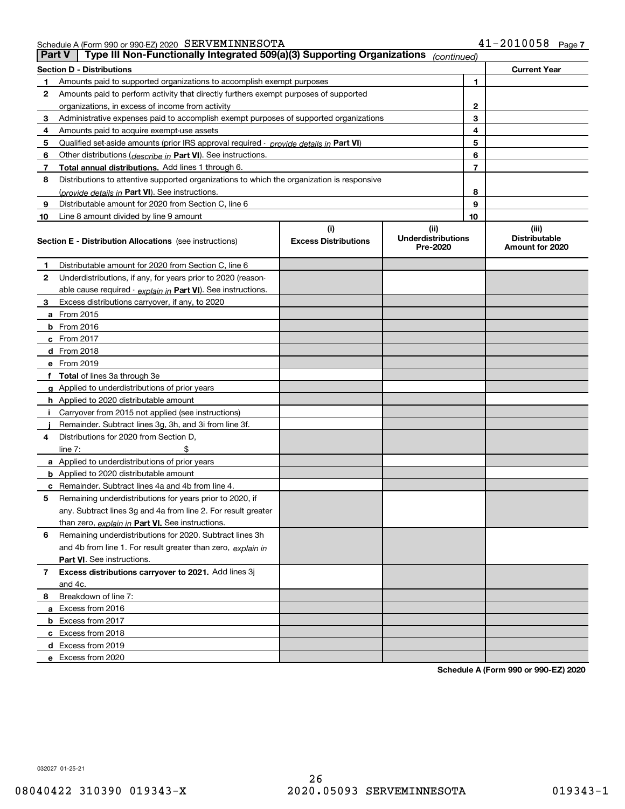|  | Schedule A (Form 990 or 990-EZ) 2020 $\,$ SERVEMINNESOTA $\,$ | 2010058<br>41- | Page |
|--|---------------------------------------------------------------|----------------|------|
|  |                                                               |                |      |

| <b>Part V</b> | Type III Non-Functionally Integrated 509(a)(3) Supporting Organizations                    |                                    | (continued)                                   |    |                                                  |
|---------------|--------------------------------------------------------------------------------------------|------------------------------------|-----------------------------------------------|----|--------------------------------------------------|
|               | <b>Section D - Distributions</b>                                                           |                                    |                                               |    | <b>Current Year</b>                              |
| 1             | Amounts paid to supported organizations to accomplish exempt purposes                      |                                    | 1                                             |    |                                                  |
| 2             | Amounts paid to perform activity that directly furthers exempt purposes of supported       |                                    |                                               |    |                                                  |
|               | organizations, in excess of income from activity                                           |                                    | 2                                             |    |                                                  |
| 3             | Administrative expenses paid to accomplish exempt purposes of supported organizations      |                                    | 3                                             |    |                                                  |
| 4             | Amounts paid to acquire exempt-use assets                                                  |                                    | 4                                             |    |                                                  |
| 5             | Qualified set-aside amounts (prior IRS approval required - provide details in Part VI)     |                                    |                                               | 5  |                                                  |
| 6             | Other distributions ( <i>describe in</i> Part VI). See instructions.                       |                                    |                                               | 6  |                                                  |
| 7             | Total annual distributions. Add lines 1 through 6.                                         |                                    |                                               | 7  |                                                  |
| 8             | Distributions to attentive supported organizations to which the organization is responsive |                                    |                                               |    |                                                  |
|               | (provide details in Part VI). See instructions.                                            |                                    |                                               | 8  |                                                  |
| 9             | Distributable amount for 2020 from Section C, line 6                                       |                                    |                                               | 9  |                                                  |
| 10            | Line 8 amount divided by line 9 amount                                                     |                                    |                                               | 10 |                                                  |
|               | <b>Section E - Distribution Allocations</b> (see instructions)                             | (i)<br><b>Excess Distributions</b> | (ii)<br><b>Underdistributions</b><br>Pre-2020 |    | (iii)<br><b>Distributable</b><br>Amount for 2020 |
| 1             | Distributable amount for 2020 from Section C, line 6                                       |                                    |                                               |    |                                                  |
| 2             | Underdistributions, if any, for years prior to 2020 (reason-                               |                                    |                                               |    |                                                  |
|               | able cause required - explain in Part VI). See instructions.                               |                                    |                                               |    |                                                  |
| 3             | Excess distributions carryover, if any, to 2020                                            |                                    |                                               |    |                                                  |
|               | a From 2015                                                                                |                                    |                                               |    |                                                  |
|               | <b>b</b> From 2016                                                                         |                                    |                                               |    |                                                  |
|               | $c$ From 2017                                                                              |                                    |                                               |    |                                                  |
|               | d From 2018                                                                                |                                    |                                               |    |                                                  |
|               | e From 2019                                                                                |                                    |                                               |    |                                                  |
|               | f Total of lines 3a through 3e                                                             |                                    |                                               |    |                                                  |
|               | g Applied to underdistributions of prior years                                             |                                    |                                               |    |                                                  |
|               | <b>h</b> Applied to 2020 distributable amount                                              |                                    |                                               |    |                                                  |
|               | Carryover from 2015 not applied (see instructions)                                         |                                    |                                               |    |                                                  |
|               | Remainder. Subtract lines 3g, 3h, and 3i from line 3f.                                     |                                    |                                               |    |                                                  |
| 4             | Distributions for 2020 from Section D,                                                     |                                    |                                               |    |                                                  |
|               | line $7:$                                                                                  |                                    |                                               |    |                                                  |
|               | a Applied to underdistributions of prior years                                             |                                    |                                               |    |                                                  |
|               | <b>b</b> Applied to 2020 distributable amount                                              |                                    |                                               |    |                                                  |
|               | c Remainder. Subtract lines 4a and 4b from line 4.                                         |                                    |                                               |    |                                                  |
| 5.            | Remaining underdistributions for years prior to 2020, if                                   |                                    |                                               |    |                                                  |
|               | any. Subtract lines 3g and 4a from line 2. For result greater                              |                                    |                                               |    |                                                  |
|               | than zero, explain in Part VI. See instructions.                                           |                                    |                                               |    |                                                  |
| 6             | Remaining underdistributions for 2020. Subtract lines 3h                                   |                                    |                                               |    |                                                  |
|               | and 4b from line 1. For result greater than zero, explain in                               |                                    |                                               |    |                                                  |
|               | Part VI. See instructions.                                                                 |                                    |                                               |    |                                                  |
| 7             | Excess distributions carryover to 2021. Add lines 3j                                       |                                    |                                               |    |                                                  |
|               | and 4c.                                                                                    |                                    |                                               |    |                                                  |
| 8             | Breakdown of line 7:                                                                       |                                    |                                               |    |                                                  |
|               | a Excess from 2016                                                                         |                                    |                                               |    |                                                  |
|               | <b>b</b> Excess from 2017                                                                  |                                    |                                               |    |                                                  |
|               | c Excess from 2018                                                                         |                                    |                                               |    |                                                  |
|               | d Excess from 2019                                                                         |                                    |                                               |    |                                                  |
|               | e Excess from 2020                                                                         |                                    |                                               |    |                                                  |

**Schedule A (Form 990 or 990-EZ) 2020**

032027 01-25-21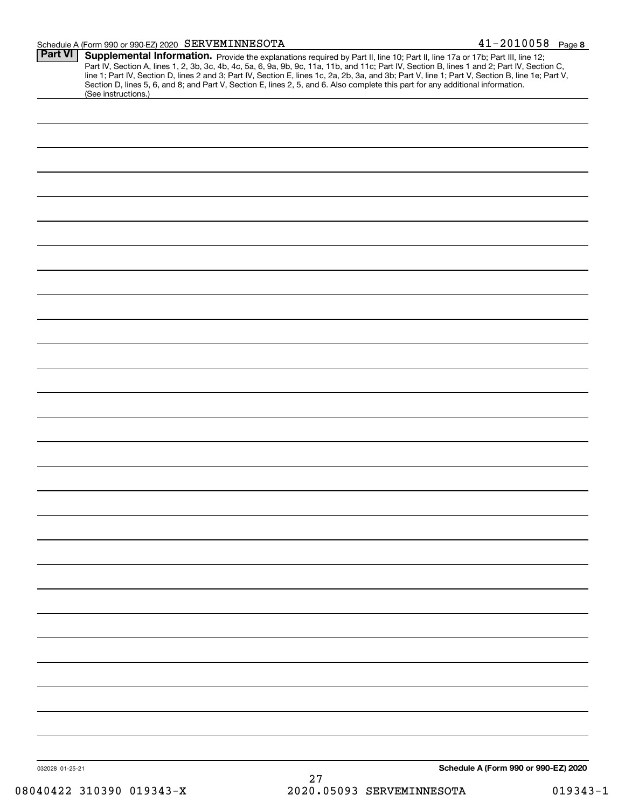#### Schedule A (Form 990 or 990-EZ) 2020 Page SERVEMINNESOTA 41-2010058

| <b>Part VI</b>  | Supplemental Information. Provide the explanations required by Part II, line 10; Part II, line 17a or 17b; Part III, line 12;<br>Part IV, Section A, lines 1, 2, 3b, 3c, 4b, 4c, 5a, 6, 9a, 9b, 9c, 11a, 11b, and 11c; Part IV, Section B, lines 1 and 2; Part IV, Section C,<br>line 1; Part IV, Section D, lines 2 and 3; Part IV, Section E, lines 1c, 2a, 2b, 3a, and 3b; Part V, line 1; Part V, Section B, line 1e; Part V,<br>Section D, lines 5, 6, and 8; and Part V, Section E, lines 2, 5, and 6. Also complete this part for any additional information.<br>(See instructions.) |                                      |
|-----------------|---------------------------------------------------------------------------------------------------------------------------------------------------------------------------------------------------------------------------------------------------------------------------------------------------------------------------------------------------------------------------------------------------------------------------------------------------------------------------------------------------------------------------------------------------------------------------------------------|--------------------------------------|
|                 |                                                                                                                                                                                                                                                                                                                                                                                                                                                                                                                                                                                             |                                      |
|                 |                                                                                                                                                                                                                                                                                                                                                                                                                                                                                                                                                                                             |                                      |
|                 |                                                                                                                                                                                                                                                                                                                                                                                                                                                                                                                                                                                             |                                      |
|                 |                                                                                                                                                                                                                                                                                                                                                                                                                                                                                                                                                                                             |                                      |
|                 |                                                                                                                                                                                                                                                                                                                                                                                                                                                                                                                                                                                             |                                      |
|                 |                                                                                                                                                                                                                                                                                                                                                                                                                                                                                                                                                                                             |                                      |
|                 |                                                                                                                                                                                                                                                                                                                                                                                                                                                                                                                                                                                             |                                      |
|                 |                                                                                                                                                                                                                                                                                                                                                                                                                                                                                                                                                                                             |                                      |
|                 |                                                                                                                                                                                                                                                                                                                                                                                                                                                                                                                                                                                             |                                      |
|                 |                                                                                                                                                                                                                                                                                                                                                                                                                                                                                                                                                                                             |                                      |
|                 |                                                                                                                                                                                                                                                                                                                                                                                                                                                                                                                                                                                             |                                      |
|                 |                                                                                                                                                                                                                                                                                                                                                                                                                                                                                                                                                                                             |                                      |
|                 |                                                                                                                                                                                                                                                                                                                                                                                                                                                                                                                                                                                             |                                      |
|                 |                                                                                                                                                                                                                                                                                                                                                                                                                                                                                                                                                                                             |                                      |
|                 |                                                                                                                                                                                                                                                                                                                                                                                                                                                                                                                                                                                             |                                      |
|                 |                                                                                                                                                                                                                                                                                                                                                                                                                                                                                                                                                                                             |                                      |
|                 |                                                                                                                                                                                                                                                                                                                                                                                                                                                                                                                                                                                             |                                      |
|                 |                                                                                                                                                                                                                                                                                                                                                                                                                                                                                                                                                                                             |                                      |
|                 |                                                                                                                                                                                                                                                                                                                                                                                                                                                                                                                                                                                             |                                      |
|                 |                                                                                                                                                                                                                                                                                                                                                                                                                                                                                                                                                                                             |                                      |
|                 |                                                                                                                                                                                                                                                                                                                                                                                                                                                                                                                                                                                             |                                      |
|                 |                                                                                                                                                                                                                                                                                                                                                                                                                                                                                                                                                                                             |                                      |
|                 |                                                                                                                                                                                                                                                                                                                                                                                                                                                                                                                                                                                             |                                      |
|                 |                                                                                                                                                                                                                                                                                                                                                                                                                                                                                                                                                                                             |                                      |
|                 |                                                                                                                                                                                                                                                                                                                                                                                                                                                                                                                                                                                             |                                      |
|                 |                                                                                                                                                                                                                                                                                                                                                                                                                                                                                                                                                                                             |                                      |
|                 |                                                                                                                                                                                                                                                                                                                                                                                                                                                                                                                                                                                             |                                      |
|                 |                                                                                                                                                                                                                                                                                                                                                                                                                                                                                                                                                                                             |                                      |
|                 |                                                                                                                                                                                                                                                                                                                                                                                                                                                                                                                                                                                             |                                      |
|                 |                                                                                                                                                                                                                                                                                                                                                                                                                                                                                                                                                                                             |                                      |
|                 |                                                                                                                                                                                                                                                                                                                                                                                                                                                                                                                                                                                             |                                      |
|                 |                                                                                                                                                                                                                                                                                                                                                                                                                                                                                                                                                                                             |                                      |
|                 |                                                                                                                                                                                                                                                                                                                                                                                                                                                                                                                                                                                             |                                      |
|                 |                                                                                                                                                                                                                                                                                                                                                                                                                                                                                                                                                                                             |                                      |
| 032028 01-25-21 | 27                                                                                                                                                                                                                                                                                                                                                                                                                                                                                                                                                                                          | Schedule A (Form 990 or 990-EZ) 2020 |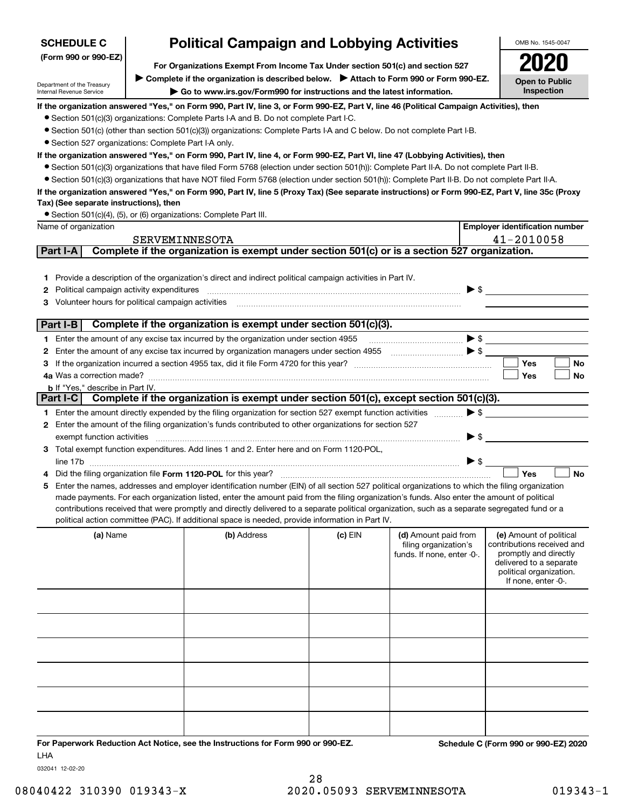| <b>SCHEDULE C</b>                                      | OMB No. 1545-0047                                    |                                                                                                                                                   |         |                            |                          |                                                  |           |  |  |
|--------------------------------------------------------|------------------------------------------------------|---------------------------------------------------------------------------------------------------------------------------------------------------|---------|----------------------------|--------------------------|--------------------------------------------------|-----------|--|--|
| (Form 990 or 990-EZ)                                   |                                                      |                                                                                                                                                   |         |                            |                          |                                                  |           |  |  |
|                                                        |                                                      |                                                                                                                                                   |         |                            |                          |                                                  |           |  |  |
| Department of the Treasury                             | <b>Open to Public</b>                                |                                                                                                                                                   |         |                            |                          |                                                  |           |  |  |
| Internal Revenue Service                               |                                                      | Go to www.irs.gov/Form990 for instructions and the latest information.                                                                            |         |                            |                          | Inspection                                       |           |  |  |
|                                                        |                                                      | If the organization answered "Yes," on Form 990, Part IV, line 3, or Form 990-EZ, Part V, line 46 (Political Campaign Activities), then           |         |                            |                          |                                                  |           |  |  |
|                                                        |                                                      | • Section 501(c)(3) organizations: Complete Parts I-A and B. Do not complete Part I-C.                                                            |         |                            |                          |                                                  |           |  |  |
|                                                        |                                                      | • Section 501(c) (other than section 501(c)(3)) organizations: Complete Parts I-A and C below. Do not complete Part I-B.                          |         |                            |                          |                                                  |           |  |  |
|                                                        | • Section 527 organizations: Complete Part I-A only. |                                                                                                                                                   |         |                            |                          |                                                  |           |  |  |
|                                                        |                                                      | If the organization answered "Yes," on Form 990, Part IV, line 4, or Form 990-EZ, Part VI, line 47 (Lobbying Activities), then                    |         |                            |                          |                                                  |           |  |  |
|                                                        |                                                      | • Section 501(c)(3) organizations that have filed Form 5768 (election under section 501(h)): Complete Part II-A. Do not complete Part II-B.       |         |                            |                          |                                                  |           |  |  |
|                                                        |                                                      | • Section 501(c)(3) organizations that have NOT filed Form 5768 (election under section 501(h)): Complete Part II-B. Do not complete Part II-A.   |         |                            |                          |                                                  |           |  |  |
|                                                        |                                                      | If the organization answered "Yes," on Form 990, Part IV, line 5 (Proxy Tax) (See separate instructions) or Form 990-EZ, Part V, line 35c (Proxy  |         |                            |                          |                                                  |           |  |  |
| Tax) (See separate instructions), then                 |                                                      |                                                                                                                                                   |         |                            |                          |                                                  |           |  |  |
|                                                        |                                                      | • Section 501(c)(4), (5), or (6) organizations: Complete Part III.                                                                                |         |                            |                          |                                                  |           |  |  |
| Name of organization                                   |                                                      |                                                                                                                                                   |         |                            |                          | <b>Employer identification number</b>            |           |  |  |
|                                                        | SERVEMINNESOTA                                       |                                                                                                                                                   |         |                            |                          | 41-2010058                                       |           |  |  |
| Part I-A                                               |                                                      | Complete if the organization is exempt under section 501(c) or is a section 527 organization.                                                     |         |                            |                          |                                                  |           |  |  |
|                                                        |                                                      |                                                                                                                                                   |         |                            |                          |                                                  |           |  |  |
|                                                        |                                                      | 1 Provide a description of the organization's direct and indirect political campaign activities in Part IV.                                       |         |                            |                          |                                                  |           |  |  |
| 2 Political campaign activity expenditures             |                                                      |                                                                                                                                                   |         |                            |                          | $\blacktriangleright$ \$                         |           |  |  |
| Volunteer hours for political campaign activities<br>3 |                                                      |                                                                                                                                                   |         |                            |                          |                                                  |           |  |  |
| Part I-B                                               |                                                      | Complete if the organization is exempt under section 501(c)(3).                                                                                   |         |                            |                          |                                                  |           |  |  |
|                                                        |                                                      | 1 Enter the amount of any excise tax incurred by the organization under section 4955                                                              |         | $\bullet \mathsf{s} \_\_$  |                          |                                                  |           |  |  |
|                                                        |                                                      | 2 Enter the amount of any excise tax incurred by organization managers under section 4955                                                         |         |                            |                          |                                                  |           |  |  |
| З                                                      |                                                      |                                                                                                                                                   |         |                            |                          | Yes                                              | No        |  |  |
|                                                        |                                                      |                                                                                                                                                   |         |                            |                          | Yes                                              | <b>No</b> |  |  |
| <b>b</b> If "Yes," describe in Part IV.                |                                                      |                                                                                                                                                   |         |                            |                          |                                                  |           |  |  |
|                                                        |                                                      | Part I-C Complete if the organization is exempt under section 501(c), except section 501(c)(3).                                                   |         |                            |                          |                                                  |           |  |  |
|                                                        |                                                      | 1 Enter the amount directly expended by the filing organization for section 527 exempt function activities                                        |         |                            |                          | $\blacktriangleright$ \$                         |           |  |  |
|                                                        |                                                      | 2 Enter the amount of the filing organization's funds contributed to other organizations for section 527                                          |         |                            |                          |                                                  |           |  |  |
| exempt function activities                             |                                                      |                                                                                                                                                   |         |                            | $\blacktriangleright$ \$ |                                                  |           |  |  |
|                                                        |                                                      | 3 Total exempt function expenditures. Add lines 1 and 2. Enter here and on Form 1120-POL,                                                         |         |                            |                          |                                                  |           |  |  |
|                                                        |                                                      |                                                                                                                                                   |         |                            | >                        |                                                  |           |  |  |
|                                                        |                                                      |                                                                                                                                                   |         |                            |                          | Yes                                              | <b>No</b> |  |  |
|                                                        |                                                      | 5 Enter the names, addresses and employer identification number (EIN) of all section 527 political organizations to which the filing organization |         |                            |                          |                                                  |           |  |  |
|                                                        |                                                      | made payments. For each organization listed, enter the amount paid from the filing organization's funds. Also enter the amount of political       |         |                            |                          |                                                  |           |  |  |
|                                                        |                                                      | contributions received that were promptly and directly delivered to a separate political organization, such as a separate segregated fund or a    |         |                            |                          |                                                  |           |  |  |
|                                                        |                                                      | political action committee (PAC). If additional space is needed, provide information in Part IV.                                                  |         |                            |                          |                                                  |           |  |  |
| (a) Name                                               |                                                      | (b) Address                                                                                                                                       | (c) EIN | (d) Amount paid from       |                          | (e) Amount of political                          |           |  |  |
|                                                        |                                                      |                                                                                                                                                   |         | filing organization's      |                          | contributions received and                       |           |  |  |
|                                                        |                                                      |                                                                                                                                                   |         | funds. If none, enter -0-. |                          | promptly and directly<br>delivered to a separate |           |  |  |
|                                                        |                                                      |                                                                                                                                                   |         |                            |                          | political organization.                          |           |  |  |
| If none, enter -0-.                                    |                                                      |                                                                                                                                                   |         |                            |                          |                                                  |           |  |  |
|                                                        |                                                      |                                                                                                                                                   |         |                            |                          |                                                  |           |  |  |
|                                                        |                                                      |                                                                                                                                                   |         |                            |                          |                                                  |           |  |  |
|                                                        |                                                      |                                                                                                                                                   |         |                            |                          |                                                  |           |  |  |
|                                                        |                                                      |                                                                                                                                                   |         |                            |                          |                                                  |           |  |  |

LHA

**For Paperwork Reduction Act Notice, see the Instructions for Form 990 or 990-EZ. Schedule C (Form 990 or 990-EZ) 2020**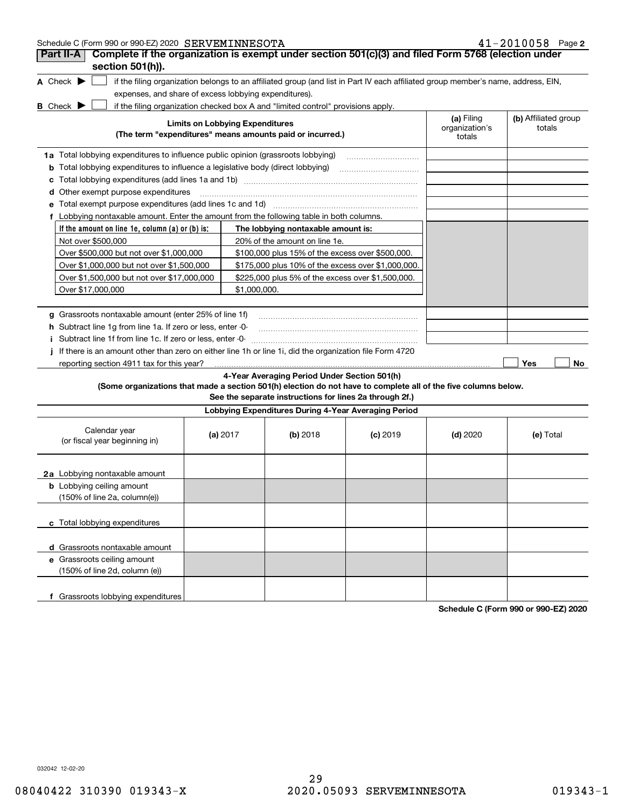| Schedule C (Form 990 or 990-EZ) 2020 SERVEMINNESOTA                                                                                 |            |                                                                                                                                                                                                                           |            |                                        | $41 - 2010058$ Page 2          |
|-------------------------------------------------------------------------------------------------------------------------------------|------------|---------------------------------------------------------------------------------------------------------------------------------------------------------------------------------------------------------------------------|------------|----------------------------------------|--------------------------------|
| Complete if the organization is exempt under section 501(c)(3) and filed Form 5768 (election under<br>Part II-A<br>section 501(h)). |            |                                                                                                                                                                                                                           |            |                                        |                                |
| A Check $\blacktriangleright$                                                                                                       |            | if the filing organization belongs to an affiliated group (and list in Part IV each affiliated group member's name, address, EIN,                                                                                         |            |                                        |                                |
| expenses, and share of excess lobbying expenditures).                                                                               |            |                                                                                                                                                                                                                           |            |                                        |                                |
| <b>B</b> Check $\blacktriangleright$                                                                                                |            | if the filing organization checked box A and "limited control" provisions apply.                                                                                                                                          |            |                                        |                                |
|                                                                                                                                     |            | <b>Limits on Lobbying Expenditures</b><br>(The term "expenditures" means amounts paid or incurred.)                                                                                                                       |            | (a) Filing<br>organization's<br>totals | (b) Affiliated group<br>totals |
| 1a Total lobbying expenditures to influence public opinion (grassroots lobbying)                                                    |            |                                                                                                                                                                                                                           |            |                                        |                                |
| <b>b</b> Total lobbying expenditures to influence a legislative body (direct lobbying)                                              |            |                                                                                                                                                                                                                           |            |                                        |                                |
| с                                                                                                                                   |            |                                                                                                                                                                                                                           |            |                                        |                                |
| d Other exempt purpose expenditures                                                                                                 |            |                                                                                                                                                                                                                           |            |                                        |                                |
| е                                                                                                                                   |            |                                                                                                                                                                                                                           |            |                                        |                                |
| f Lobbying nontaxable amount. Enter the amount from the following table in both columns.                                            |            |                                                                                                                                                                                                                           |            |                                        |                                |
| If the amount on line 1e, column (a) or (b) is:                                                                                     |            | The lobbying nontaxable amount is:                                                                                                                                                                                        |            |                                        |                                |
| Not over \$500,000                                                                                                                  |            |                                                                                                                                                                                                                           |            |                                        |                                |
|                                                                                                                                     |            | 20% of the amount on line 1e.                                                                                                                                                                                             |            |                                        |                                |
| Over \$500,000 but not over \$1,000,000                                                                                             |            | \$100,000 plus 15% of the excess over \$500,000.                                                                                                                                                                          |            |                                        |                                |
| Over \$1,000,000 but not over \$1,500,000                                                                                           |            | \$175,000 plus 10% of the excess over \$1,000,000.                                                                                                                                                                        |            |                                        |                                |
| Over \$1,500,000 but not over \$17,000,000                                                                                          |            | \$225,000 plus 5% of the excess over \$1,500,000.                                                                                                                                                                         |            |                                        |                                |
| Over \$17,000,000                                                                                                                   |            | \$1,000,000.                                                                                                                                                                                                              |            |                                        |                                |
|                                                                                                                                     |            |                                                                                                                                                                                                                           |            |                                        |                                |
| g Grassroots nontaxable amount (enter 25% of line 1f)                                                                               |            |                                                                                                                                                                                                                           |            |                                        |                                |
| h Subtract line 1g from line 1a. If zero or less, enter -0-                                                                         |            |                                                                                                                                                                                                                           |            |                                        |                                |
| i Subtract line 1f from line 1c. If zero or less, enter 0                                                                           |            |                                                                                                                                                                                                                           |            |                                        |                                |
| If there is an amount other than zero on either line 1h or line 1i, did the organization file Form 4720                             |            |                                                                                                                                                                                                                           |            |                                        |                                |
| reporting section 4911 tax for this year?                                                                                           |            |                                                                                                                                                                                                                           |            |                                        | Yes<br>No.                     |
|                                                                                                                                     |            | 4-Year Averaging Period Under Section 501(h)<br>(Some organizations that made a section 501(h) election do not have to complete all of the five columns below.<br>See the separate instructions for lines 2a through 2f.) |            |                                        |                                |
|                                                                                                                                     |            | Lobbying Expenditures During 4-Year Averaging Period                                                                                                                                                                      |            |                                        |                                |
| Calendar year<br>(or fiscal year beginning in)                                                                                      | (a) $2017$ | (b) 2018                                                                                                                                                                                                                  | $(c)$ 2019 | $(d)$ 2020                             | (e) Total                      |
| 2a Lobbying nontaxable amount                                                                                                       |            |                                                                                                                                                                                                                           |            |                                        |                                |
| <b>b</b> Lobbying ceiling amount<br>(150% of line 2a, column(e))                                                                    |            |                                                                                                                                                                                                                           |            |                                        |                                |
|                                                                                                                                     |            |                                                                                                                                                                                                                           |            |                                        |                                |
| c Total lobbying expenditures                                                                                                       |            |                                                                                                                                                                                                                           |            |                                        |                                |
| d Grassroots nontaxable amount                                                                                                      |            |                                                                                                                                                                                                                           |            |                                        |                                |
| e Grassroots ceiling amount                                                                                                         |            |                                                                                                                                                                                                                           |            |                                        |                                |
| (150% of line 2d, column (e))                                                                                                       |            |                                                                                                                                                                                                                           |            |                                        |                                |
| f Grassroots lobbying expenditures                                                                                                  |            |                                                                                                                                                                                                                           |            |                                        |                                |

**Schedule C (Form 990 or 990-EZ) 2020**

032042 12-02-20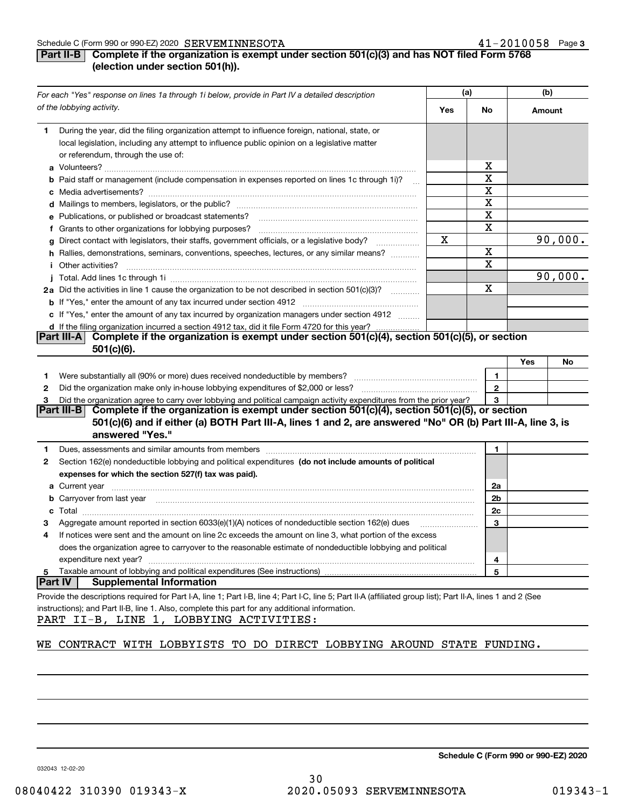### **Part II-B** Complete if the organization is exempt under section 501(c)(3) and has NOT filed Form 5768 **(election under section 501(h)).**

| of the lobbying activity.<br>Yes<br>No<br>Amount<br>During the year, did the filing organization attempt to influence foreign, national, state, or<br>1.<br>local legislation, including any attempt to influence public opinion on a legislative matter<br>or referendum, through the use of:<br>х<br>X<br><b>b</b> Paid staff or management (include compensation in expenses reported on lines 1c through 1i)?<br>$\sim$<br>X<br>X<br>X<br>e Publications, or published or broadcast statements?<br>X<br>f Grants to other organizations for lobbying purposes?<br>90,000.<br>Χ<br>g Direct contact with legislators, their staffs, government officials, or a legislative body?<br>X<br>h Rallies, demonstrations, seminars, conventions, speeches, lectures, or any similar means?<br>X<br><i>i</i> Other activities?<br>90,000.<br>х<br>2a Did the activities in line 1 cause the organization to be not described in section 501(c)(3)?<br>c If "Yes," enter the amount of any tax incurred by organization managers under section 4912<br>d If the filing organization incurred a section 4912 tax, did it file Form 4720 for this year?<br>Complete if the organization is exempt under section 501(c)(4), section 501(c)(5), or section<br>∣Part III-A ∣<br>$501(c)(6)$ .<br>Yes<br>No<br>$\mathbf{1}$<br>1<br>$\mathbf{2}$<br>2<br>3<br>Did the organization agree to carry over lobbying and political campaign activity expenditures from the prior year?<br>3<br>Part III-B Complete if the organization is exempt under section $501(c)(4)$ , section $501(c)(5)$ , or section<br>501(c)(6) and if either (a) BOTH Part III-A, lines 1 and 2, are answered "No" OR (b) Part III-A, line 3, is<br>answered "Yes."<br>Dues, assessments and similar amounts from members [11] matter continuum matter assessments and similar amounts from members [11] matter continuum matter and similar amounts from members [11] matter and the state of the st<br>1<br>1<br>Section 162(e) nondeductible lobbying and political expenditures (do not include amounts of political<br>2<br>expenses for which the section 527(f) tax was paid).<br>2a<br>b Carryover from last year manufactured and content to content the content of the content of the content of the content of the content of the content of the content of the content of the content of the content of the conte<br>2b<br>$\textbf{Total} \textcolor{red}{x_1 x_2 x_3 x_4 x_5 x_6 x_7 x_8 x_9 x_1 x_2 x_3 x_4 x_5 x_6 x_7 x_8 x_9 x_1 x_2 x_3 x_4 x_5 x_6 x_7 x_8 x_9 x_1 x_2 x_3 x_4 x_5 x_6 x_7 x_8 x_9 x_1 x_2 x_3 x_4 x_5 x_6 x_7 x_8 x_9 x_1 x_2 x_3 x_4 x_5 x_6 x_7 x_8 x_9 x_1 x_2 x_3 x_4 x_5 x_6 x_7 x_8 x_9 x_1 x_2 x_3 x_4 x_5 x_6 x$<br>2c<br>c<br>Aggregate amount reported in section 6033(e)(1)(A) notices of nondeductible section 162(e) dues<br>3<br>If notices were sent and the amount on line 2c exceeds the amount on line 3, what portion of the excess<br>4<br>does the organization agree to carryover to the reasonable estimate of nondeductible lobbying and political<br>expenditure next year?<br>4<br>Taxable amount of lobbying and political expenditures (See instructions)<br>5<br>5<br><b>Part IV</b><br><b>Supplemental Information</b><br>Provide the descriptions required for Part I-A, line 1; Part I-B, line 4; Part I-C, line 5; Part II-A (affiliated group list); Part II-A, lines 1 and 2 (See<br>instructions); and Part II-B, line 1. Also, complete this part for any additional information.<br>PART II-B, LINE 1, LOBBYING ACTIVITIES: | For each "Yes" response on lines 1a through 1i below, provide in Part IV a detailed description |  | (a) | (b) |
|--------------------------------------------------------------------------------------------------------------------------------------------------------------------------------------------------------------------------------------------------------------------------------------------------------------------------------------------------------------------------------------------------------------------------------------------------------------------------------------------------------------------------------------------------------------------------------------------------------------------------------------------------------------------------------------------------------------------------------------------------------------------------------------------------------------------------------------------------------------------------------------------------------------------------------------------------------------------------------------------------------------------------------------------------------------------------------------------------------------------------------------------------------------------------------------------------------------------------------------------------------------------------------------------------------------------------------------------------------------------------------------------------------------------------------------------------------------------------------------------------------------------------------------------------------------------------------------------------------------------------------------------------------------------------------------------------------------------------------------------------------------------------------------------------------------------------------------------------------------------------------------------------------------------------------------------------------------------------------------------------------------------------------------------------------------------------------------------------------------------------------------------------------------------------------------------------------------------------------------------------------------------------------------------------------------------------------------------------------------------------------------------------------------------------------------------------------------------------------------------------------------------------------------------------------------------------------------------------------------------------------------------------------------------------------------------------------------------------------------------------------------------------------------------------------------------------------------------------------------------------------------------------------------------------------------------------------------------------------------------------------------------------------------------------------------------------------------------------------------------------------------------------------------------------------------------------------------------------------------------------------------------------------------------------------------------------------------------------------------------------------------------------------------------------------------------------------------------------------------------------------------------------------------------------------------------|-------------------------------------------------------------------------------------------------|--|-----|-----|
|                                                                                                                                                                                                                                                                                                                                                                                                                                                                                                                                                                                                                                                                                                                                                                                                                                                                                                                                                                                                                                                                                                                                                                                                                                                                                                                                                                                                                                                                                                                                                                                                                                                                                                                                                                                                                                                                                                                                                                                                                                                                                                                                                                                                                                                                                                                                                                                                                                                                                                                                                                                                                                                                                                                                                                                                                                                                                                                                                                                                                                                                                                                                                                                                                                                                                                                                                                                                                                                                                                                                                                    |                                                                                                 |  |     |     |
|                                                                                                                                                                                                                                                                                                                                                                                                                                                                                                                                                                                                                                                                                                                                                                                                                                                                                                                                                                                                                                                                                                                                                                                                                                                                                                                                                                                                                                                                                                                                                                                                                                                                                                                                                                                                                                                                                                                                                                                                                                                                                                                                                                                                                                                                                                                                                                                                                                                                                                                                                                                                                                                                                                                                                                                                                                                                                                                                                                                                                                                                                                                                                                                                                                                                                                                                                                                                                                                                                                                                                                    |                                                                                                 |  |     |     |
|                                                                                                                                                                                                                                                                                                                                                                                                                                                                                                                                                                                                                                                                                                                                                                                                                                                                                                                                                                                                                                                                                                                                                                                                                                                                                                                                                                                                                                                                                                                                                                                                                                                                                                                                                                                                                                                                                                                                                                                                                                                                                                                                                                                                                                                                                                                                                                                                                                                                                                                                                                                                                                                                                                                                                                                                                                                                                                                                                                                                                                                                                                                                                                                                                                                                                                                                                                                                                                                                                                                                                                    |                                                                                                 |  |     |     |
|                                                                                                                                                                                                                                                                                                                                                                                                                                                                                                                                                                                                                                                                                                                                                                                                                                                                                                                                                                                                                                                                                                                                                                                                                                                                                                                                                                                                                                                                                                                                                                                                                                                                                                                                                                                                                                                                                                                                                                                                                                                                                                                                                                                                                                                                                                                                                                                                                                                                                                                                                                                                                                                                                                                                                                                                                                                                                                                                                                                                                                                                                                                                                                                                                                                                                                                                                                                                                                                                                                                                                                    |                                                                                                 |  |     |     |
|                                                                                                                                                                                                                                                                                                                                                                                                                                                                                                                                                                                                                                                                                                                                                                                                                                                                                                                                                                                                                                                                                                                                                                                                                                                                                                                                                                                                                                                                                                                                                                                                                                                                                                                                                                                                                                                                                                                                                                                                                                                                                                                                                                                                                                                                                                                                                                                                                                                                                                                                                                                                                                                                                                                                                                                                                                                                                                                                                                                                                                                                                                                                                                                                                                                                                                                                                                                                                                                                                                                                                                    |                                                                                                 |  |     |     |
|                                                                                                                                                                                                                                                                                                                                                                                                                                                                                                                                                                                                                                                                                                                                                                                                                                                                                                                                                                                                                                                                                                                                                                                                                                                                                                                                                                                                                                                                                                                                                                                                                                                                                                                                                                                                                                                                                                                                                                                                                                                                                                                                                                                                                                                                                                                                                                                                                                                                                                                                                                                                                                                                                                                                                                                                                                                                                                                                                                                                                                                                                                                                                                                                                                                                                                                                                                                                                                                                                                                                                                    |                                                                                                 |  |     |     |
|                                                                                                                                                                                                                                                                                                                                                                                                                                                                                                                                                                                                                                                                                                                                                                                                                                                                                                                                                                                                                                                                                                                                                                                                                                                                                                                                                                                                                                                                                                                                                                                                                                                                                                                                                                                                                                                                                                                                                                                                                                                                                                                                                                                                                                                                                                                                                                                                                                                                                                                                                                                                                                                                                                                                                                                                                                                                                                                                                                                                                                                                                                                                                                                                                                                                                                                                                                                                                                                                                                                                                                    |                                                                                                 |  |     |     |
|                                                                                                                                                                                                                                                                                                                                                                                                                                                                                                                                                                                                                                                                                                                                                                                                                                                                                                                                                                                                                                                                                                                                                                                                                                                                                                                                                                                                                                                                                                                                                                                                                                                                                                                                                                                                                                                                                                                                                                                                                                                                                                                                                                                                                                                                                                                                                                                                                                                                                                                                                                                                                                                                                                                                                                                                                                                                                                                                                                                                                                                                                                                                                                                                                                                                                                                                                                                                                                                                                                                                                                    |                                                                                                 |  |     |     |
|                                                                                                                                                                                                                                                                                                                                                                                                                                                                                                                                                                                                                                                                                                                                                                                                                                                                                                                                                                                                                                                                                                                                                                                                                                                                                                                                                                                                                                                                                                                                                                                                                                                                                                                                                                                                                                                                                                                                                                                                                                                                                                                                                                                                                                                                                                                                                                                                                                                                                                                                                                                                                                                                                                                                                                                                                                                                                                                                                                                                                                                                                                                                                                                                                                                                                                                                                                                                                                                                                                                                                                    |                                                                                                 |  |     |     |
|                                                                                                                                                                                                                                                                                                                                                                                                                                                                                                                                                                                                                                                                                                                                                                                                                                                                                                                                                                                                                                                                                                                                                                                                                                                                                                                                                                                                                                                                                                                                                                                                                                                                                                                                                                                                                                                                                                                                                                                                                                                                                                                                                                                                                                                                                                                                                                                                                                                                                                                                                                                                                                                                                                                                                                                                                                                                                                                                                                                                                                                                                                                                                                                                                                                                                                                                                                                                                                                                                                                                                                    |                                                                                                 |  |     |     |
|                                                                                                                                                                                                                                                                                                                                                                                                                                                                                                                                                                                                                                                                                                                                                                                                                                                                                                                                                                                                                                                                                                                                                                                                                                                                                                                                                                                                                                                                                                                                                                                                                                                                                                                                                                                                                                                                                                                                                                                                                                                                                                                                                                                                                                                                                                                                                                                                                                                                                                                                                                                                                                                                                                                                                                                                                                                                                                                                                                                                                                                                                                                                                                                                                                                                                                                                                                                                                                                                                                                                                                    |                                                                                                 |  |     |     |
|                                                                                                                                                                                                                                                                                                                                                                                                                                                                                                                                                                                                                                                                                                                                                                                                                                                                                                                                                                                                                                                                                                                                                                                                                                                                                                                                                                                                                                                                                                                                                                                                                                                                                                                                                                                                                                                                                                                                                                                                                                                                                                                                                                                                                                                                                                                                                                                                                                                                                                                                                                                                                                                                                                                                                                                                                                                                                                                                                                                                                                                                                                                                                                                                                                                                                                                                                                                                                                                                                                                                                                    |                                                                                                 |  |     |     |
|                                                                                                                                                                                                                                                                                                                                                                                                                                                                                                                                                                                                                                                                                                                                                                                                                                                                                                                                                                                                                                                                                                                                                                                                                                                                                                                                                                                                                                                                                                                                                                                                                                                                                                                                                                                                                                                                                                                                                                                                                                                                                                                                                                                                                                                                                                                                                                                                                                                                                                                                                                                                                                                                                                                                                                                                                                                                                                                                                                                                                                                                                                                                                                                                                                                                                                                                                                                                                                                                                                                                                                    |                                                                                                 |  |     |     |
|                                                                                                                                                                                                                                                                                                                                                                                                                                                                                                                                                                                                                                                                                                                                                                                                                                                                                                                                                                                                                                                                                                                                                                                                                                                                                                                                                                                                                                                                                                                                                                                                                                                                                                                                                                                                                                                                                                                                                                                                                                                                                                                                                                                                                                                                                                                                                                                                                                                                                                                                                                                                                                                                                                                                                                                                                                                                                                                                                                                                                                                                                                                                                                                                                                                                                                                                                                                                                                                                                                                                                                    |                                                                                                 |  |     |     |
|                                                                                                                                                                                                                                                                                                                                                                                                                                                                                                                                                                                                                                                                                                                                                                                                                                                                                                                                                                                                                                                                                                                                                                                                                                                                                                                                                                                                                                                                                                                                                                                                                                                                                                                                                                                                                                                                                                                                                                                                                                                                                                                                                                                                                                                                                                                                                                                                                                                                                                                                                                                                                                                                                                                                                                                                                                                                                                                                                                                                                                                                                                                                                                                                                                                                                                                                                                                                                                                                                                                                                                    |                                                                                                 |  |     |     |
|                                                                                                                                                                                                                                                                                                                                                                                                                                                                                                                                                                                                                                                                                                                                                                                                                                                                                                                                                                                                                                                                                                                                                                                                                                                                                                                                                                                                                                                                                                                                                                                                                                                                                                                                                                                                                                                                                                                                                                                                                                                                                                                                                                                                                                                                                                                                                                                                                                                                                                                                                                                                                                                                                                                                                                                                                                                                                                                                                                                                                                                                                                                                                                                                                                                                                                                                                                                                                                                                                                                                                                    |                                                                                                 |  |     |     |
|                                                                                                                                                                                                                                                                                                                                                                                                                                                                                                                                                                                                                                                                                                                                                                                                                                                                                                                                                                                                                                                                                                                                                                                                                                                                                                                                                                                                                                                                                                                                                                                                                                                                                                                                                                                                                                                                                                                                                                                                                                                                                                                                                                                                                                                                                                                                                                                                                                                                                                                                                                                                                                                                                                                                                                                                                                                                                                                                                                                                                                                                                                                                                                                                                                                                                                                                                                                                                                                                                                                                                                    |                                                                                                 |  |     |     |
|                                                                                                                                                                                                                                                                                                                                                                                                                                                                                                                                                                                                                                                                                                                                                                                                                                                                                                                                                                                                                                                                                                                                                                                                                                                                                                                                                                                                                                                                                                                                                                                                                                                                                                                                                                                                                                                                                                                                                                                                                                                                                                                                                                                                                                                                                                                                                                                                                                                                                                                                                                                                                                                                                                                                                                                                                                                                                                                                                                                                                                                                                                                                                                                                                                                                                                                                                                                                                                                                                                                                                                    |                                                                                                 |  |     |     |
|                                                                                                                                                                                                                                                                                                                                                                                                                                                                                                                                                                                                                                                                                                                                                                                                                                                                                                                                                                                                                                                                                                                                                                                                                                                                                                                                                                                                                                                                                                                                                                                                                                                                                                                                                                                                                                                                                                                                                                                                                                                                                                                                                                                                                                                                                                                                                                                                                                                                                                                                                                                                                                                                                                                                                                                                                                                                                                                                                                                                                                                                                                                                                                                                                                                                                                                                                                                                                                                                                                                                                                    |                                                                                                 |  |     |     |
|                                                                                                                                                                                                                                                                                                                                                                                                                                                                                                                                                                                                                                                                                                                                                                                                                                                                                                                                                                                                                                                                                                                                                                                                                                                                                                                                                                                                                                                                                                                                                                                                                                                                                                                                                                                                                                                                                                                                                                                                                                                                                                                                                                                                                                                                                                                                                                                                                                                                                                                                                                                                                                                                                                                                                                                                                                                                                                                                                                                                                                                                                                                                                                                                                                                                                                                                                                                                                                                                                                                                                                    |                                                                                                 |  |     |     |
|                                                                                                                                                                                                                                                                                                                                                                                                                                                                                                                                                                                                                                                                                                                                                                                                                                                                                                                                                                                                                                                                                                                                                                                                                                                                                                                                                                                                                                                                                                                                                                                                                                                                                                                                                                                                                                                                                                                                                                                                                                                                                                                                                                                                                                                                                                                                                                                                                                                                                                                                                                                                                                                                                                                                                                                                                                                                                                                                                                                                                                                                                                                                                                                                                                                                                                                                                                                                                                                                                                                                                                    |                                                                                                 |  |     |     |
|                                                                                                                                                                                                                                                                                                                                                                                                                                                                                                                                                                                                                                                                                                                                                                                                                                                                                                                                                                                                                                                                                                                                                                                                                                                                                                                                                                                                                                                                                                                                                                                                                                                                                                                                                                                                                                                                                                                                                                                                                                                                                                                                                                                                                                                                                                                                                                                                                                                                                                                                                                                                                                                                                                                                                                                                                                                                                                                                                                                                                                                                                                                                                                                                                                                                                                                                                                                                                                                                                                                                                                    |                                                                                                 |  |     |     |
|                                                                                                                                                                                                                                                                                                                                                                                                                                                                                                                                                                                                                                                                                                                                                                                                                                                                                                                                                                                                                                                                                                                                                                                                                                                                                                                                                                                                                                                                                                                                                                                                                                                                                                                                                                                                                                                                                                                                                                                                                                                                                                                                                                                                                                                                                                                                                                                                                                                                                                                                                                                                                                                                                                                                                                                                                                                                                                                                                                                                                                                                                                                                                                                                                                                                                                                                                                                                                                                                                                                                                                    |                                                                                                 |  |     |     |
|                                                                                                                                                                                                                                                                                                                                                                                                                                                                                                                                                                                                                                                                                                                                                                                                                                                                                                                                                                                                                                                                                                                                                                                                                                                                                                                                                                                                                                                                                                                                                                                                                                                                                                                                                                                                                                                                                                                                                                                                                                                                                                                                                                                                                                                                                                                                                                                                                                                                                                                                                                                                                                                                                                                                                                                                                                                                                                                                                                                                                                                                                                                                                                                                                                                                                                                                                                                                                                                                                                                                                                    |                                                                                                 |  |     |     |
|                                                                                                                                                                                                                                                                                                                                                                                                                                                                                                                                                                                                                                                                                                                                                                                                                                                                                                                                                                                                                                                                                                                                                                                                                                                                                                                                                                                                                                                                                                                                                                                                                                                                                                                                                                                                                                                                                                                                                                                                                                                                                                                                                                                                                                                                                                                                                                                                                                                                                                                                                                                                                                                                                                                                                                                                                                                                                                                                                                                                                                                                                                                                                                                                                                                                                                                                                                                                                                                                                                                                                                    |                                                                                                 |  |     |     |
|                                                                                                                                                                                                                                                                                                                                                                                                                                                                                                                                                                                                                                                                                                                                                                                                                                                                                                                                                                                                                                                                                                                                                                                                                                                                                                                                                                                                                                                                                                                                                                                                                                                                                                                                                                                                                                                                                                                                                                                                                                                                                                                                                                                                                                                                                                                                                                                                                                                                                                                                                                                                                                                                                                                                                                                                                                                                                                                                                                                                                                                                                                                                                                                                                                                                                                                                                                                                                                                                                                                                                                    |                                                                                                 |  |     |     |
|                                                                                                                                                                                                                                                                                                                                                                                                                                                                                                                                                                                                                                                                                                                                                                                                                                                                                                                                                                                                                                                                                                                                                                                                                                                                                                                                                                                                                                                                                                                                                                                                                                                                                                                                                                                                                                                                                                                                                                                                                                                                                                                                                                                                                                                                                                                                                                                                                                                                                                                                                                                                                                                                                                                                                                                                                                                                                                                                                                                                                                                                                                                                                                                                                                                                                                                                                                                                                                                                                                                                                                    |                                                                                                 |  |     |     |
|                                                                                                                                                                                                                                                                                                                                                                                                                                                                                                                                                                                                                                                                                                                                                                                                                                                                                                                                                                                                                                                                                                                                                                                                                                                                                                                                                                                                                                                                                                                                                                                                                                                                                                                                                                                                                                                                                                                                                                                                                                                                                                                                                                                                                                                                                                                                                                                                                                                                                                                                                                                                                                                                                                                                                                                                                                                                                                                                                                                                                                                                                                                                                                                                                                                                                                                                                                                                                                                                                                                                                                    |                                                                                                 |  |     |     |
|                                                                                                                                                                                                                                                                                                                                                                                                                                                                                                                                                                                                                                                                                                                                                                                                                                                                                                                                                                                                                                                                                                                                                                                                                                                                                                                                                                                                                                                                                                                                                                                                                                                                                                                                                                                                                                                                                                                                                                                                                                                                                                                                                                                                                                                                                                                                                                                                                                                                                                                                                                                                                                                                                                                                                                                                                                                                                                                                                                                                                                                                                                                                                                                                                                                                                                                                                                                                                                                                                                                                                                    |                                                                                                 |  |     |     |
|                                                                                                                                                                                                                                                                                                                                                                                                                                                                                                                                                                                                                                                                                                                                                                                                                                                                                                                                                                                                                                                                                                                                                                                                                                                                                                                                                                                                                                                                                                                                                                                                                                                                                                                                                                                                                                                                                                                                                                                                                                                                                                                                                                                                                                                                                                                                                                                                                                                                                                                                                                                                                                                                                                                                                                                                                                                                                                                                                                                                                                                                                                                                                                                                                                                                                                                                                                                                                                                                                                                                                                    |                                                                                                 |  |     |     |
|                                                                                                                                                                                                                                                                                                                                                                                                                                                                                                                                                                                                                                                                                                                                                                                                                                                                                                                                                                                                                                                                                                                                                                                                                                                                                                                                                                                                                                                                                                                                                                                                                                                                                                                                                                                                                                                                                                                                                                                                                                                                                                                                                                                                                                                                                                                                                                                                                                                                                                                                                                                                                                                                                                                                                                                                                                                                                                                                                                                                                                                                                                                                                                                                                                                                                                                                                                                                                                                                                                                                                                    |                                                                                                 |  |     |     |
|                                                                                                                                                                                                                                                                                                                                                                                                                                                                                                                                                                                                                                                                                                                                                                                                                                                                                                                                                                                                                                                                                                                                                                                                                                                                                                                                                                                                                                                                                                                                                                                                                                                                                                                                                                                                                                                                                                                                                                                                                                                                                                                                                                                                                                                                                                                                                                                                                                                                                                                                                                                                                                                                                                                                                                                                                                                                                                                                                                                                                                                                                                                                                                                                                                                                                                                                                                                                                                                                                                                                                                    |                                                                                                 |  |     |     |
|                                                                                                                                                                                                                                                                                                                                                                                                                                                                                                                                                                                                                                                                                                                                                                                                                                                                                                                                                                                                                                                                                                                                                                                                                                                                                                                                                                                                                                                                                                                                                                                                                                                                                                                                                                                                                                                                                                                                                                                                                                                                                                                                                                                                                                                                                                                                                                                                                                                                                                                                                                                                                                                                                                                                                                                                                                                                                                                                                                                                                                                                                                                                                                                                                                                                                                                                                                                                                                                                                                                                                                    |                                                                                                 |  |     |     |
|                                                                                                                                                                                                                                                                                                                                                                                                                                                                                                                                                                                                                                                                                                                                                                                                                                                                                                                                                                                                                                                                                                                                                                                                                                                                                                                                                                                                                                                                                                                                                                                                                                                                                                                                                                                                                                                                                                                                                                                                                                                                                                                                                                                                                                                                                                                                                                                                                                                                                                                                                                                                                                                                                                                                                                                                                                                                                                                                                                                                                                                                                                                                                                                                                                                                                                                                                                                                                                                                                                                                                                    |                                                                                                 |  |     |     |
|                                                                                                                                                                                                                                                                                                                                                                                                                                                                                                                                                                                                                                                                                                                                                                                                                                                                                                                                                                                                                                                                                                                                                                                                                                                                                                                                                                                                                                                                                                                                                                                                                                                                                                                                                                                                                                                                                                                                                                                                                                                                                                                                                                                                                                                                                                                                                                                                                                                                                                                                                                                                                                                                                                                                                                                                                                                                                                                                                                                                                                                                                                                                                                                                                                                                                                                                                                                                                                                                                                                                                                    |                                                                                                 |  |     |     |
|                                                                                                                                                                                                                                                                                                                                                                                                                                                                                                                                                                                                                                                                                                                                                                                                                                                                                                                                                                                                                                                                                                                                                                                                                                                                                                                                                                                                                                                                                                                                                                                                                                                                                                                                                                                                                                                                                                                                                                                                                                                                                                                                                                                                                                                                                                                                                                                                                                                                                                                                                                                                                                                                                                                                                                                                                                                                                                                                                                                                                                                                                                                                                                                                                                                                                                                                                                                                                                                                                                                                                                    |                                                                                                 |  |     |     |
|                                                                                                                                                                                                                                                                                                                                                                                                                                                                                                                                                                                                                                                                                                                                                                                                                                                                                                                                                                                                                                                                                                                                                                                                                                                                                                                                                                                                                                                                                                                                                                                                                                                                                                                                                                                                                                                                                                                                                                                                                                                                                                                                                                                                                                                                                                                                                                                                                                                                                                                                                                                                                                                                                                                                                                                                                                                                                                                                                                                                                                                                                                                                                                                                                                                                                                                                                                                                                                                                                                                                                                    |                                                                                                 |  |     |     |
|                                                                                                                                                                                                                                                                                                                                                                                                                                                                                                                                                                                                                                                                                                                                                                                                                                                                                                                                                                                                                                                                                                                                                                                                                                                                                                                                                                                                                                                                                                                                                                                                                                                                                                                                                                                                                                                                                                                                                                                                                                                                                                                                                                                                                                                                                                                                                                                                                                                                                                                                                                                                                                                                                                                                                                                                                                                                                                                                                                                                                                                                                                                                                                                                                                                                                                                                                                                                                                                                                                                                                                    |                                                                                                 |  |     |     |
|                                                                                                                                                                                                                                                                                                                                                                                                                                                                                                                                                                                                                                                                                                                                                                                                                                                                                                                                                                                                                                                                                                                                                                                                                                                                                                                                                                                                                                                                                                                                                                                                                                                                                                                                                                                                                                                                                                                                                                                                                                                                                                                                                                                                                                                                                                                                                                                                                                                                                                                                                                                                                                                                                                                                                                                                                                                                                                                                                                                                                                                                                                                                                                                                                                                                                                                                                                                                                                                                                                                                                                    |                                                                                                 |  |     |     |

WE CONTRACT WITH LOBBYISTS TO DO DIRECT LOBBYING AROUND STATE FUNDING.

032043 12-02-20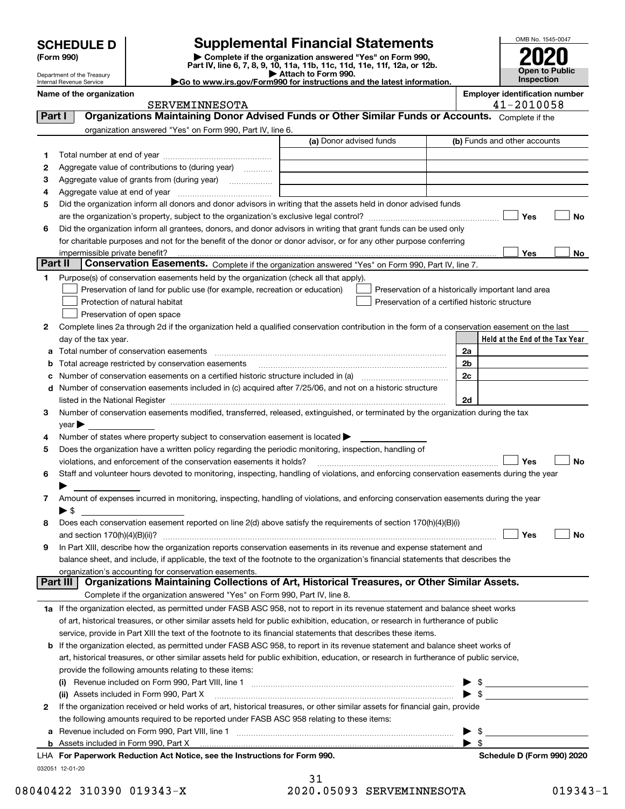| (Form 990) |  |
|------------|--|
|------------|--|

## **SCHEDULE D Supplemental Financial Statements**

(Form 990)<br>
Pepartment of the Treasury<br>
Department of the Treasury<br>
Department of the Treasury<br>
Department of the Treasury<br> **Co to www.irs.gov/Form990 for instructions and the latest information.**<br> **Co to www.irs.gov/Form9** 



Department of the Treasury Internal Revenue Service

|              | Name of the organization<br>SERVEMINNESOTA                                                                                                                        | <b>Employer identification number</b><br>$41 - 2010058$ |
|--------------|-------------------------------------------------------------------------------------------------------------------------------------------------------------------|---------------------------------------------------------|
| Part I       | Organizations Maintaining Donor Advised Funds or Other Similar Funds or Accounts. Complete if the                                                                 |                                                         |
|              |                                                                                                                                                                   |                                                         |
|              | organization answered "Yes" on Form 990, Part IV, line 6.<br>(a) Donor advised funds                                                                              | (b) Funds and other accounts                            |
| 1.           |                                                                                                                                                                   |                                                         |
| 2            | Aggregate value of contributions to (during year)                                                                                                                 |                                                         |
| з            |                                                                                                                                                                   |                                                         |
| 4            |                                                                                                                                                                   |                                                         |
| 5            | Did the organization inform all donors and donor advisors in writing that the assets held in donor advised funds                                                  |                                                         |
|              |                                                                                                                                                                   | Yes<br>No                                               |
| 6            | Did the organization inform all grantees, donors, and donor advisors in writing that grant funds can be used only                                                 |                                                         |
|              | for charitable purposes and not for the benefit of the donor or donor advisor, or for any other purpose conferring                                                |                                                         |
|              |                                                                                                                                                                   | Yes<br>No                                               |
| Part II      | Conservation Easements. Complete if the organization answered "Yes" on Form 990, Part IV, line 7.                                                                 |                                                         |
| 1.           | Purpose(s) of conservation easements held by the organization (check all that apply).                                                                             |                                                         |
|              | Preservation of land for public use (for example, recreation or education)                                                                                        | Preservation of a historically important land area      |
|              | Protection of natural habitat<br>Preservation of a certified historic structure                                                                                   |                                                         |
|              | Preservation of open space                                                                                                                                        |                                                         |
| 2            | Complete lines 2a through 2d if the organization held a qualified conservation contribution in the form of a conservation easement on the last                    |                                                         |
|              | day of the tax year.                                                                                                                                              | Held at the End of the Tax Year                         |
| а            | Total number of conservation easements                                                                                                                            | 2a                                                      |
| b            | Total acreage restricted by conservation easements                                                                                                                | 2 <sub>b</sub>                                          |
| с            | Number of conservation easements on a certified historic structure included in (a) manufacture of conservation                                                    | 2c                                                      |
|              | d Number of conservation easements included in (c) acquired after 7/25/06, and not on a historic structure                                                        |                                                         |
|              |                                                                                                                                                                   | 2d                                                      |
| З.           | Number of conservation easements modified, transferred, released, extinguished, or terminated by the organization during the tax                                  |                                                         |
|              | $\vee$ ear $\blacktriangleright$                                                                                                                                  |                                                         |
| 4            | Number of states where property subject to conservation easement is located >                                                                                     |                                                         |
| 5            | Does the organization have a written policy regarding the periodic monitoring, inspection, handling of                                                            |                                                         |
|              | violations, and enforcement of the conservation easements it holds?                                                                                               | Yes<br>No                                               |
| 6            | Staff and volunteer hours devoted to monitoring, inspecting, handling of violations, and enforcing conservation easements during the year                         |                                                         |
|              |                                                                                                                                                                   |                                                         |
| 7            | Amount of expenses incurred in monitoring, inspecting, handling of violations, and enforcing conservation easements during the year                               |                                                         |
|              | ▶ \$                                                                                                                                                              |                                                         |
| 8            | Does each conservation easement reported on line 2(d) above satisfy the requirements of section 170(h)(4)(B)(i)                                                   |                                                         |
|              |                                                                                                                                                                   | Yes<br>No                                               |
|              | In Part XIII, describe how the organization reports conservation easements in its revenue and expense statement and                                               |                                                         |
|              | balance sheet, and include, if applicable, the text of the footnote to the organization's financial statements that describes the                                 |                                                         |
|              | organization's accounting for conservation easements.<br>Organizations Maintaining Collections of Art, Historical Treasures, or Other Similar Assets.<br>Part III |                                                         |
|              | Complete if the organization answered "Yes" on Form 990, Part IV, line 8.                                                                                         |                                                         |
|              | 1a If the organization elected, as permitted under FASB ASC 958, not to report in its revenue statement and balance sheet works                                   |                                                         |
|              | of art, historical treasures, or other similar assets held for public exhibition, education, or research in furtherance of public                                 |                                                         |
|              | service, provide in Part XIII the text of the footnote to its financial statements that describes these items.                                                    |                                                         |
| b            | If the organization elected, as permitted under FASB ASC 958, to report in its revenue statement and balance sheet works of                                       |                                                         |
|              | art, historical treasures, or other similar assets held for public exhibition, education, or research in furtherance of public service,                           |                                                         |
|              | provide the following amounts relating to these items:                                                                                                            |                                                         |
|              |                                                                                                                                                                   | - \$                                                    |
|              | (ii) Assets included in Form 990, Part X                                                                                                                          | $\sqrt{3}$                                              |
| $\mathbf{2}$ | If the organization received or held works of art, historical treasures, or other similar assets for financial gain, provide                                      |                                                         |
|              | the following amounts required to be reported under FASB ASC 958 relating to these items:                                                                         |                                                         |
| а            |                                                                                                                                                                   | - \$<br>▶                                               |
|              |                                                                                                                                                                   | $\blacktriangleright$ s                                 |
|              | LHA For Paperwork Reduction Act Notice, see the Instructions for Form 990.                                                                                        | Schedule D (Form 990) 2020                              |

032051 12-01-20

|  | 08040422 310390 019343-X | 2020.05093 SERVEMINNESOTA | $019343 - 1$ |
|--|--------------------------|---------------------------|--------------|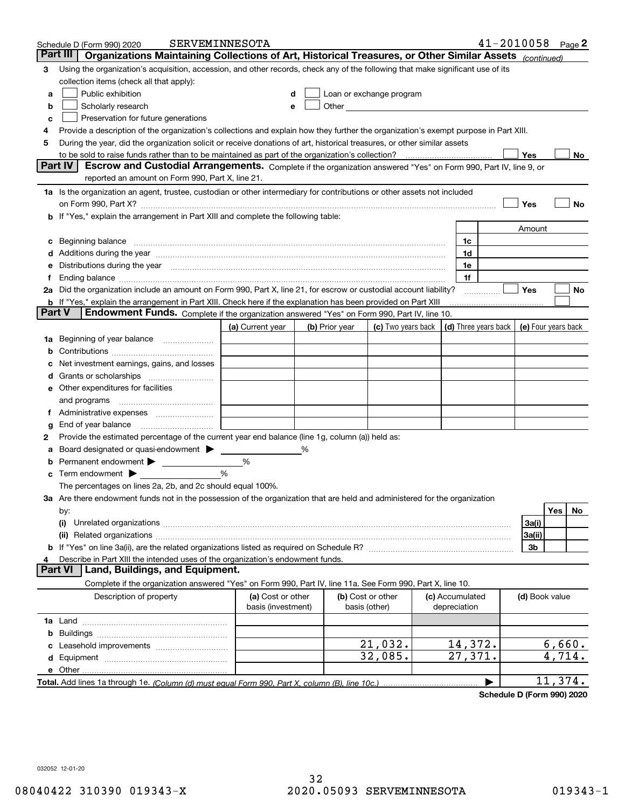|        | SERVEMINNESOTA<br>Schedule D (Form 990) 2020                                                                                                                                                                                   |                                         |   |                |                                                      |                                 | $41 - 2010058$ Page 2 |                     |         |     |
|--------|--------------------------------------------------------------------------------------------------------------------------------------------------------------------------------------------------------------------------------|-----------------------------------------|---|----------------|------------------------------------------------------|---------------------------------|-----------------------|---------------------|---------|-----|
|        | Part III<br>Organizations Maintaining Collections of Art, Historical Treasures, or Other Similar Assets (continued)                                                                                                            |                                         |   |                |                                                      |                                 |                       |                     |         |     |
| 3      | Using the organization's acquisition, accession, and other records, check any of the following that make significant use of its                                                                                                |                                         |   |                |                                                      |                                 |                       |                     |         |     |
|        | collection items (check all that apply):                                                                                                                                                                                       |                                         |   |                |                                                      |                                 |                       |                     |         |     |
| a      | Public exhibition                                                                                                                                                                                                              |                                         |   |                | Loan or exchange program                             |                                 |                       |                     |         |     |
| b      | Scholarly research                                                                                                                                                                                                             | е                                       |   |                | Other <b>Committee Committee Committee Committee</b> |                                 |                       |                     |         |     |
| с      | Preservation for future generations                                                                                                                                                                                            |                                         |   |                |                                                      |                                 |                       |                     |         |     |
| 4      | Provide a description of the organization's collections and explain how they further the organization's exempt purpose in Part XIII.                                                                                           |                                         |   |                |                                                      |                                 |                       |                     |         |     |
| 5      | During the year, did the organization solicit or receive donations of art, historical treasures, or other similar assets                                                                                                       |                                         |   |                |                                                      |                                 |                       |                     |         |     |
|        | to be sold to raise funds rather than to be maintained as part of the organization's collection?                                                                                                                               |                                         |   |                |                                                      |                                 |                       | Yes                 |         | No  |
|        | <b>Part IV</b><br>Escrow and Custodial Arrangements. Complete if the organization answered "Yes" on Form 990, Part IV, line 9, or                                                                                              |                                         |   |                |                                                      |                                 |                       |                     |         |     |
|        | reported an amount on Form 990, Part X, line 21.                                                                                                                                                                               |                                         |   |                |                                                      |                                 |                       |                     |         |     |
|        | 1a Is the organization an agent, trustee, custodian or other intermediary for contributions or other assets not included                                                                                                       |                                         |   |                |                                                      |                                 |                       |                     |         |     |
|        | on Form 990, Part X? [11] matter contracts and contracts and contracts are contracted as a form 990, Part X?                                                                                                                   |                                         |   |                |                                                      |                                 |                       | Yes                 |         | No  |
|        | b If "Yes," explain the arrangement in Part XIII and complete the following table:                                                                                                                                             |                                         |   |                |                                                      |                                 |                       |                     |         |     |
|        |                                                                                                                                                                                                                                |                                         |   |                |                                                      |                                 |                       | Amount              |         |     |
| c      | Beginning balance material continuum contracts and contact the contract of the contract of the contract of the                                                                                                                 |                                         |   |                |                                                      | 1c                              |                       |                     |         |     |
|        | Additions during the year manufactured and an account of the state of the state of the state of the state of the state of the state of the state of the state of the state of the state of the state of the state of the state |                                         |   |                |                                                      | 1d                              |                       |                     |         |     |
|        | Distributions during the year manufactured and continuum and continuum and continuum and continuum and continuum                                                                                                               |                                         |   |                |                                                      | 1e                              |                       |                     |         |     |
| 1.     |                                                                                                                                                                                                                                |                                         |   |                |                                                      | 1f                              |                       |                     |         |     |
|        | 2a Did the organization include an amount on Form 990, Part X, line 21, for escrow or custodial account liability?                                                                                                             |                                         |   |                |                                                      | .                               |                       | Yes                 |         | No  |
| Part V | <b>b</b> If "Yes," explain the arrangement in Part XIII. Check here if the explanation has been provided on Part XIII                                                                                                          |                                         |   |                |                                                      |                                 |                       |                     |         |     |
|        | Endowment Funds. Complete if the organization answered "Yes" on Form 990, Part IV, line 10.                                                                                                                                    |                                         |   |                |                                                      |                                 |                       |                     |         |     |
|        |                                                                                                                                                                                                                                | (a) Current year                        |   | (b) Prior year | (c) Two years back                                   |                                 | (d) Three years back  | (e) Four years back |         |     |
| 1a     | Beginning of year balance                                                                                                                                                                                                      |                                         |   |                |                                                      |                                 |                       |                     |         |     |
|        |                                                                                                                                                                                                                                |                                         |   |                |                                                      |                                 |                       |                     |         |     |
|        | Net investment earnings, gains, and losses                                                                                                                                                                                     |                                         |   |                |                                                      |                                 |                       |                     |         |     |
| d      |                                                                                                                                                                                                                                |                                         |   |                |                                                      |                                 |                       |                     |         |     |
|        | e Other expenditures for facilities                                                                                                                                                                                            |                                         |   |                |                                                      |                                 |                       |                     |         |     |
|        | and programs                                                                                                                                                                                                                   |                                         |   |                |                                                      |                                 |                       |                     |         |     |
|        | End of year balance                                                                                                                                                                                                            |                                         |   |                |                                                      |                                 |                       |                     |         |     |
| g<br>2 | Provide the estimated percentage of the current year end balance (line 1g, column (a)) held as:                                                                                                                                |                                         |   |                |                                                      |                                 |                       |                     |         |     |
| а      | Board designated or quasi-endowment                                                                                                                                                                                            |                                         | % |                |                                                      |                                 |                       |                     |         |     |
|        | Permanent endowment > <u>example</u>                                                                                                                                                                                           | %                                       |   |                |                                                      |                                 |                       |                     |         |     |
|        | Term endowment $\blacktriangleright$                                                                                                                                                                                           | %                                       |   |                |                                                      |                                 |                       |                     |         |     |
|        | The percentages on lines 2a, 2b, and 2c should equal 100%.                                                                                                                                                                     |                                         |   |                |                                                      |                                 |                       |                     |         |     |
|        | 3a Are there endowment funds not in the possession of the organization that are held and administered for the organization                                                                                                     |                                         |   |                |                                                      |                                 |                       |                     |         |     |
|        | by:                                                                                                                                                                                                                            |                                         |   |                |                                                      |                                 |                       |                     | Yes     | No. |
|        | (i)                                                                                                                                                                                                                            |                                         |   |                |                                                      |                                 |                       | 3a(i)               |         |     |
|        |                                                                                                                                                                                                                                |                                         |   |                |                                                      |                                 |                       | 3a(ii)              |         |     |
|        |                                                                                                                                                                                                                                |                                         |   |                |                                                      |                                 |                       | 3b                  |         |     |
| 4      | Describe in Part XIII the intended uses of the organization's endowment funds.                                                                                                                                                 |                                         |   |                |                                                      |                                 |                       |                     |         |     |
|        | Land, Buildings, and Equipment.<br>Part VI                                                                                                                                                                                     |                                         |   |                |                                                      |                                 |                       |                     |         |     |
|        | Complete if the organization answered "Yes" on Form 990, Part IV, line 11a. See Form 990, Part X, line 10.                                                                                                                     |                                         |   |                |                                                      |                                 |                       |                     |         |     |
|        | Description of property                                                                                                                                                                                                        | (a) Cost or other<br>basis (investment) |   |                | (b) Cost or other<br>basis (other)                   | (c) Accumulated<br>depreciation |                       | (d) Book value      |         |     |
|        |                                                                                                                                                                                                                                |                                         |   |                |                                                      |                                 |                       |                     |         |     |
| b      |                                                                                                                                                                                                                                |                                         |   |                |                                                      |                                 |                       |                     |         |     |
|        |                                                                                                                                                                                                                                |                                         |   |                | 21,032.                                              | 14,372.                         |                       |                     | 6,660.  |     |
|        |                                                                                                                                                                                                                                |                                         |   |                | 32,085.                                              | 27,371.                         |                       |                     | 4,714.  |     |
|        |                                                                                                                                                                                                                                |                                         |   |                |                                                      |                                 |                       |                     |         |     |
|        |                                                                                                                                                                                                                                |                                         |   |                |                                                      |                                 |                       |                     | 11,374. |     |

**Schedule D (Form 990) 2020**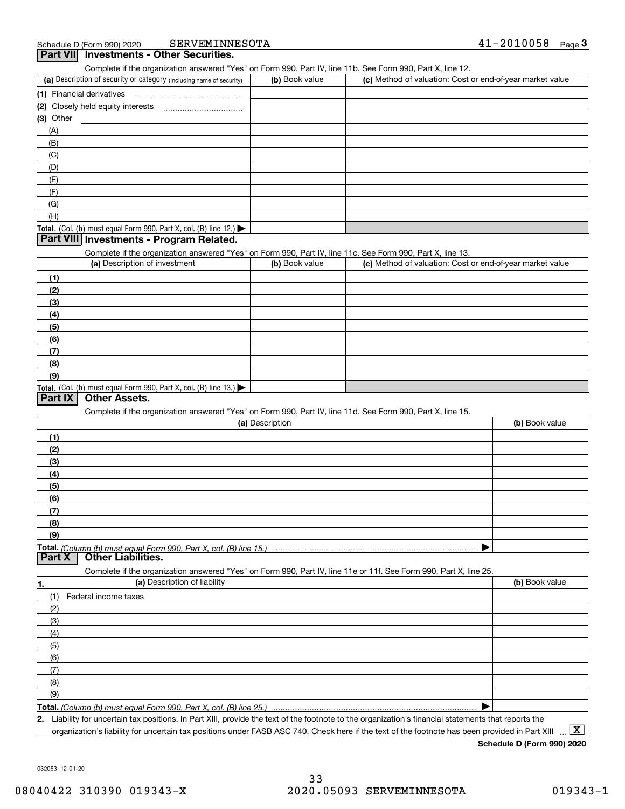| (1) Financial derivatives                                                                                         | (b) Book value  | Complete if the organization answered "Yes" on Form 990, Part IV, line 11b. See Form 990, Part X, line 12.<br>(c) Method of valuation: Cost or end-of-year market value |                |
|-------------------------------------------------------------------------------------------------------------------|-----------------|-------------------------------------------------------------------------------------------------------------------------------------------------------------------------|----------------|
|                                                                                                                   |                 |                                                                                                                                                                         |                |
|                                                                                                                   |                 |                                                                                                                                                                         |                |
| (3) Other                                                                                                         |                 |                                                                                                                                                                         |                |
| (A)                                                                                                               |                 |                                                                                                                                                                         |                |
| (B)                                                                                                               |                 |                                                                                                                                                                         |                |
| (C)                                                                                                               |                 |                                                                                                                                                                         |                |
| (D)                                                                                                               |                 |                                                                                                                                                                         |                |
| (E)                                                                                                               |                 |                                                                                                                                                                         |                |
| (F)                                                                                                               |                 |                                                                                                                                                                         |                |
|                                                                                                                   |                 |                                                                                                                                                                         |                |
| (G)                                                                                                               |                 |                                                                                                                                                                         |                |
| (H)                                                                                                               |                 |                                                                                                                                                                         |                |
| Total. (Col. (b) must equal Form 990, Part X, col. (B) line 12.)                                                  |                 |                                                                                                                                                                         |                |
| Part VIII Investments - Program Related.                                                                          |                 |                                                                                                                                                                         |                |
| Complete if the organization answered "Yes" on Form 990, Part IV, line 11c. See Form 990, Part X, line 13.        |                 |                                                                                                                                                                         |                |
| (a) Description of investment                                                                                     | (b) Book value  | (c) Method of valuation: Cost or end-of-year market value                                                                                                               |                |
| (1)                                                                                                               |                 |                                                                                                                                                                         |                |
| (2)                                                                                                               |                 |                                                                                                                                                                         |                |
| (3)                                                                                                               |                 |                                                                                                                                                                         |                |
| (4)                                                                                                               |                 |                                                                                                                                                                         |                |
| (5)                                                                                                               |                 |                                                                                                                                                                         |                |
| (6)                                                                                                               |                 |                                                                                                                                                                         |                |
| (7)                                                                                                               |                 |                                                                                                                                                                         |                |
| (8)                                                                                                               |                 |                                                                                                                                                                         |                |
| (9)                                                                                                               |                 |                                                                                                                                                                         |                |
| Total. (Col. (b) must equal Form 990, Part X, col. (B) line 13.)                                                  |                 |                                                                                                                                                                         |                |
| <b>Other Assets.</b><br>Part IX                                                                                   |                 |                                                                                                                                                                         |                |
| Complete if the organization answered "Yes" on Form 990, Part IV, line 11d. See Form 990, Part X, line 15.        |                 |                                                                                                                                                                         |                |
|                                                                                                                   | (a) Description |                                                                                                                                                                         | (b) Book value |
|                                                                                                                   |                 |                                                                                                                                                                         |                |
| (1)                                                                                                               |                 |                                                                                                                                                                         |                |
|                                                                                                                   |                 |                                                                                                                                                                         |                |
| (2)                                                                                                               |                 |                                                                                                                                                                         |                |
| (3)                                                                                                               |                 |                                                                                                                                                                         |                |
| (4)                                                                                                               |                 |                                                                                                                                                                         |                |
| (5)                                                                                                               |                 |                                                                                                                                                                         |                |
| (6)                                                                                                               |                 |                                                                                                                                                                         |                |
| (7)                                                                                                               |                 |                                                                                                                                                                         |                |
| (8)                                                                                                               |                 |                                                                                                                                                                         |                |
| (9)                                                                                                               |                 |                                                                                                                                                                         |                |
|                                                                                                                   |                 |                                                                                                                                                                         |                |
| <b>Other Liabilities.</b>                                                                                         |                 |                                                                                                                                                                         |                |
|                                                                                                                   |                 |                                                                                                                                                                         |                |
| Complete if the organization answered "Yes" on Form 990, Part IV, line 11e or 11f. See Form 990, Part X, line 25. |                 |                                                                                                                                                                         | (b) Book value |
| (a) Description of liability                                                                                      |                 |                                                                                                                                                                         |                |
| (1)<br>Federal income taxes                                                                                       |                 |                                                                                                                                                                         |                |
| (2)                                                                                                               |                 |                                                                                                                                                                         |                |
| (3)                                                                                                               |                 |                                                                                                                                                                         |                |
| (4)                                                                                                               |                 |                                                                                                                                                                         |                |
| (5)                                                                                                               |                 |                                                                                                                                                                         |                |
| (6)                                                                                                               |                 |                                                                                                                                                                         |                |
| (7)                                                                                                               |                 |                                                                                                                                                                         |                |
| (8)                                                                                                               |                 |                                                                                                                                                                         |                |
| Total. (Column (b) must equal Form 990. Part X, col. (B) line 15.)<br>Part X<br>1.<br>(9)                         |                 |                                                                                                                                                                         |                |

**2.** Liability for uncertain tax positions. In Part XIII, provide the text of the footnote to the organization's financial statements that reports the organization's liability for uncertain tax positions under FASB ASC 740. Check here if the text of the footnote has been provided in Part XIII  $\boxed{\text{X}}$ 

**Schedule D (Form 990) 2020**

032053 12-01-20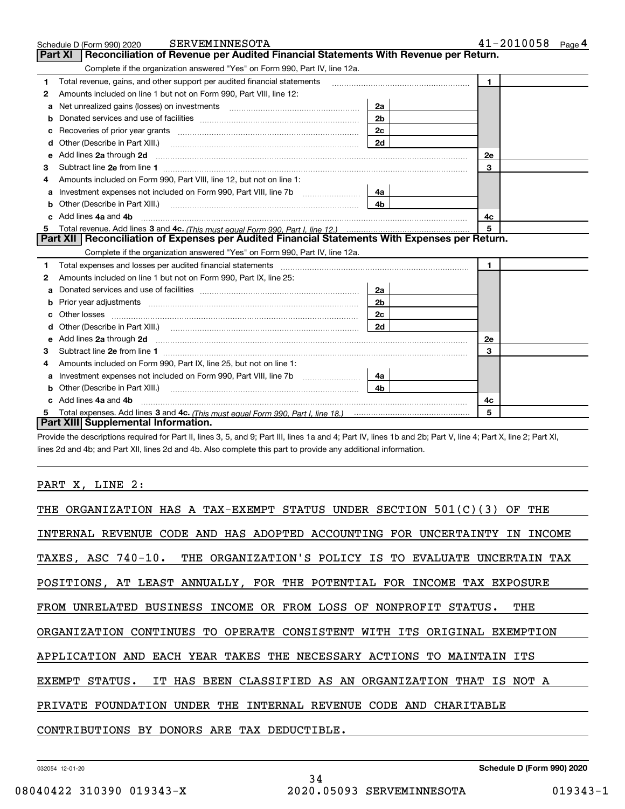|    | SERVEMINNESOTA<br>Schedule D (Form 990) 2020                                                                                                                                                                                        |                | $41 - 2010058$ Page 4 |  |
|----|-------------------------------------------------------------------------------------------------------------------------------------------------------------------------------------------------------------------------------------|----------------|-----------------------|--|
|    | Part XI<br>Reconciliation of Revenue per Audited Financial Statements With Revenue per Return.                                                                                                                                      |                |                       |  |
|    | Complete if the organization answered "Yes" on Form 990, Part IV, line 12a.                                                                                                                                                         |                |                       |  |
| 1  | Total revenue, gains, and other support per audited financial statements                                                                                                                                                            |                | $\mathbf{1}$          |  |
| 2  | Amounts included on line 1 but not on Form 990, Part VIII, line 12:                                                                                                                                                                 |                |                       |  |
| a  | Net unrealized gains (losses) on investments [11] matter contains the unrealized gains (losses) on investments                                                                                                                      | 2a             |                       |  |
| b  |                                                                                                                                                                                                                                     | 2 <sub>b</sub> |                       |  |
| с  |                                                                                                                                                                                                                                     | 2c             |                       |  |
| d  | Other (Describe in Part XIII.)                                                                                                                                                                                                      | 2d             |                       |  |
| е  | Add lines 2a through 2d <b>must be a constructed as the constant of the constant of the constant of the construction</b>                                                                                                            |                | <b>2e</b>             |  |
| з  |                                                                                                                                                                                                                                     |                | 3                     |  |
|    | Amounts included on Form 990, Part VIII, line 12, but not on line 1:                                                                                                                                                                |                |                       |  |
| a  | Investment expenses not included on Form 990, Part VIII, line 7b [100] [100] [100] [100] [100] [100] [100] [10                                                                                                                      | 4a             |                       |  |
| b  | Other (Describe in Part XIII.) <b>Construction Contract Construction</b> Chemistry Chemistry Chemistry Chemistry Chemistry                                                                                                          | 4 <sub>b</sub> |                       |  |
| c. | Add lines 4a and 4b                                                                                                                                                                                                                 |                | 4c                    |  |
| 5  |                                                                                                                                                                                                                                     |                | 5                     |  |
|    | Part XII   Reconciliation of Expenses per Audited Financial Statements With Expenses per Return.                                                                                                                                    |                |                       |  |
|    | Complete if the organization answered "Yes" on Form 990, Part IV, line 12a.                                                                                                                                                         |                |                       |  |
| 1  | Total expenses and losses per audited financial statements [11] [12] manuscription control in the statements [13] manuscription of the statements [13] manuscription of the statements and the statements and the statements a      |                | $\mathbf{1}$          |  |
| 2  | Amounts included on line 1 but not on Form 990, Part IX, line 25:                                                                                                                                                                   |                |                       |  |
| a  |                                                                                                                                                                                                                                     | 2a             |                       |  |
| b  | Prior year adjustments [111] manufactured and prior in the manufactured and prior year adjustments                                                                                                                                  | 2 <sub>b</sub> |                       |  |
| c  |                                                                                                                                                                                                                                     | 2 <sub>c</sub> |                       |  |
|    |                                                                                                                                                                                                                                     | 2d             |                       |  |
| е  | Add lines 2a through 2d <b>contained a contained a contained a contained a</b> contained a contained a contained a contained a contained a contained a contained a contained a contained a contained a contained a contained a cont |                | <b>2e</b>             |  |
| З  |                                                                                                                                                                                                                                     |                | 3                     |  |
| 4  | Amounts included on Form 990, Part IX, line 25, but not on line 1:                                                                                                                                                                  |                |                       |  |
| a  |                                                                                                                                                                                                                                     | 4a             |                       |  |
| b  |                                                                                                                                                                                                                                     | 4b             |                       |  |
|    | Add lines 4a and 4b                                                                                                                                                                                                                 |                | 4c                    |  |
|    |                                                                                                                                                                                                                                     |                | 5                     |  |
|    | Part XIII Supplemental Information.                                                                                                                                                                                                 |                |                       |  |

Provide the descriptions required for Part II, lines 3, 5, and 9; Part III, lines 1a and 4; Part IV, lines 1b and 2b; Part V, line 4; Part X, line 2; Part XI, lines 2d and 4b; and Part XII, lines 2d and 4b. Also complete this part to provide any additional information.

### PART X, LINE 2:

| THE ORGANIZATION HAS A TAX-EXEMPT STATUS UNDER SECTION 501(C)(3) OF THE    |
|----------------------------------------------------------------------------|
| INTERNAL REVENUE CODE AND HAS ADOPTED ACCOUNTING FOR UNCERTAINTY IN INCOME |
| TAXES, ASC 740-10. THE ORGANIZATION'S POLICY IS TO EVALUATE UNCERTAIN TAX  |
| POSITIONS, AT LEAST ANNUALLY, FOR THE POTENTIAL FOR INCOME TAX EXPOSURE    |
| FROM UNRELATED BUSINESS INCOME OR FROM LOSS OF NONPROFIT STATUS. THE       |
| ORGANIZATION CONTINUES TO OPERATE CONSISTENT WITH ITS ORIGINAL EXEMPTION   |
| APPLICATION AND EACH YEAR TAKES THE NECESSARY ACTIONS TO MAINTAIN ITS      |
| EXEMPT STATUS. IT HAS BEEN CLASSIFIED AS AN ORGANIZATION THAT IS NOT A     |
| PRIVATE FOUNDATION UNDER THE INTERNAL REVENUE CODE AND CHARITABLE          |
| CONTRIBUTIONS BY DONORS ARE TAX DEDUCTIBLE.                                |
|                                                                            |

032054 12-01-20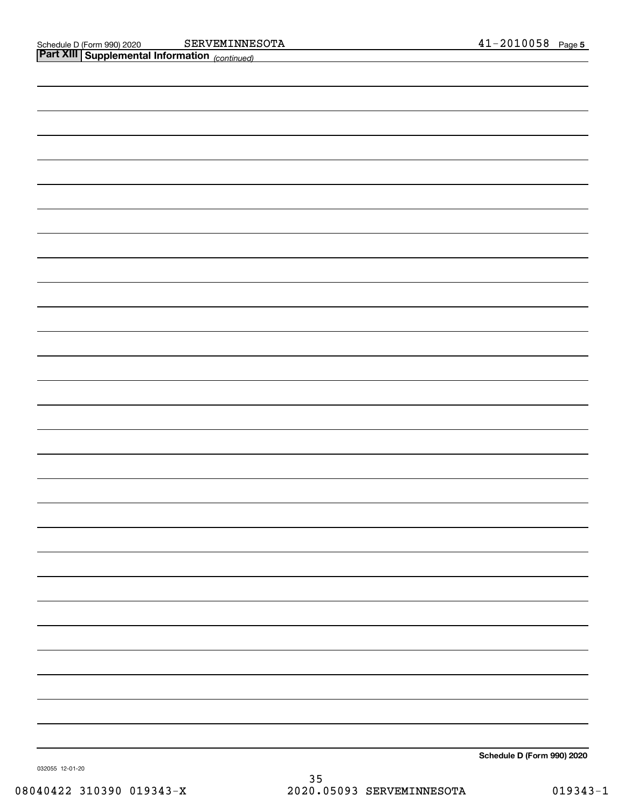Schedule D (Form 990) 2020 SERVEMINNESOTA 4 L-ZUIUU58 Page SERVEMINNESOTA

| <b>Fare And Supplemental Information</b> (continued) |                            |
|------------------------------------------------------|----------------------------|
|                                                      |                            |
|                                                      |                            |
|                                                      |                            |
|                                                      |                            |
|                                                      |                            |
|                                                      |                            |
|                                                      |                            |
|                                                      |                            |
|                                                      |                            |
|                                                      |                            |
|                                                      |                            |
|                                                      |                            |
|                                                      |                            |
|                                                      |                            |
|                                                      |                            |
|                                                      |                            |
|                                                      |                            |
|                                                      |                            |
|                                                      |                            |
|                                                      |                            |
|                                                      |                            |
|                                                      |                            |
|                                                      |                            |
|                                                      |                            |
|                                                      |                            |
|                                                      |                            |
|                                                      |                            |
|                                                      |                            |
|                                                      |                            |
|                                                      |                            |
|                                                      |                            |
|                                                      |                            |
|                                                      |                            |
|                                                      |                            |
|                                                      |                            |
|                                                      |                            |
|                                                      |                            |
|                                                      |                            |
|                                                      |                            |
|                                                      |                            |
|                                                      |                            |
|                                                      | Schedule D (Form 990) 2020 |

032055 12-01-20

35 08040422 310390 019343-X 2020.05093 SERVEMINNESOTA 019343-1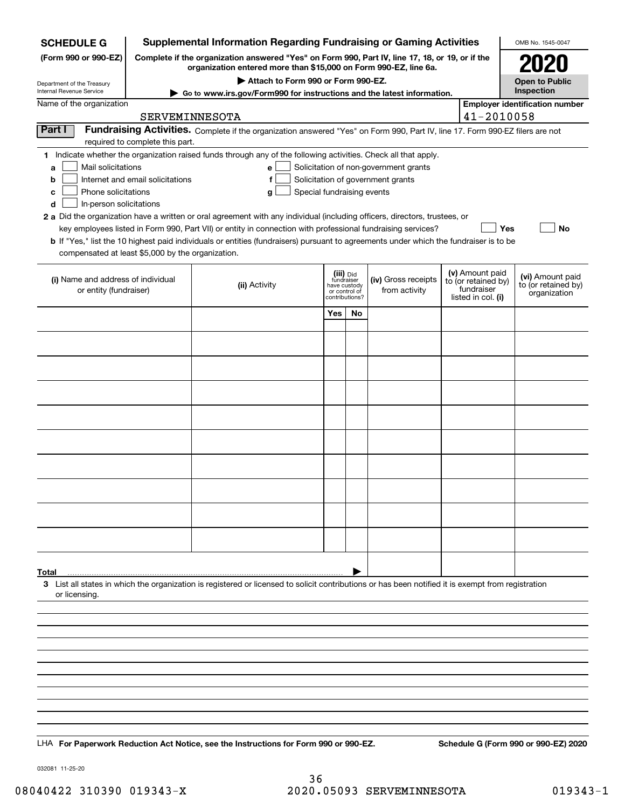| <b>SCHEDULE G</b>                                                                                                                             | <b>Supplemental Information Regarding Fundraising or Gaming Activities</b>                                                                                          |                                                                                                                                                                                                                                                                                                                                                                                                                                                                                                                                                    |                                                            |              |                                                                            |  |                                                                            |                                                         |
|-----------------------------------------------------------------------------------------------------------------------------------------------|---------------------------------------------------------------------------------------------------------------------------------------------------------------------|----------------------------------------------------------------------------------------------------------------------------------------------------------------------------------------------------------------------------------------------------------------------------------------------------------------------------------------------------------------------------------------------------------------------------------------------------------------------------------------------------------------------------------------------------|------------------------------------------------------------|--------------|----------------------------------------------------------------------------|--|----------------------------------------------------------------------------|---------------------------------------------------------|
| (Form 990 or 990-EZ)                                                                                                                          | Complete if the organization answered "Yes" on Form 990, Part IV, line 17, 18, or 19, or if the<br>organization entered more than \$15,000 on Form 990-EZ, line 6a. |                                                                                                                                                                                                                                                                                                                                                                                                                                                                                                                                                    |                                                            |              |                                                                            |  |                                                                            |                                                         |
| Department of the Treasury                                                                                                                    |                                                                                                                                                                     |                                                                                                                                                                                                                                                                                                                                                                                                                                                                                                                                                    | <b>Open to Public</b>                                      |              |                                                                            |  |                                                                            |                                                         |
| Internal Revenue Service                                                                                                                      | Go to www.irs.gov/Form990 for instructions and the latest information.                                                                                              |                                                                                                                                                                                                                                                                                                                                                                                                                                                                                                                                                    | Inspection                                                 |              |                                                                            |  |                                                                            |                                                         |
| Name of the organization                                                                                                                      | 41-2010058                                                                                                                                                          | <b>Employer identification number</b>                                                                                                                                                                                                                                                                                                                                                                                                                                                                                                              |                                                            |              |                                                                            |  |                                                                            |                                                         |
| Part I                                                                                                                                        | required to complete this part.                                                                                                                                     | Fundraising Activities. Complete if the organization answered "Yes" on Form 990, Part IV, line 17. Form 990-EZ filers are not                                                                                                                                                                                                                                                                                                                                                                                                                      |                                                            |              |                                                                            |  |                                                                            |                                                         |
| Mail solicitations<br>a<br>b<br>Phone solicitations<br>c<br>In-person solicitations<br>d<br>compensated at least \$5,000 by the organization. | Internet and email solicitations                                                                                                                                    | 1 Indicate whether the organization raised funds through any of the following activities. Check all that apply.<br>е<br>f<br>Special fundraising events<br>g<br>2 a Did the organization have a written or oral agreement with any individual (including officers, directors, trustees, or<br>key employees listed in Form 990, Part VII) or entity in connection with professional fundraising services?<br>b If "Yes," list the 10 highest paid individuals or entities (fundraisers) pursuant to agreements under which the fundraiser is to be |                                                            |              | Solicitation of non-government grants<br>Solicitation of government grants |  | Yes                                                                        | No                                                      |
| (i) Name and address of individual<br>or entity (fundraiser)                                                                                  |                                                                                                                                                                     | (ii) Activity                                                                                                                                                                                                                                                                                                                                                                                                                                                                                                                                      | (iii) Did<br>fundraiser<br>or control of<br>contributions? | have custody | (iv) Gross receipts<br>from activity                                       |  | (v) Amount paid<br>to (or retained by)<br>fundraiser<br>listed in col. (i) | (vi) Amount paid<br>to (or retained by)<br>organization |
|                                                                                                                                               |                                                                                                                                                                     |                                                                                                                                                                                                                                                                                                                                                                                                                                                                                                                                                    | Yes                                                        | No           |                                                                            |  |                                                                            |                                                         |
|                                                                                                                                               |                                                                                                                                                                     |                                                                                                                                                                                                                                                                                                                                                                                                                                                                                                                                                    |                                                            |              |                                                                            |  |                                                                            |                                                         |
|                                                                                                                                               |                                                                                                                                                                     |                                                                                                                                                                                                                                                                                                                                                                                                                                                                                                                                                    |                                                            |              |                                                                            |  |                                                                            |                                                         |
|                                                                                                                                               |                                                                                                                                                                     |                                                                                                                                                                                                                                                                                                                                                                                                                                                                                                                                                    |                                                            |              |                                                                            |  |                                                                            |                                                         |
|                                                                                                                                               |                                                                                                                                                                     |                                                                                                                                                                                                                                                                                                                                                                                                                                                                                                                                                    |                                                            |              |                                                                            |  |                                                                            |                                                         |
|                                                                                                                                               |                                                                                                                                                                     |                                                                                                                                                                                                                                                                                                                                                                                                                                                                                                                                                    |                                                            |              |                                                                            |  |                                                                            |                                                         |
|                                                                                                                                               |                                                                                                                                                                     |                                                                                                                                                                                                                                                                                                                                                                                                                                                                                                                                                    |                                                            |              |                                                                            |  |                                                                            |                                                         |
|                                                                                                                                               |                                                                                                                                                                     |                                                                                                                                                                                                                                                                                                                                                                                                                                                                                                                                                    |                                                            |              |                                                                            |  |                                                                            |                                                         |
|                                                                                                                                               |                                                                                                                                                                     |                                                                                                                                                                                                                                                                                                                                                                                                                                                                                                                                                    |                                                            |              |                                                                            |  |                                                                            |                                                         |
|                                                                                                                                               |                                                                                                                                                                     |                                                                                                                                                                                                                                                                                                                                                                                                                                                                                                                                                    |                                                            |              |                                                                            |  |                                                                            |                                                         |
|                                                                                                                                               |                                                                                                                                                                     |                                                                                                                                                                                                                                                                                                                                                                                                                                                                                                                                                    |                                                            |              |                                                                            |  |                                                                            |                                                         |
|                                                                                                                                               |                                                                                                                                                                     |                                                                                                                                                                                                                                                                                                                                                                                                                                                                                                                                                    |                                                            |              |                                                                            |  |                                                                            |                                                         |
| Total<br>or licensing.                                                                                                                        |                                                                                                                                                                     | 3 List all states in which the organization is registered or licensed to solicit contributions or has been notified it is exempt from registration                                                                                                                                                                                                                                                                                                                                                                                                 |                                                            |              |                                                                            |  |                                                                            |                                                         |
|                                                                                                                                               |                                                                                                                                                                     |                                                                                                                                                                                                                                                                                                                                                                                                                                                                                                                                                    |                                                            |              |                                                                            |  |                                                                            |                                                         |
|                                                                                                                                               |                                                                                                                                                                     |                                                                                                                                                                                                                                                                                                                                                                                                                                                                                                                                                    |                                                            |              |                                                                            |  |                                                                            |                                                         |
|                                                                                                                                               |                                                                                                                                                                     |                                                                                                                                                                                                                                                                                                                                                                                                                                                                                                                                                    |                                                            |              |                                                                            |  |                                                                            |                                                         |
|                                                                                                                                               |                                                                                                                                                                     |                                                                                                                                                                                                                                                                                                                                                                                                                                                                                                                                                    |                                                            |              |                                                                            |  |                                                                            |                                                         |
|                                                                                                                                               |                                                                                                                                                                     |                                                                                                                                                                                                                                                                                                                                                                                                                                                                                                                                                    |                                                            |              |                                                                            |  |                                                                            |                                                         |
|                                                                                                                                               |                                                                                                                                                                     |                                                                                                                                                                                                                                                                                                                                                                                                                                                                                                                                                    |                                                            |              |                                                                            |  |                                                                            |                                                         |
|                                                                                                                                               |                                                                                                                                                                     |                                                                                                                                                                                                                                                                                                                                                                                                                                                                                                                                                    |                                                            |              |                                                                            |  |                                                                            |                                                         |
|                                                                                                                                               |                                                                                                                                                                     | LHA For Paperwork Reduction Act Notice, see the Instructions for Form 990 or 990-EZ.                                                                                                                                                                                                                                                                                                                                                                                                                                                               |                                                            |              |                                                                            |  |                                                                            | Schedule G (Form 990 or 990-EZ) 2020                    |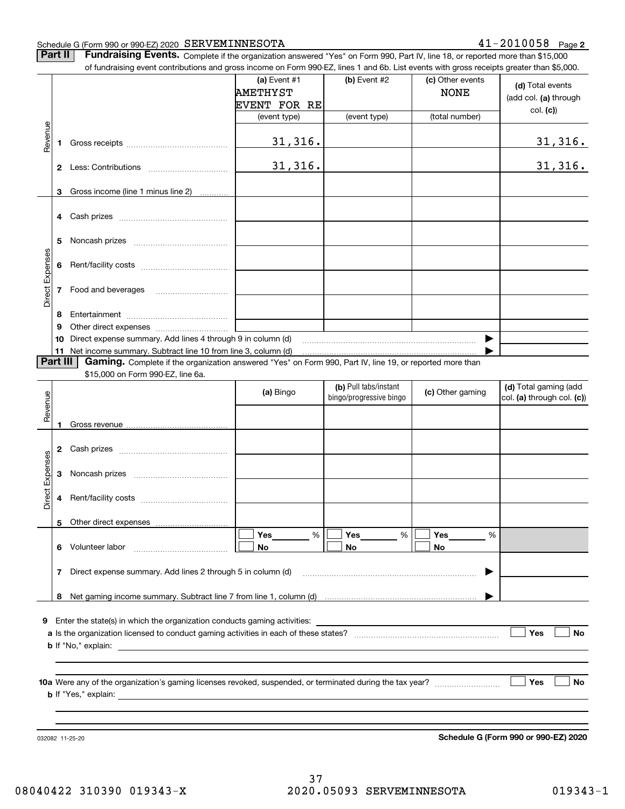#### Schedule G (Form 990 or 990-EZ) 2020 Page SERVEMINNESOTA 41-2010058

**2**

**Part II** | Fundraising Events. Complete if the organization answered "Yes" on Form 990, Part IV, line 18, or reported more than \$15,000

|                 |          | of fundraising event contributions and gross income on Form 990-EZ, lines 1 and 6b. List events with gross receipts greater than \$5,000.      |                              |                                                  |                                 |                                                     |
|-----------------|----------|------------------------------------------------------------------------------------------------------------------------------------------------|------------------------------|--------------------------------------------------|---------------------------------|-----------------------------------------------------|
|                 |          |                                                                                                                                                | (a) Event $#1$<br>AMETHYST   | (b) Event #2                                     | (c) Other events<br><b>NONE</b> | (d) Total events<br>(add col. (a) through           |
|                 |          |                                                                                                                                                | EVENT FOR RE<br>(event type) | (event type)                                     | (total number)                  | col. (c)                                            |
|                 |          |                                                                                                                                                |                              |                                                  |                                 |                                                     |
| Revenue         |          |                                                                                                                                                | 31,316.                      |                                                  |                                 | <u>31,316.</u>                                      |
|                 |          |                                                                                                                                                | 31,316.                      |                                                  |                                 | 31,316.                                             |
|                 | 3        | Gross income (line 1 minus line 2)                                                                                                             |                              |                                                  |                                 |                                                     |
|                 |          |                                                                                                                                                |                              |                                                  |                                 |                                                     |
|                 | 5        |                                                                                                                                                |                              |                                                  |                                 |                                                     |
| Direct Expenses |          |                                                                                                                                                |                              |                                                  |                                 |                                                     |
|                 |          |                                                                                                                                                |                              |                                                  |                                 |                                                     |
|                 |          |                                                                                                                                                |                              |                                                  |                                 |                                                     |
|                 | 8<br>9   |                                                                                                                                                |                              |                                                  |                                 |                                                     |
|                 | 10       | Direct expense summary. Add lines 4 through 9 in column (d)                                                                                    |                              |                                                  |                                 |                                                     |
|                 |          |                                                                                                                                                |                              |                                                  |                                 |                                                     |
|                 | Part III | Gaming. Complete if the organization answered "Yes" on Form 990, Part IV, line 19, or reported more than                                       |                              |                                                  |                                 |                                                     |
|                 |          | \$15,000 on Form 990-EZ, line 6a.                                                                                                              |                              |                                                  |                                 |                                                     |
| Revenue         |          |                                                                                                                                                | (a) Bingo                    | (b) Pull tabs/instant<br>bingo/progressive bingo | (c) Other gaming                | (d) Total gaming (add<br>col. (a) through col. (c)) |
|                 |          |                                                                                                                                                |                              |                                                  |                                 |                                                     |
|                 |          |                                                                                                                                                |                              |                                                  |                                 |                                                     |
| Direct Expenses |          |                                                                                                                                                |                              |                                                  |                                 |                                                     |
|                 |          |                                                                                                                                                |                              |                                                  |                                 |                                                     |
|                 |          | Other direct expenses                                                                                                                          |                              |                                                  |                                 |                                                     |
|                 |          |                                                                                                                                                | <b>Yes</b><br>%              | Yes<br>%                                         | Yes<br>%                        |                                                     |
|                 |          | 6 Volunteer labor                                                                                                                              | No                           | No                                               | No                              |                                                     |
|                 |          | 7 Direct expense summary. Add lines 2 through 5 in column (d)                                                                                  |                              |                                                  |                                 |                                                     |
|                 |          |                                                                                                                                                |                              |                                                  |                                 |                                                     |
|                 |          |                                                                                                                                                |                              |                                                  |                                 |                                                     |
|                 |          | <b>9</b> Enter the state(s) in which the organization conducts gaming activities:                                                              |                              |                                                  |                                 |                                                     |
|                 |          |                                                                                                                                                |                              |                                                  |                                 | Yes<br>No                                           |
|                 |          | <b>b</b> If "No," explain:<br>and the control of the control of the control of the control of the control of the control of the control of the |                              |                                                  |                                 |                                                     |
|                 |          |                                                                                                                                                |                              |                                                  |                                 |                                                     |
|                 |          |                                                                                                                                                |                              |                                                  |                                 |                                                     |
|                 |          |                                                                                                                                                |                              |                                                  |                                 | Yes<br>No                                           |
|                 |          | <b>b</b> If "Yes," explain:<br><u> 1989 - Johann John Stone, markin bashkar (b. 1989)</u>                                                      |                              |                                                  |                                 |                                                     |
|                 |          |                                                                                                                                                |                              |                                                  |                                 |                                                     |
|                 |          |                                                                                                                                                |                              |                                                  |                                 |                                                     |

032082 11-25-20

**Schedule G (Form 990 or 990-EZ) 2020**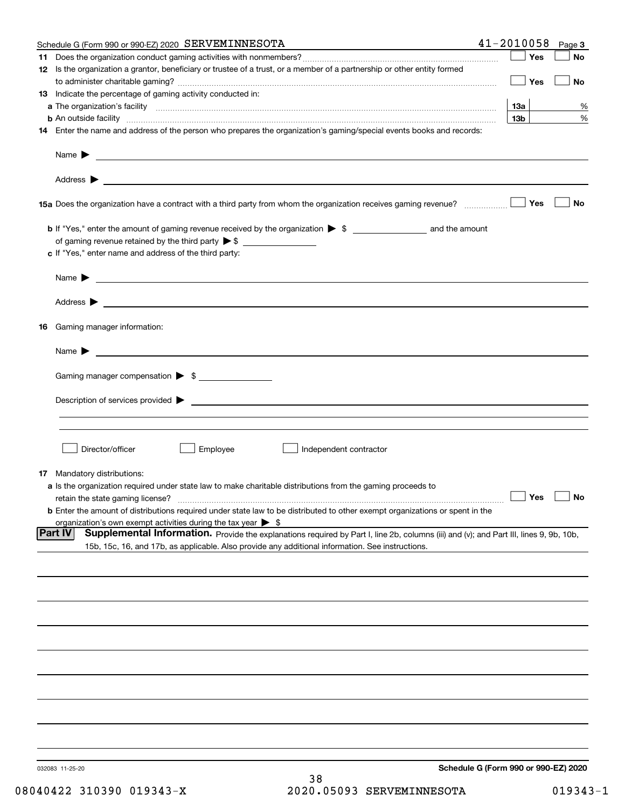|     | Schedule G (Form 990 or 990-EZ) 2020 SERVEMINNESOTA                                                                                                                                                                 | $41 - 2010058$   | Page 3    |
|-----|---------------------------------------------------------------------------------------------------------------------------------------------------------------------------------------------------------------------|------------------|-----------|
| 11. |                                                                                                                                                                                                                     | Yes              | No        |
|     | 12 Is the organization a grantor, beneficiary or trustee of a trust, or a member of a partnership or other entity formed                                                                                            | Yes              | No        |
|     | 13 Indicate the percentage of gaming activity conducted in:                                                                                                                                                         |                  |           |
|     |                                                                                                                                                                                                                     | 13а              | %         |
|     | <b>b</b> An outside facility <i>www.communicality www.communicality.communicality www.communicality www.communicality.com</i>                                                                                       | 13 <sub>b</sub>  | $\%$      |
|     | 14 Enter the name and address of the person who prepares the organization's gaming/special events books and records:                                                                                                |                  |           |
|     | Name $\triangleright$ $\square$                                                                                                                                                                                     |                  |           |
|     |                                                                                                                                                                                                                     |                  |           |
|     | 15a Does the organization have a contract with a third party from whom the organization receives gaming revenue?                                                                                                    | Yes              | <b>No</b> |
|     |                                                                                                                                                                                                                     |                  |           |
|     |                                                                                                                                                                                                                     |                  |           |
|     | c If "Yes," enter name and address of the third party:                                                                                                                                                              |                  |           |
|     | Name $\blacktriangleright$ $\bot$                                                                                                                                                                                   |                  |           |
|     |                                                                                                                                                                                                                     |                  |           |
|     | 16 Gaming manager information:                                                                                                                                                                                      |                  |           |
|     | Name $\blacktriangleright$ $\frac{1}{\sqrt{1-\frac{1}{2}}\left(1-\frac{1}{2}\right)}$                                                                                                                               |                  |           |
|     |                                                                                                                                                                                                                     |                  |           |
|     | Gaming manager compensation > \$                                                                                                                                                                                    |                  |           |
|     |                                                                                                                                                                                                                     |                  |           |
|     |                                                                                                                                                                                                                     |                  |           |
|     | Director/officer<br>Employee<br>Independent contractor                                                                                                                                                              |                  |           |
|     | <b>17</b> Mandatory distributions:                                                                                                                                                                                  |                  |           |
|     | a Is the organization required under state law to make charitable distributions from the gaming proceeds to                                                                                                         |                  |           |
|     | retain the state gaming license?                                                                                                                                                                                    | __  Yes │___  No |           |
|     | <b>b</b> Enter the amount of distributions required under state law to be distributed to other exempt organizations or spent in the<br>organization's own exempt activities during the tax year $\triangleright$ \$ |                  |           |
|     | <b>Part IV</b><br>Supplemental Information. Provide the explanations required by Part I, line 2b, columns (iii) and (v); and Part III, lines 9, 9b, 10b,                                                            |                  |           |
|     | 15b, 15c, 16, and 17b, as applicable. Also provide any additional information. See instructions.                                                                                                                    |                  |           |
|     |                                                                                                                                                                                                                     |                  |           |
|     |                                                                                                                                                                                                                     |                  |           |
|     |                                                                                                                                                                                                                     |                  |           |
|     |                                                                                                                                                                                                                     |                  |           |
|     |                                                                                                                                                                                                                     |                  |           |
|     |                                                                                                                                                                                                                     |                  |           |
|     |                                                                                                                                                                                                                     |                  |           |
|     |                                                                                                                                                                                                                     |                  |           |
|     |                                                                                                                                                                                                                     |                  |           |
|     | Schedule G (Form 990 or 990-EZ) 2020<br>032083 11-25-20<br>၁၀                                                                                                                                                       |                  |           |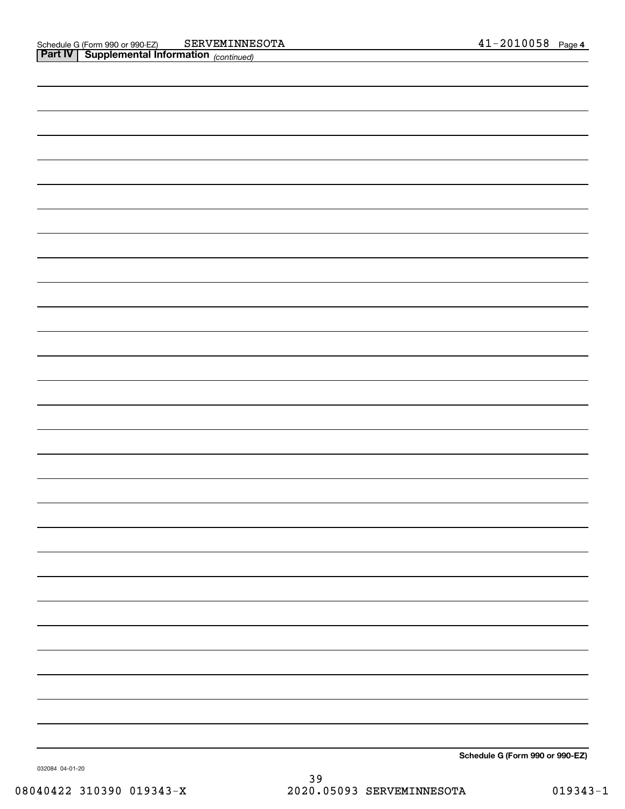| <b>Part IV   Supplemental Information</b> (continued) |  |  |
|-------------------------------------------------------|--|--|
|                                                       |  |  |
|                                                       |  |  |
|                                                       |  |  |
|                                                       |  |  |
|                                                       |  |  |
|                                                       |  |  |
|                                                       |  |  |
|                                                       |  |  |
|                                                       |  |  |
|                                                       |  |  |
|                                                       |  |  |
|                                                       |  |  |
|                                                       |  |  |
|                                                       |  |  |
|                                                       |  |  |
|                                                       |  |  |
|                                                       |  |  |
|                                                       |  |  |
|                                                       |  |  |
|                                                       |  |  |
|                                                       |  |  |
|                                                       |  |  |
|                                                       |  |  |
|                                                       |  |  |
|                                                       |  |  |
|                                                       |  |  |
|                                                       |  |  |
|                                                       |  |  |
|                                                       |  |  |

**Schedule G (Form 990 or 990-EZ)**

032084 04-01-20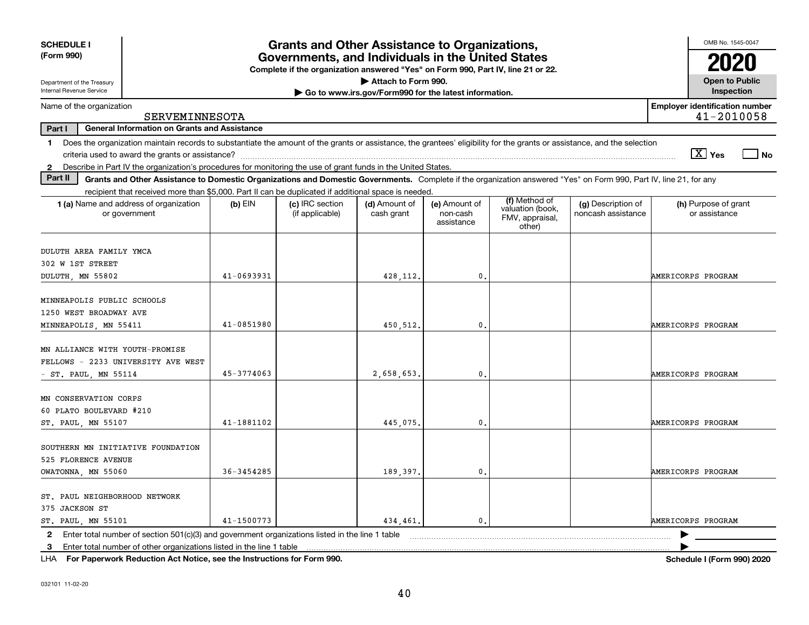| <b>SCHEDULE I</b><br>(Form 990)                                                                                                                                                                                                                                                                                 | <b>Grants and Other Assistance to Organizations,</b><br>Governments, and Individuals in the United States<br>Complete if the organization answered "Yes" on Form 990, Part IV, line 21 or 22. |                                    |                             |                                         |                                                                |                                          |                                                     |  |
|-----------------------------------------------------------------------------------------------------------------------------------------------------------------------------------------------------------------------------------------------------------------------------------------------------------------|-----------------------------------------------------------------------------------------------------------------------------------------------------------------------------------------------|------------------------------------|-----------------------------|-----------------------------------------|----------------------------------------------------------------|------------------------------------------|-----------------------------------------------------|--|
| Attach to Form 990.<br>Department of the Treasury<br>Internal Revenue Service<br>Go to www.irs.gov/Form990 for the latest information.                                                                                                                                                                          |                                                                                                                                                                                               |                                    |                             |                                         |                                                                |                                          |                                                     |  |
| Name of the organization<br><b>SERVEMINNESOTA</b>                                                                                                                                                                                                                                                               |                                                                                                                                                                                               |                                    |                             |                                         |                                                                |                                          | <b>Employer identification number</b><br>41-2010058 |  |
| Part I<br><b>General Information on Grants and Assistance</b>                                                                                                                                                                                                                                                   |                                                                                                                                                                                               |                                    |                             |                                         |                                                                |                                          |                                                     |  |
| Does the organization maintain records to substantiate the amount of the grants or assistance, the grantees' eligibility for the grants or assistance, and the selection<br>1.<br>Describe in Part IV the organization's procedures for monitoring the use of grant funds in the United States.<br>$\mathbf{2}$ |                                                                                                                                                                                               |                                    |                             |                                         |                                                                |                                          | $\boxed{\text{X}}$ Yes<br>l No                      |  |
| Part II<br>Grants and Other Assistance to Domestic Organizations and Domestic Governments. Complete if the organization answered "Yes" on Form 990, Part IV, line 21, for any                                                                                                                                   |                                                                                                                                                                                               |                                    |                             |                                         |                                                                |                                          |                                                     |  |
| recipient that received more than \$5,000. Part II can be duplicated if additional space is needed.<br>1 (a) Name and address of organization<br>or government                                                                                                                                                  | $(b)$ EIN                                                                                                                                                                                     | (c) IRC section<br>(if applicable) | (d) Amount of<br>cash grant | (e) Amount of<br>non-cash<br>assistance | (f) Method of<br>valuation (book,<br>FMV, appraisal,<br>other) | (g) Description of<br>noncash assistance | (h) Purpose of grant<br>or assistance               |  |
| DULUTH AREA FAMILY YMCA<br>302 W 1ST STREET<br>DULUTH, MN 55802                                                                                                                                                                                                                                                 | 41-0693931                                                                                                                                                                                    |                                    | 428, 112.                   | 0.                                      |                                                                |                                          | AMERICORPS PROGRAM                                  |  |
| MINNEAPOLIS PUBLIC SCHOOLS<br>1250 WEST BROADWAY AVE<br>MINNEAPOLIS, MN 55411                                                                                                                                                                                                                                   | $41 - 0851980$                                                                                                                                                                                |                                    | 450,512.                    | 0.                                      |                                                                |                                          | AMERICORPS PROGRAM                                  |  |
| MN ALLIANCE WITH YOUTH-PROMISE<br>FELLOWS - 2233 UNIVERSITY AVE WEST<br>ST. PAUL, MN 55114                                                                                                                                                                                                                      | $45 - 3774063$                                                                                                                                                                                |                                    | 2,658,653,                  | 0.                                      |                                                                |                                          | AMERICORPS PROGRAM                                  |  |
| MN CONSERVATION CORPS<br>60 PLATO BOULEVARD #210<br>ST. PAUL, MN 55107                                                                                                                                                                                                                                          | 41-1881102                                                                                                                                                                                    |                                    | 445,075.                    | 0.                                      |                                                                |                                          | AMERICORPS PROGRAM                                  |  |
| SOUTHERN MN INITIATIVE FOUNDATION<br>525 FLORENCE AVENUE<br>OWATONNA, MN 55060                                                                                                                                                                                                                                  | 36-3454285                                                                                                                                                                                    |                                    | 189,397.                    | 0.                                      |                                                                |                                          | AMERICORPS PROGRAM                                  |  |
| ST. PAUL NEIGHBORHOOD NETWORK<br>375 JACKSON ST<br>ST. PAUL, MN 55101                                                                                                                                                                                                                                           | 41-1500773                                                                                                                                                                                    |                                    | 434,461.                    | 0.                                      |                                                                |                                          | AMERICORPS PROGRAM                                  |  |
| Enter total number of section $501(c)(3)$ and government organizations listed in the line 1 table<br>$\mathbf{2}$<br>Enter total number of other organizations listed in the line 1 table<br>3.                                                                                                                 |                                                                                                                                                                                               |                                    |                             |                                         |                                                                |                                          |                                                     |  |

**For Paperwork Reduction Act Notice, see the Instructions for Form 990. Schedule I (Form 990) 2020** LHA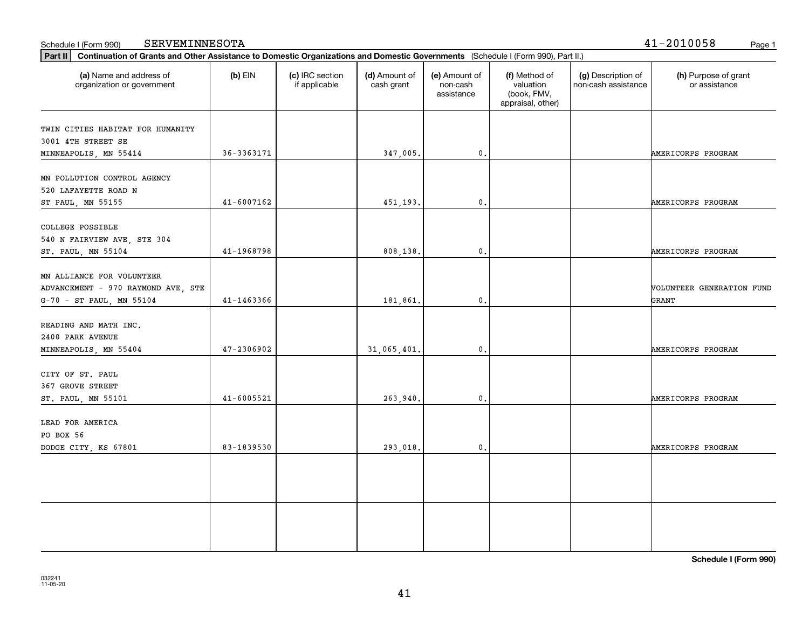| Schedule I (Form 990) |  |
|-----------------------|--|
|                       |  |

| (a) Name and address of<br>organization or government | $(b)$ EIN      | (c) IRC section<br>if applicable | (d) Amount of<br>cash grant | (e) Amount of<br>non-cash<br>assistance | (f) Method of<br>valuation<br>(book, FMV,<br>appraisal, other) | (g) Description of<br>non-cash assistance | (h) Purpose of grant<br>or assistance |
|-------------------------------------------------------|----------------|----------------------------------|-----------------------------|-----------------------------------------|----------------------------------------------------------------|-------------------------------------------|---------------------------------------|
| TWIN CITIES HABITAT FOR HUMANITY                      |                |                                  |                             |                                         |                                                                |                                           |                                       |
| 3001 4TH STREET SE                                    |                |                                  |                             |                                         |                                                                |                                           |                                       |
| MINNEAPOLIS, MN 55414                                 | 36-3363171     |                                  | 347,005.                    | $\mathbf{0}$ .                          |                                                                |                                           | AMERICORPS PROGRAM                    |
| MN POLLUTION CONTROL AGENCY                           |                |                                  |                             |                                         |                                                                |                                           |                                       |
| 520 LAFAYETTE ROAD N                                  |                |                                  |                             |                                         |                                                                |                                           |                                       |
| ST PAUL, MN 55155                                     | $41 - 6007162$ |                                  | 451,193.                    | $\mathfrak o$ .                         |                                                                |                                           | AMERICORPS PROGRAM                    |
| COLLEGE POSSIBLE                                      |                |                                  |                             |                                         |                                                                |                                           |                                       |
| 540 N FAIRVIEW AVE, STE 304                           |                |                                  |                             |                                         |                                                                |                                           |                                       |
| ST. PAUL, MN 55104                                    | 41-1968798     |                                  | 808,138.                    | $\mathbf{0}$ .                          |                                                                |                                           | AMERICORPS PROGRAM                    |
| MN ALLIANCE FOR VOLUNTEER                             |                |                                  |                             |                                         |                                                                |                                           |                                       |
| ADVANCEMENT - 970 RAYMOND AVE, STE                    |                |                                  |                             |                                         |                                                                |                                           | VOLUNTEER GENERATION FUND             |
| G-70 - ST PAUL, MN 55104                              | 41-1463366     |                                  | 181,861.                    | $\mathfrak{o}$ .                        |                                                                |                                           | GRANT                                 |
| READING AND MATH INC.                                 |                |                                  |                             |                                         |                                                                |                                           |                                       |
| 2400 PARK AVENUE                                      |                |                                  |                             |                                         |                                                                |                                           |                                       |
| MINNEAPOLIS, MN 55404                                 | 47-2306902     |                                  | 31,065,401                  | $\mathfrak o$ .                         |                                                                |                                           | AMERICORPS PROGRAM                    |
| CITY OF ST. PAUL                                      |                |                                  |                             |                                         |                                                                |                                           |                                       |
| 367 GROVE STREET                                      |                |                                  |                             |                                         |                                                                |                                           |                                       |
| ST. PAUL, MN 55101                                    | 41-6005521     |                                  | 263,940.                    | $\mathbf 0$ .                           |                                                                |                                           | AMERICORPS PROGRAM                    |
| LEAD FOR AMERICA                                      |                |                                  |                             |                                         |                                                                |                                           |                                       |
| PO BOX 56                                             |                |                                  |                             |                                         |                                                                |                                           |                                       |
| DODGE CITY, KS 67801                                  | 83-1839530     |                                  | 293,018.                    | $\mathbf{0}$ .                          |                                                                |                                           | AMERICORPS PROGRAM                    |
|                                                       |                |                                  |                             |                                         |                                                                |                                           |                                       |
|                                                       |                |                                  |                             |                                         |                                                                |                                           |                                       |
|                                                       |                |                                  |                             |                                         |                                                                |                                           |                                       |
|                                                       |                |                                  |                             |                                         |                                                                |                                           |                                       |
|                                                       |                |                                  |                             |                                         |                                                                |                                           |                                       |

41

**Part II Continuation of Grants and Other Assistance to Domestic Organizations and Domestic Governments**  (Schedule I (Form 990), Part II.)

#### Schedule I (Form 990) Page 1 SERVEMINNESOTA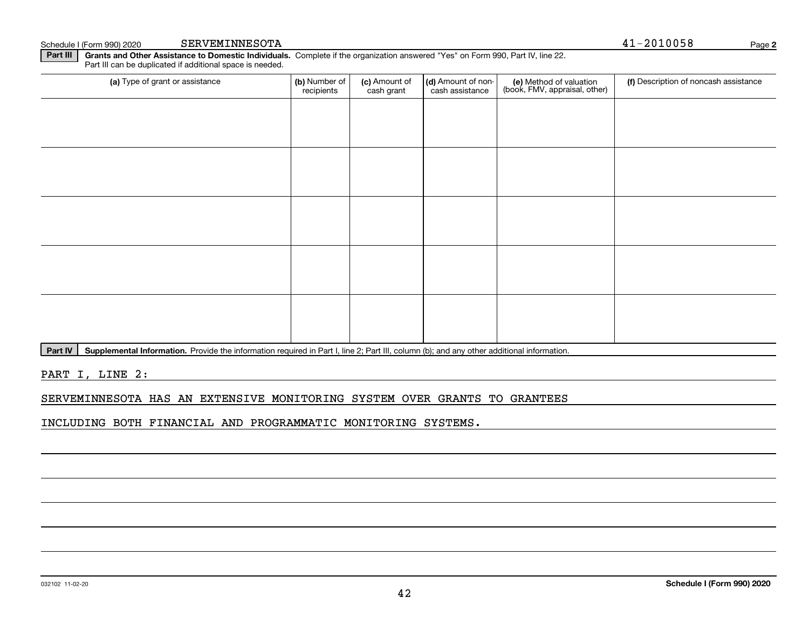## **Part III** | Grants and Other Assistance to Domestic Individuals. Complete if the organization answered "Yes" on Form 990, Part IV, line 22.

(a) Type of grant or assistance **(b)** Number of **(c)** Amount of **(d)** Amount of non-**(e)** Method of valuation (f)<br>cash are continuous cash are cash assistance (book, FMV, appraisal, other) Part III can be duplicated if additional space is needed. (a) Type of grant or assistance (b) Number of recipients(c) Amount of cash grant (d) Amount of noncash assistance (f) Description of noncash assistance

Part IV | Supplemental Information. Provide the information required in Part I, line 2; Part III, column (b); and any other additional information.

PART I, LINE 2:

## SERVEMINNESOTA HAS AN EXTENSIVE MONITORING SYSTEM OVER GRANTS TO GRANTEES

INCLUDING BOTH FINANCIAL AND PROGRAMMATIC MONITORING SYSTEMS.

Schedule I (Form 990) 2020 SERVEMINNESOTA 4 1-2 0 1 0 0 5 8 Page

**2**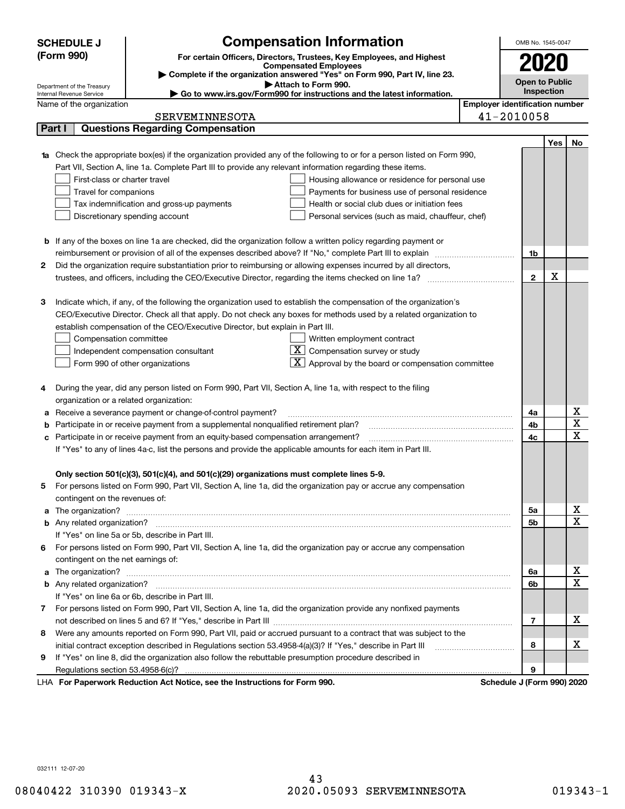|   | <b>Compensation Information</b><br><b>SCHEDULE J</b>                                                                             |                                       | OMB No. 1545-0047          |            |              |
|---|----------------------------------------------------------------------------------------------------------------------------------|---------------------------------------|----------------------------|------------|--------------|
|   | (Form 990)<br>For certain Officers, Directors, Trustees, Key Employees, and Highest                                              |                                       | 2020                       |            |              |
|   | <b>Compensated Employees</b>                                                                                                     |                                       |                            |            |              |
|   | Complete if the organization answered "Yes" on Form 990, Part IV, line 23.<br>Attach to Form 990.                                |                                       | <b>Open to Public</b>      |            |              |
|   | Department of the Treasury<br>Go to www.irs.gov/Form990 for instructions and the latest information.<br>Internal Revenue Service |                                       |                            | Inspection |              |
|   | Name of the organization                                                                                                         | <b>Employer identification number</b> |                            |            |              |
|   | SERVEMINNESOTA                                                                                                                   |                                       | 41-2010058                 |            |              |
|   | <b>Questions Regarding Compensation</b><br>Part I                                                                                |                                       |                            |            |              |
|   |                                                                                                                                  |                                       |                            | Yes        | No           |
|   | Check the appropriate box(es) if the organization provided any of the following to or for a person listed on Form 990,           |                                       |                            |            |              |
|   | Part VII, Section A, line 1a. Complete Part III to provide any relevant information regarding these items.                       |                                       |                            |            |              |
|   | First-class or charter travel<br>Housing allowance or residence for personal use                                                 |                                       |                            |            |              |
|   | Travel for companions<br>Payments for business use of personal residence                                                         |                                       |                            |            |              |
|   | Tax indemnification and gross-up payments<br>Health or social club dues or initiation fees                                       |                                       |                            |            |              |
|   | Discretionary spending account<br>Personal services (such as maid, chauffeur, chef)                                              |                                       |                            |            |              |
|   |                                                                                                                                  |                                       |                            |            |              |
|   | <b>b</b> If any of the boxes on line 1a are checked, did the organization follow a written policy regarding payment or           |                                       |                            |            |              |
|   | reimbursement or provision of all of the expenses described above? If "No," complete Part III to explain                         |                                       | 1b                         |            |              |
| 2 | Did the organization require substantiation prior to reimbursing or allowing expenses incurred by all directors,                 |                                       |                            |            |              |
|   |                                                                                                                                  |                                       | $\mathbf{2}$               | х          |              |
|   |                                                                                                                                  |                                       |                            |            |              |
| 3 | Indicate which, if any, of the following the organization used to establish the compensation of the organization's               |                                       |                            |            |              |
|   | CEO/Executive Director. Check all that apply. Do not check any boxes for methods used by a related organization to               |                                       |                            |            |              |
|   | establish compensation of the CEO/Executive Director, but explain in Part III.                                                   |                                       |                            |            |              |
|   | Compensation committee<br>Written employment contract                                                                            |                                       |                            |            |              |
|   | $\overline{\mathbf{X}}$ Compensation survey or study<br>Independent compensation consultant                                      |                                       |                            |            |              |
|   | $\lfloor \underline{X} \rfloor$ Approval by the board or compensation committee<br>Form 990 of other organizations               |                                       |                            |            |              |
|   |                                                                                                                                  |                                       |                            |            |              |
| 4 | During the year, did any person listed on Form 990, Part VII, Section A, line 1a, with respect to the filing                     |                                       |                            |            |              |
|   | organization or a related organization:                                                                                          |                                       |                            |            |              |
| а | Receive a severance payment or change-of-control payment?                                                                        |                                       | 4a                         |            | х            |
| b | Participate in or receive payment from a supplemental nonqualified retirement plan?                                              |                                       | 4b                         |            | X            |
| с | Participate in or receive payment from an equity-based compensation arrangement?                                                 |                                       | 4c                         |            | $\mathbf x$  |
|   | If "Yes" to any of lines 4a-c, list the persons and provide the applicable amounts for each item in Part III.                    |                                       |                            |            |              |
|   |                                                                                                                                  |                                       |                            |            |              |
|   | Only section 501(c)(3), 501(c)(4), and 501(c)(29) organizations must complete lines 5-9.                                         |                                       |                            |            |              |
|   | For persons listed on Form 990, Part VII, Section A, line 1a, did the organization pay or accrue any compensation                |                                       |                            |            |              |
|   | contingent on the revenues of:                                                                                                   |                                       |                            |            |              |
| a |                                                                                                                                  |                                       | 5а                         |            | x            |
|   |                                                                                                                                  |                                       | <b>5b</b>                  |            | X            |
|   | If "Yes" on line 5a or 5b, describe in Part III.                                                                                 |                                       |                            |            |              |
|   | 6 For persons listed on Form 990, Part VII, Section A, line 1a, did the organization pay or accrue any compensation              |                                       |                            |            |              |
|   | contingent on the net earnings of:                                                                                               |                                       |                            |            |              |
| a |                                                                                                                                  |                                       | 6a                         |            | х            |
|   |                                                                                                                                  |                                       | 6b                         |            | $\mathbf{x}$ |
|   | If "Yes" on line 6a or 6b, describe in Part III.                                                                                 |                                       |                            |            |              |
|   | 7 For persons listed on Form 990, Part VII, Section A, line 1a, did the organization provide any nonfixed payments               |                                       |                            |            |              |
|   |                                                                                                                                  |                                       | 7                          |            | x            |
|   | 8 Were any amounts reported on Form 990, Part VII, paid or accrued pursuant to a contract that was subject to the                |                                       |                            |            |              |
|   | initial contract exception described in Regulations section 53.4958-4(a)(3)? If "Yes," describe in Part III                      |                                       | 8                          |            | х            |
| 9 | If "Yes" on line 8, did the organization also follow the rebuttable presumption procedure described in                           |                                       |                            |            |              |
|   | Regulations section 53.4958-6(c)?                                                                                                |                                       | 9                          |            |              |
|   | LHA For Paperwork Reduction Act Notice, see the Instructions for Form 990.                                                       |                                       | Schedule J (Form 990) 2020 |            |              |

032111 12-07-20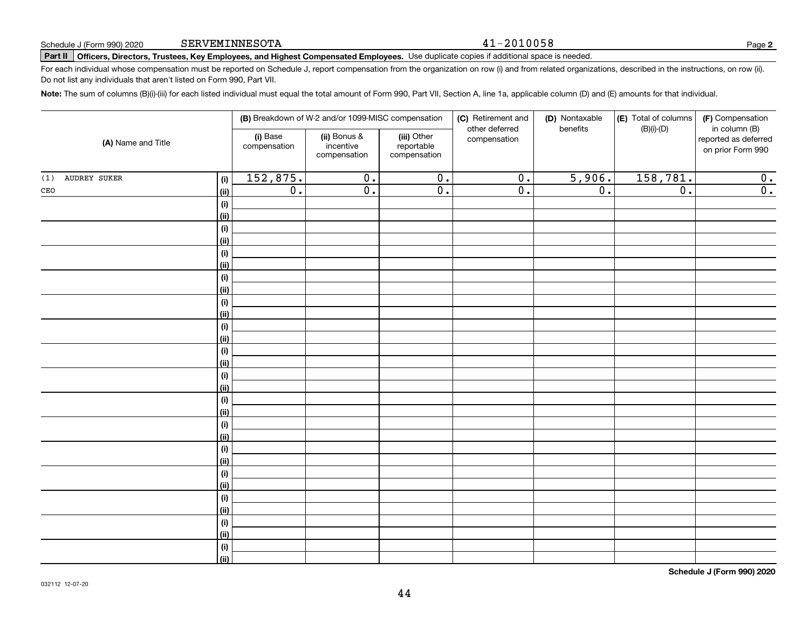#### 41-2010058

**2**

# **Part II Officers, Directors, Trustees, Key Employees, and Highest Compensated Employees.**  Schedule J (Form 990) 2020 Page Use duplicate copies if additional space is needed.

For each individual whose compensation must be reported on Schedule J, report compensation from the organization on row (i) and from related organizations, described in the instructions, on row (ii). Do not list any individuals that aren't listed on Form 990, Part VII.

**Note:**  The sum of columns (B)(i)-(iii) for each listed individual must equal the total amount of Form 990, Part VII, Section A, line 1a, applicable column (D) and (E) amounts for that individual.

| (A) Name and Title  |                    | (B) Breakdown of W-2 and/or 1099-MISC compensation |                                                                                                                          |                           | (C) Retirement and | (D) Nontaxable   | (E) Total of columns                                       | (F) Compensation |
|---------------------|--------------------|----------------------------------------------------|--------------------------------------------------------------------------------------------------------------------------|---------------------------|--------------------|------------------|------------------------------------------------------------|------------------|
|                     |                    | (i) Base<br>compensation                           | other deferred<br>(ii) Bonus &<br>(iii) Other<br>compensation<br>incentive<br>reportable<br>compensation<br>compensation |                           | benefits           | $(B)(i)$ - $(D)$ | in column (B)<br>reported as deferred<br>on prior Form 990 |                  |
| AUDREY SUKER<br>(1) | (i)                | 152,875.                                           | $\overline{0}$ .                                                                                                         | $\overline{\mathbf{0}}$ . | $\overline{0}$ .   | 5,906.           | 158,781.                                                   | 0.               |
| $\mathtt{CEO}$      | (ii)               | $\overline{0}$ .                                   | $\overline{0}$ .                                                                                                         | $\overline{0}$ .          | $\overline{0}$ .   | $\overline{0}$ . | $\overline{0}$ .                                           | $\overline{0}$ . |
|                     | $(\sf{i})$         |                                                    |                                                                                                                          |                           |                    |                  |                                                            |                  |
|                     | (ii)               |                                                    |                                                                                                                          |                           |                    |                  |                                                            |                  |
|                     | $(\sf{i})$         |                                                    |                                                                                                                          |                           |                    |                  |                                                            |                  |
|                     | (ii)               |                                                    |                                                                                                                          |                           |                    |                  |                                                            |                  |
|                     | $(\sf{i})$         |                                                    |                                                                                                                          |                           |                    |                  |                                                            |                  |
|                     | (ii)               |                                                    |                                                                                                                          |                           |                    |                  |                                                            |                  |
|                     | $(\sf{i})$         |                                                    |                                                                                                                          |                           |                    |                  |                                                            |                  |
|                     | (ii)               |                                                    |                                                                                                                          |                           |                    |                  |                                                            |                  |
|                     | $(\sf{i})$         |                                                    |                                                                                                                          |                           |                    |                  |                                                            |                  |
|                     | (ii)               |                                                    |                                                                                                                          |                           |                    |                  |                                                            |                  |
|                     | $(\sf{i})$         |                                                    |                                                                                                                          |                           |                    |                  |                                                            |                  |
|                     | (ii)               |                                                    |                                                                                                                          |                           |                    |                  |                                                            |                  |
|                     | $(\sf{i})$         |                                                    |                                                                                                                          |                           |                    |                  |                                                            |                  |
|                     | (ii)               |                                                    |                                                                                                                          |                           |                    |                  |                                                            |                  |
|                     | $(\sf{i})$         |                                                    |                                                                                                                          |                           |                    |                  |                                                            |                  |
|                     | (ii)               |                                                    |                                                                                                                          |                           |                    |                  |                                                            |                  |
|                     | $(\sf{i})$<br>(ii) |                                                    |                                                                                                                          |                           |                    |                  |                                                            |                  |
|                     | $(\sf{i})$         |                                                    |                                                                                                                          |                           |                    |                  |                                                            |                  |
|                     | (ii)               |                                                    |                                                                                                                          |                           |                    |                  |                                                            |                  |
|                     | $(\sf{i})$         |                                                    |                                                                                                                          |                           |                    |                  |                                                            |                  |
|                     | (ii)               |                                                    |                                                                                                                          |                           |                    |                  |                                                            |                  |
|                     | $(\sf{i})$         |                                                    |                                                                                                                          |                           |                    |                  |                                                            |                  |
|                     | (ii)               |                                                    |                                                                                                                          |                           |                    |                  |                                                            |                  |
|                     | $(\sf{i})$         |                                                    |                                                                                                                          |                           |                    |                  |                                                            |                  |
|                     | (ii)               |                                                    |                                                                                                                          |                           |                    |                  |                                                            |                  |
|                     | $(\sf{i})$         |                                                    |                                                                                                                          |                           |                    |                  |                                                            |                  |
|                     | (ii)               |                                                    |                                                                                                                          |                           |                    |                  |                                                            |                  |
|                     | $(\sf{i})$         |                                                    |                                                                                                                          |                           |                    |                  |                                                            |                  |
|                     | (ii)               |                                                    |                                                                                                                          |                           |                    |                  |                                                            |                  |

**Schedule J (Form 990) 2020**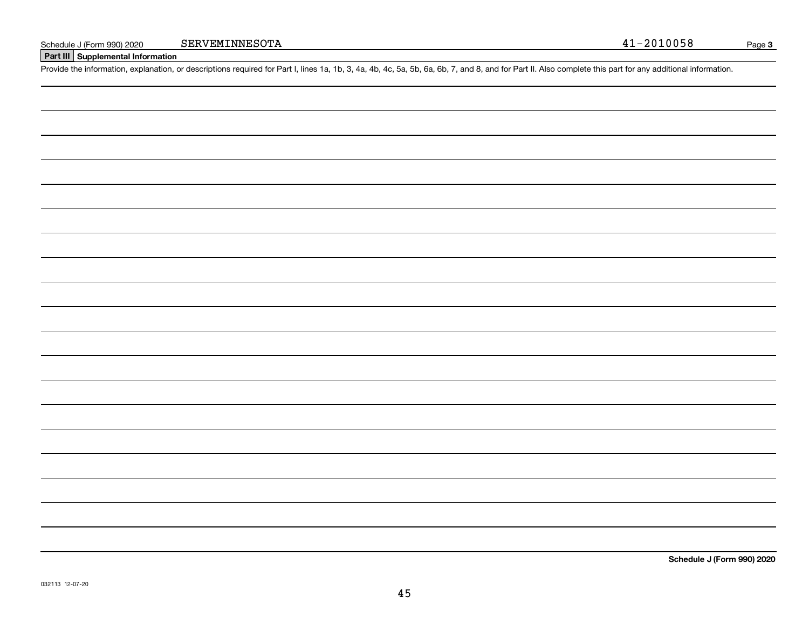#### **Part III Supplemental Information**

Schedule J (Form 990) 2020 SERVEMINNESOTA<br>
Part III Supplemental Information<br>
Provide the information, explanation, or descriptions required for Part I, lines 1a, 1b, 3, 4a, 4b, 4c, 5a, 5b, 6a, 6b, 7, and 8, and for Part I

**Schedule J (Form 990) 2020**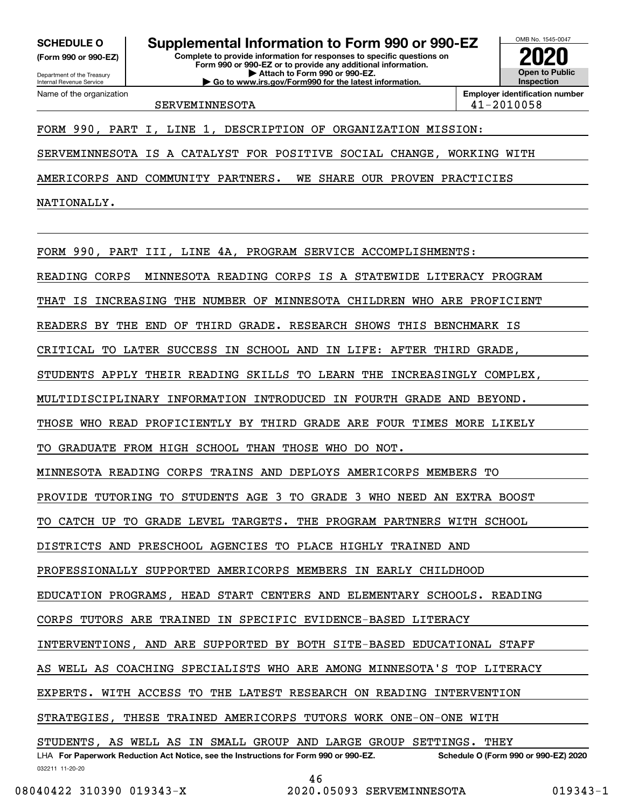**(Form 990 or 990-EZ)**

Department of the Treasury Internal Revenue Service Name of the organization

**Complete to provide information for responses to specific questions on Form 990 or 990-EZ or to provide any additional information. | Attach to Form 990 or 990-EZ. | Go to www.irs.gov/Form990 for the latest information. SCHEDULE O Supplemental Information to Form 990 or 990-EZ**

**Open to Public InspectionEmployer identification number 2020**

OMB No. 1545-0047

SERVEMINNESOTA 41-2010058

FORM 990, PART I, LINE 1, DESCRIPTION OF ORGANIZATION MISSION:

SERVEMINNESOTA IS A CATALYST FOR POSITIVE SOCIAL CHANGE, WORKING WITH

AMERICORPS AND COMMUNITY PARTNERS. WE SHARE OUR PROVEN PRACTICIES

NATIONALLY.

FORM 990, PART III, LINE 4A, PROGRAM SERVICE ACCOMPLISHMENTS:

READING CORPS MINNESOTA READING CORPS IS A STATEWIDE LITERACY PROGRAM

THAT IS INCREASING THE NUMBER OF MINNESOTA CHILDREN WHO ARE PROFICIENT

READERS BY THE END OF THIRD GRADE. RESEARCH SHOWS THIS BENCHMARK IS

CRITICAL TO LATER SUCCESS IN SCHOOL AND IN LIFE: AFTER THIRD GRADE,

STUDENTS APPLY THEIR READING SKILLS TO LEARN THE INCREASINGLY COMPLEX,

MULTIDISCIPLINARY INFORMATION INTRODUCED IN FOURTH GRADE AND BEYOND.

THOSE WHO READ PROFICIENTLY BY THIRD GRADE ARE FOUR TIMES MORE LIKELY

TO GRADUATE FROM HIGH SCHOOL THAN THOSE WHO DO NOT.

MINNESOTA READING CORPS TRAINS AND DEPLOYS AMERICORPS MEMBERS TO

PROVIDE TUTORING TO STUDENTS AGE 3 TO GRADE 3 WHO NEED AN EXTRA BOOST

TO CATCH UP TO GRADE LEVEL TARGETS. THE PROGRAM PARTNERS WITH SCHOOL

DISTRICTS AND PRESCHOOL AGENCIES TO PLACE HIGHLY TRAINED AND

PROFESSIONALLY SUPPORTED AMERICORPS MEMBERS IN EARLY CHILDHOOD

EDUCATION PROGRAMS, HEAD START CENTERS AND ELEMENTARY SCHOOLS. READING

CORPS TUTORS ARE TRAINED IN SPECIFIC EVIDENCE-BASED LITERACY

INTERVENTIONS, AND ARE SUPPORTED BY BOTH SITE-BASED EDUCATIONAL STAFF

AS WELL AS COACHING SPECIALISTS WHO ARE AMONG MINNESOTA'S TOP LITERACY

EXPERTS. WITH ACCESS TO THE LATEST RESEARCH ON READING INTERVENTION

STRATEGIES, THESE TRAINED AMERICORPS TUTORS WORK ONE-ON-ONE WITH

STUDENTS, AS WELL AS IN SMALL GROUP AND LARGE GROUP SETTINGS. THEY

032211 11-20-20 LHA For Paperwork Reduction Act Notice, see the Instructions for Form 990 or 990-EZ. Schedule O (Form 990 or 990-EZ) 2020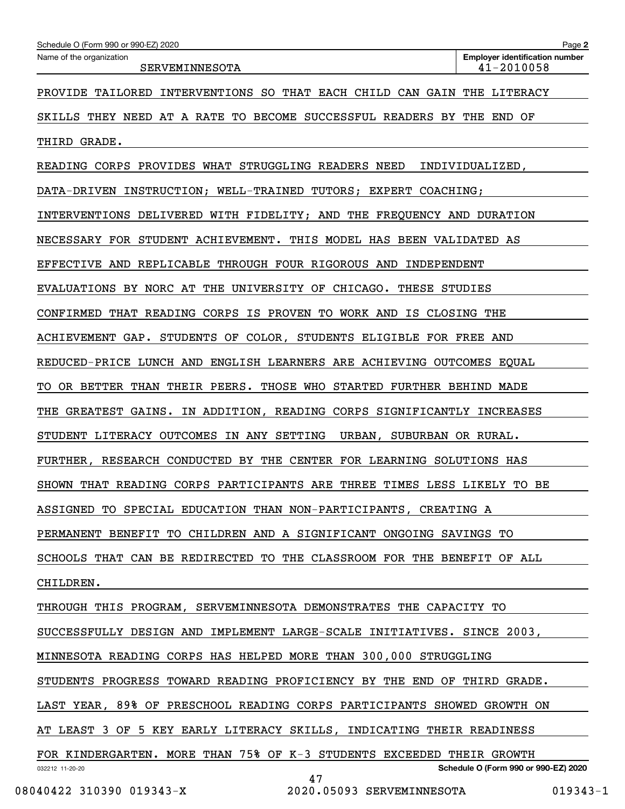| Schedule O (Form 990 or 990-EZ) 2020                                     | Page 2                                              |
|--------------------------------------------------------------------------|-----------------------------------------------------|
| Name of the organization<br>SERVEMINNESOTA                               | <b>Employer identification number</b><br>41-2010058 |
| PROVIDE TAILORED INTERVENTIONS SO THAT EACH CHILD CAN GAIN THE LITERACY  |                                                     |
| SKILLS THEY NEED AT A RATE TO BECOME SUCCESSFUL READERS BY THE END OF    |                                                     |
| THIRD GRADE.                                                             |                                                     |
| READING CORPS PROVIDES WHAT STRUGGLING READERS NEED                      | INDIVIDUALIZED,                                     |
| DATA-DRIVEN INSTRUCTION; WELL-TRAINED TUTORS; EXPERT COACHING;           |                                                     |
| INTERVENTIONS DELIVERED WITH FIDELITY; AND THE FREQUENCY AND DURATION    |                                                     |
| NECESSARY FOR STUDENT ACHIEVEMENT. THIS MODEL HAS BEEN VALIDATED AS      |                                                     |
| EFFECTIVE AND REPLICABLE THROUGH FOUR RIGOROUS AND INDEPENDENT           |                                                     |
| EVALUATIONS BY NORC AT THE UNIVERSITY OF CHICAGO. THESE STUDIES          |                                                     |
| CONFIRMED THAT READING CORPS IS PROVEN TO WORK AND IS CLOSING THE        |                                                     |
| ACHIEVEMENT GAP. STUDENTS OF COLOR, STUDENTS ELIGIBLE FOR FREE AND       |                                                     |
| REDUCED-PRICE LUNCH AND ENGLISH LEARNERS ARE ACHIEVING OUTCOMES EQUAL    |                                                     |
| OR BETTER THAN THEIR PEERS. THOSE WHO STARTED FURTHER BEHIND MADE<br>TO. |                                                     |
| THE GREATEST GAINS. IN ADDITION, READING CORPS SIGNIFICANTLY INCREASES   |                                                     |
| STUDENT LITERACY OUTCOMES IN ANY SETTING<br>URBAN, SUBURBAN OR RURAL.    |                                                     |
| FURTHER, RESEARCH CONDUCTED BY THE CENTER FOR LEARNING SOLUTIONS HAS     |                                                     |
| SHOWN THAT READING CORPS PARTICIPANTS ARE THREE TIMES LESS LIKELY TO BE  |                                                     |
| ASSIGNED TO SPECIAL EDUCATION THAN NON-PARTICIPANTS, CREATING A          |                                                     |
| PERMANENT BENEFIT TO CHILDREN AND A SIGNIFICANT ONGOING SAVINGS TO       |                                                     |
| SCHOOLS THAT CAN BE REDIRECTED TO THE CLASSROOM FOR THE BENEFIT OF ALL   |                                                     |
| CHILDREN.                                                                |                                                     |
| THROUGH THIS PROGRAM, SERVEMINNESOTA DEMONSTRATES THE CAPACITY TO        |                                                     |
| SUCCESSFULLY DESIGN AND IMPLEMENT LARGE-SCALE INITIATIVES. SINCE 2003,   |                                                     |
| MINNESOTA READING CORPS HAS HELPED MORE THAN 300,000 STRUGGLING          |                                                     |
| STUDENTS PROGRESS TOWARD READING PROFICIENCY BY THE END OF THIRD GRADE.  |                                                     |
| LAST YEAR, 89% OF PRESCHOOL READING CORPS PARTICIPANTS SHOWED GROWTH ON  |                                                     |
| AT LEAST 3 OF 5 KEY EARLY LITERACY SKILLS, INDICATING THEIR READINESS    |                                                     |
| FOR KINDERGARTEN. MORE THAN 75% OF K-3 STUDENTS EXCEEDED THEIR GROWTH    |                                                     |
| 032212 11-20-20<br>47                                                    | Schedule O (Form 990 or 990-EZ) 2020                |

 <sup>08040422 310390 019343-</sup>X 2020.05093 SERVEMINNESOTA 019343-1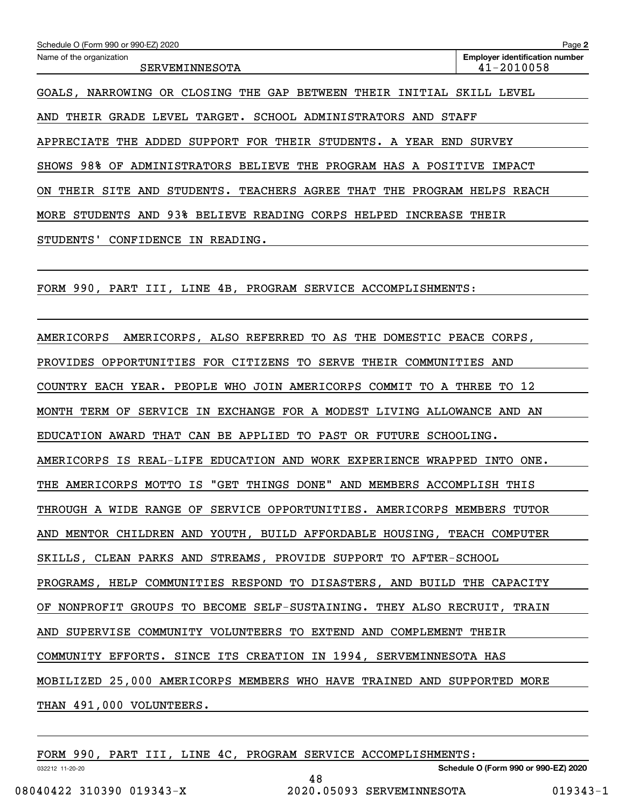| Schedule O (Form 990 or 990-EZ) 2020                                    | Page 2                                              |  |  |  |  |  |  |
|-------------------------------------------------------------------------|-----------------------------------------------------|--|--|--|--|--|--|
| Name of the organization<br><b>SERVEMINNESOTA</b>                       | <b>Employer identification number</b><br>41-2010058 |  |  |  |  |  |  |
| GOALS, NARROWING OR CLOSING THE GAP BETWEEN THEIR INITIAL SKILL LEVEL   |                                                     |  |  |  |  |  |  |
| AND THEIR GRADE LEVEL TARGET. SCHOOL ADMINISTRATORS AND STAFF           |                                                     |  |  |  |  |  |  |
| APPRECIATE THE ADDED SUPPORT FOR THEIR STUDENTS. A YEAR END SURVEY      |                                                     |  |  |  |  |  |  |
| SHOWS 98% OF ADMINISTRATORS BELIEVE THE PROGRAM HAS A POSITIVE IMPACT   |                                                     |  |  |  |  |  |  |
| ON THEIR SITE AND STUDENTS. TEACHERS AGREE THAT THE PROGRAM HELPS REACH |                                                     |  |  |  |  |  |  |
| MORE STUDENTS AND 93% BELIEVE READING CORPS HELPED INCREASE THEIR       |                                                     |  |  |  |  |  |  |
| STUDENTS' CONFIDENCE IN READING.                                        |                                                     |  |  |  |  |  |  |
|                                                                         |                                                     |  |  |  |  |  |  |
| FORM 990, PART III, LINE 4B, PROGRAM SERVICE ACCOMPLISHMENTS:           |                                                     |  |  |  |  |  |  |
|                                                                         |                                                     |  |  |  |  |  |  |
| AMERICORPS<br>AMERICORPS, ALSO REFERRED TO AS THE DOMESTIC PEACE CORPS, |                                                     |  |  |  |  |  |  |
| PROVIDES OPPORTUNITIES FOR CITIZENS TO SERVE THEIR COMMUNITIES AND      |                                                     |  |  |  |  |  |  |
| COUNTRY EACH YEAR. PEOPLE WHO JOIN AMERICORPS COMMIT TO A THREE TO 12   |                                                     |  |  |  |  |  |  |
| MONTH TERM OF SERVICE IN EXCHANGE FOR A MODEST LIVING ALLOWANCE AND AN  |                                                     |  |  |  |  |  |  |
| EDUCATION AWARD THAT CAN BE APPLIED TO PAST OR FUTURE SCHOOLING.        |                                                     |  |  |  |  |  |  |
| AMERICORPS IS REAL-LIFE EDUCATION AND WORK EXPERIENCE WRAPPED INTO ONE. |                                                     |  |  |  |  |  |  |
| THE AMERICORPS MOTTO IS "GET THINGS DONE" AND MEMBERS ACCOMPLISH THIS   |                                                     |  |  |  |  |  |  |
| THROUGH A WIDE RANGE OF SERVICE OPPORTUNITIES. AMERICORPS MEMBERS TUTOR |                                                     |  |  |  |  |  |  |
| AND MENTOR CHILDREN AND YOUTH, BUILD AFFORDABLE HOUSING, TEACH COMPUTER |                                                     |  |  |  |  |  |  |
| SKILLS, CLEAN PARKS AND STREAMS, PROVIDE SUPPORT TO AFTER-SCHOOL        |                                                     |  |  |  |  |  |  |
| PROGRAMS, HELP COMMUNITIES RESPOND TO DISASTERS, AND BUILD THE CAPACITY |                                                     |  |  |  |  |  |  |
| OF NONPROFIT GROUPS TO BECOME SELF-SUSTAINING. THEY ALSO RECRUIT, TRAIN |                                                     |  |  |  |  |  |  |
| AND SUPERVISE COMMUNITY VOLUNTEERS TO EXTEND AND COMPLEMENT THEIR       |                                                     |  |  |  |  |  |  |
| COMMUNITY EFFORTS. SINCE ITS CREATION IN 1994, SERVEMINNESOTA HAS       |                                                     |  |  |  |  |  |  |
| MOBILIZED 25,000 AMERICORPS MEMBERS WHO HAVE TRAINED AND SUPPORTED MORE |                                                     |  |  |  |  |  |  |
| THAN 491,000 VOLUNTEERS.                                                |                                                     |  |  |  |  |  |  |
|                                                                         |                                                     |  |  |  |  |  |  |

FORM 990, PART III, LINE 4C, PROGRAM SERVICE ACCOMPLISHMENTS:

**Schedule O (Form 990 or 990-EZ) 2020**

032212 11-20-20

48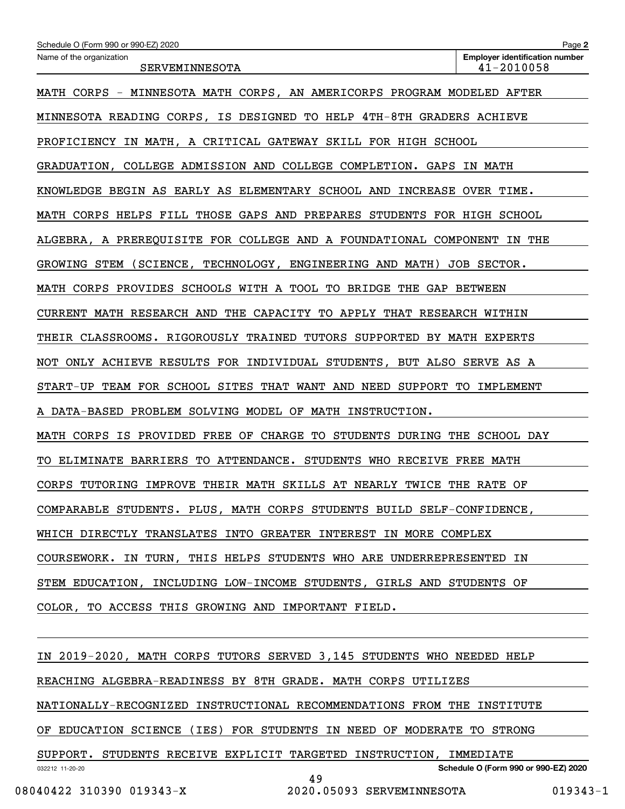| Schedule O (Form 990 or 990-EZ) 2020                                    | Page 2                                                        |  |  |  |  |  |  |
|-------------------------------------------------------------------------|---------------------------------------------------------------|--|--|--|--|--|--|
| Name of the organization<br>SERVEMINNESOTA                              | <b>Employer identification number</b><br>41-2010058           |  |  |  |  |  |  |
| MATH CORPS - MINNESOTA MATH CORPS, AN AMERICORPS PROGRAM MODELED AFTER  |                                                               |  |  |  |  |  |  |
| MINNESOTA READING CORPS, IS DESIGNED TO HELP 4TH-8TH GRADERS ACHIEVE    |                                                               |  |  |  |  |  |  |
|                                                                         | PROFICIENCY IN MATH, A CRITICAL GATEWAY SKILL FOR HIGH SCHOOL |  |  |  |  |  |  |
| GRADUATION, COLLEGE ADMISSION AND COLLEGE COMPLETION. GAPS IN MATH      |                                                               |  |  |  |  |  |  |
| KNOWLEDGE BEGIN AS EARLY AS ELEMENTARY SCHOOL AND INCREASE OVER TIME.   |                                                               |  |  |  |  |  |  |
| MATH CORPS HELPS FILL THOSE GAPS AND PREPARES STUDENTS FOR HIGH SCHOOL  |                                                               |  |  |  |  |  |  |
| ALGEBRA, A PREREQUISITE FOR COLLEGE AND A FOUNDATIONAL COMPONENT IN THE |                                                               |  |  |  |  |  |  |
| GROWING STEM (SCIENCE, TECHNOLOGY, ENGINEERING AND MATH) JOB SECTOR.    |                                                               |  |  |  |  |  |  |
| MATH CORPS PROVIDES SCHOOLS WITH A TOOL TO BRIDGE THE GAP BETWEEN       |                                                               |  |  |  |  |  |  |
| CURRENT MATH RESEARCH AND THE CAPACITY TO APPLY THAT RESEARCH WITHIN    |                                                               |  |  |  |  |  |  |
| THEIR CLASSROOMS. RIGOROUSLY TRAINED TUTORS SUPPORTED BY MATH EXPERTS   |                                                               |  |  |  |  |  |  |
| NOT ONLY ACHIEVE RESULTS FOR INDIVIDUAL STUDENTS, BUT ALSO SERVE AS A   |                                                               |  |  |  |  |  |  |
| START-UP TEAM FOR SCHOOL SITES THAT WANT AND NEED SUPPORT TO IMPLEMENT  |                                                               |  |  |  |  |  |  |
| A DATA-BASED PROBLEM SOLVING MODEL OF MATH INSTRUCTION.                 |                                                               |  |  |  |  |  |  |
| MATH CORPS IS PROVIDED FREE OF CHARGE TO STUDENTS DURING THE SCHOOL DAY |                                                               |  |  |  |  |  |  |
| TO ELIMINATE BARRIERS TO ATTENDANCE. STUDENTS WHO RECEIVE FREE MATH     |                                                               |  |  |  |  |  |  |
| CORPS TUTORING IMPROVE THEIR MATH SKILLS AT NEARLY TWICE THE RATE OF    |                                                               |  |  |  |  |  |  |
| COMPARABLE STUDENTS. PLUS, MATH CORPS STUDENTS BUILD SELF-CONFIDENCE,   |                                                               |  |  |  |  |  |  |
| WHICH DIRECTLY TRANSLATES INTO GREATER INTEREST IN MORE COMPLEX         |                                                               |  |  |  |  |  |  |
| COURSEWORK. IN TURN, THIS HELPS STUDENTS WHO ARE UNDERREPRESENTED IN    |                                                               |  |  |  |  |  |  |
| STEM EDUCATION, INCLUDING LOW-INCOME STUDENTS, GIRLS AND STUDENTS OF    |                                                               |  |  |  |  |  |  |
| COLOR, TO ACCESS THIS GROWING AND IMPORTANT FIELD.                      |                                                               |  |  |  |  |  |  |
| IN 2019-2020, MATH CORPS TUTORS SERVED 3,145 STUDENTS WHO NEEDED HELP   |                                                               |  |  |  |  |  |  |

REACHING ALGEBRA-READINESS BY 8TH GRADE. MATH CORPS UTILIZES

NATIONALLY-RECOGNIZED INSTRUCTIONAL RECOMMENDATIONS FROM THE INSTITUTE

OF EDUCATION SCIENCE (IES) FOR STUDENTS IN NEED OF MODERATE TO STRONG

032212 11-20-20 **Schedule O (Form 990 or 990-EZ) 2020** SUPPORT. STUDENTS RECEIVE EXPLICIT TARGETED INSTRUCTION, IMMEDIATE

49

08040422 310390 019343-X 2020.05093 SERVEMINNESOTA 019343-1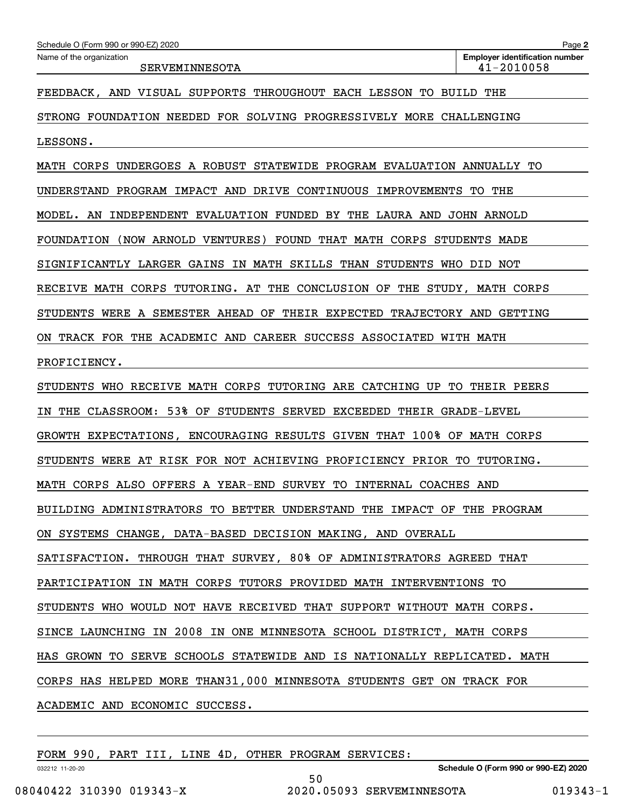| Schedule O (Form 990 or 990-EZ) 2020                                    | Page 2                                              |
|-------------------------------------------------------------------------|-----------------------------------------------------|
| Name of the organization<br><b>SERVEMINNESOTA</b>                       | <b>Employer identification number</b><br>41-2010058 |
| FEEDBACK, AND VISUAL SUPPORTS THROUGHOUT EACH LESSON TO BUILD THE       |                                                     |
| STRONG FOUNDATION NEEDED FOR SOLVING PROGRESSIVELY MORE CHALLENGING     |                                                     |
| LESSONS.                                                                |                                                     |
| MATH CORPS UNDERGOES A ROBUST STATEWIDE PROGRAM EVALUATION ANNUALLY TO  |                                                     |
| UNDERSTAND PROGRAM IMPACT AND DRIVE CONTINUOUS IMPROVEMENTS TO THE      |                                                     |
| MODEL. AN INDEPENDENT EVALUATION FUNDED BY THE LAURA AND JOHN ARNOLD    |                                                     |
| FOUNDATION (NOW ARNOLD VENTURES) FOUND THAT MATH CORPS STUDENTS MADE    |                                                     |
| SIGNIFICANTLY LARGER GAINS IN MATH SKILLS THAN STUDENTS WHO DID NOT     |                                                     |
| RECEIVE MATH CORPS TUTORING. AT THE CONCLUSION OF THE STUDY, MATH CORPS |                                                     |
| STUDENTS WERE A SEMESTER AHEAD OF THEIR EXPECTED TRAJECTORY AND GETTING |                                                     |
| ON TRACK FOR THE ACADEMIC AND CAREER SUCCESS ASSOCIATED WITH MATH       |                                                     |
| PROFICIENCY.                                                            |                                                     |
| STUDENTS WHO RECEIVE MATH CORPS TUTORING ARE CATCHING UP TO THEIR PEERS |                                                     |
| IN THE CLASSROOM: 53% OF STUDENTS SERVED EXCEEDED THEIR GRADE-LEVEL     |                                                     |
| GROWTH EXPECTATIONS, ENCOURAGING RESULTS GIVEN THAT 100% OF MATH CORPS  |                                                     |
| STUDENTS WERE AT RISK FOR NOT ACHIEVING PROFICIENCY PRIOR TO TUTORING.  |                                                     |
| MATH CORPS ALSO OFFERS A YEAR-END SURVEY TO INTERNAL COACHES AND        |                                                     |
| BUILDING ADMINISTRATORS TO BETTER UNDERSTAND THE IMPACT OF THE PROGRAM  |                                                     |
| ON SYSTEMS CHANGE, DATA-BASED DECISION MAKING, AND OVERALL              |                                                     |
| SATISFACTION. THROUGH THAT SURVEY, 80% OF ADMINISTRATORS AGREED THAT    |                                                     |
| PARTICIPATION IN MATH CORPS TUTORS PROVIDED MATH INTERVENTIONS TO       |                                                     |
| STUDENTS WHO WOULD NOT HAVE RECEIVED THAT SUPPORT WITHOUT MATH CORPS.   |                                                     |
| SINCE LAUNCHING IN 2008 IN ONE MINNESOTA SCHOOL DISTRICT, MATH CORPS    |                                                     |
| HAS GROWN TO SERVE SCHOOLS STATEWIDE AND IS NATIONALLY REPLICATED. MATH |                                                     |
| CORPS HAS HELPED MORE THAN31,000 MINNESOTA STUDENTS GET ON TRACK FOR    |                                                     |
| ACADEMIC AND ECONOMIC SUCCESS.                                          |                                                     |
|                                                                         |                                                     |

FORM 990, PART III, LINE 4D, OTHER PROGRAM SERVICES:

**Schedule O (Form 990 or 990-EZ) 2020**

032212 11-20-20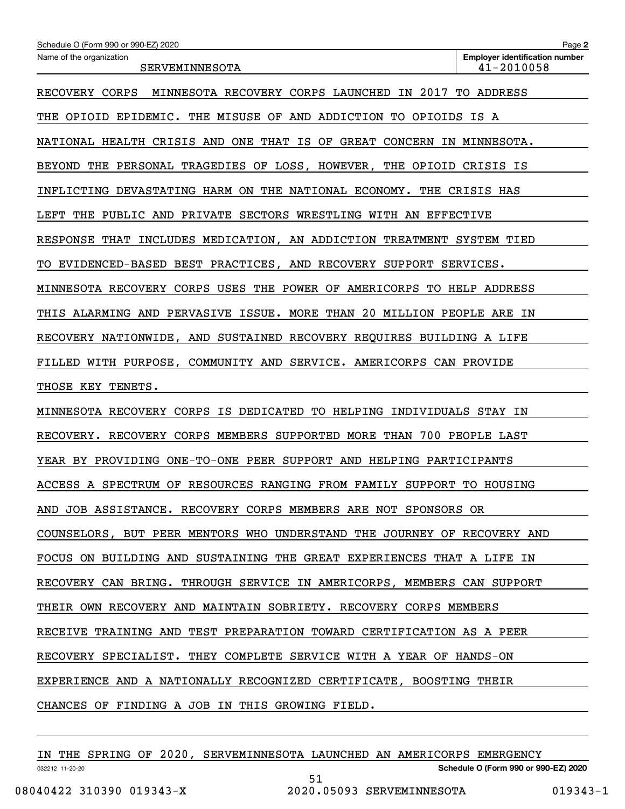| Schedule O (Form 990 or 990-EZ) 2020                                        | Page 2                                                       |  |  |  |  |  |  |  |
|-----------------------------------------------------------------------------|--------------------------------------------------------------|--|--|--|--|--|--|--|
| Name of the organization<br>SERVEMINNESOTA                                  | <b>Employer identification number</b><br>41-2010058          |  |  |  |  |  |  |  |
| IN 2017<br>RECOVERY CORPS<br>MINNESOTA RECOVERY CORPS LAUNCHED              | TO ADDRESS                                                   |  |  |  |  |  |  |  |
| THE                                                                         | OPIOID EPIDEMIC. THE MISUSE OF AND ADDICTION TO OPIOIDS IS A |  |  |  |  |  |  |  |
| NATIONAL HEALTH CRISIS AND ONE THAT<br>IS<br>OF GREAT CONCERN IN MINNESOTA. |                                                              |  |  |  |  |  |  |  |
| BEYOND THE PERSONAL TRAGEDIES OF LOSS, HOWEVER, THE OPIOID                  | CRISIS<br>IS                                                 |  |  |  |  |  |  |  |
| INFLICTING DEVASTATING HARM ON THE NATIONAL ECONOMY. THE CRISIS HAS         |                                                              |  |  |  |  |  |  |  |
| THE PUBLIC AND PRIVATE SECTORS WRESTLING WITH AN EFFECTIVE<br>LEFT          |                                                              |  |  |  |  |  |  |  |
| INCLUDES MEDICATION, AN ADDICTION TREATMENT SYSTEM TIED<br>RESPONSE THAT    |                                                              |  |  |  |  |  |  |  |
| EVIDENCED-BASED BEST PRACTICES, AND RECOVERY SUPPORT SERVICES.<br>TО        |                                                              |  |  |  |  |  |  |  |
| MINNESOTA RECOVERY CORPS USES<br>THE POWER OF AMERICORPS TO HELP ADDRESS    |                                                              |  |  |  |  |  |  |  |
| THIS ALARMING AND PERVASIVE ISSUE. MORE THAN 20 MILLION PEOPLE ARE          | ΙN                                                           |  |  |  |  |  |  |  |
| RECOVERY NATIONWIDE, AND SUSTAINED RECOVERY REQUIRES BUILDING A LIFE        |                                                              |  |  |  |  |  |  |  |
| FILLED WITH PURPOSE, COMMUNITY AND SERVICE. AMERICORPS CAN PROVIDE          |                                                              |  |  |  |  |  |  |  |
| TENETS.<br>THOSE KEY                                                        |                                                              |  |  |  |  |  |  |  |
| MINNESOTA RECOVERY CORPS<br>IS DEDICATED TO HELPING INDIVIDUALS STAY        | IN                                                           |  |  |  |  |  |  |  |
| RECOVERY. RECOVERY CORPS MEMBERS SUPPORTED MORE THAN 700 PEOPLE LAST        |                                                              |  |  |  |  |  |  |  |
| YEAR BY PROVIDING ONE-TO-ONE PEER SUPPORT AND HELPING PARTICIPANTS          |                                                              |  |  |  |  |  |  |  |
| ACCESS A SPECTRUM OF RESOURCES RANGING FROM FAMILY SUPPORT TO HOUSING       |                                                              |  |  |  |  |  |  |  |
| AND JOB ASSISTANCE. RECOVERY CORPS MEMBERS ARE NOT SPONSORS OR              |                                                              |  |  |  |  |  |  |  |
| COUNSELORS, BUT PEER MENTORS WHO UNDERSTAND THE JOURNEY OF RECOVERY AND     |                                                              |  |  |  |  |  |  |  |
| FOCUS ON BUILDING AND SUSTAINING THE GREAT EXPERIENCES THAT A LIFE IN       |                                                              |  |  |  |  |  |  |  |
| RECOVERY CAN BRING. THROUGH SERVICE IN AMERICORPS, MEMBERS CAN SUPPORT      |                                                              |  |  |  |  |  |  |  |
| THEIR OWN RECOVERY AND MAINTAIN SOBRIETY. RECOVERY CORPS MEMBERS            |                                                              |  |  |  |  |  |  |  |
| RECEIVE TRAINING AND TEST PREPARATION TOWARD CERTIFICATION AS A PEER        |                                                              |  |  |  |  |  |  |  |
| RECOVERY SPECIALIST. THEY COMPLETE SERVICE WITH A YEAR OF HANDS-ON          |                                                              |  |  |  |  |  |  |  |
| EXPERIENCE AND A NATIONALLY RECOGNIZED CERTIFICATE, BOOSTING THEIR          |                                                              |  |  |  |  |  |  |  |
| CHANCES OF FINDING A JOB IN THIS GROWING FIELD.                             |                                                              |  |  |  |  |  |  |  |

| TN |                 | THE SPRING OF 2020. |  | , SERVEMINNESOTA LAUNCHED AN AMERICORPS EMERGENCY |  |                                      |
|----|-----------------|---------------------|--|---------------------------------------------------|--|--------------------------------------|
|    | 032212 11-20-20 |                     |  |                                                   |  | Schedule O (Form 990 or 990-EZ) 2020 |
|    |                 |                     |  |                                                   |  |                                      |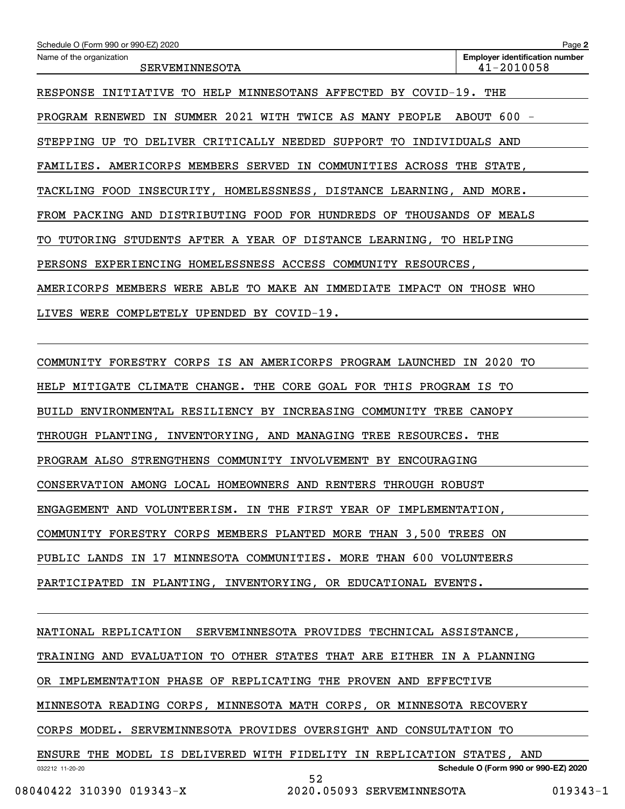| Schedule O (Form 990 or 990-EZ) 2020                                         | Page 2                                              |  |  |  |  |
|------------------------------------------------------------------------------|-----------------------------------------------------|--|--|--|--|
| Name of the organization<br><b>SERVEMINNESOTA</b>                            | <b>Employer identification number</b><br>41-2010058 |  |  |  |  |
| RESPONSE INITIATIVE TO HELP MINNESOTANS AFFECTED BY COVID-19. THE            |                                                     |  |  |  |  |
| PROGRAM RENEWED IN SUMMER 2021 WITH TWICE AS MANY PEOPLE                     | $ABOUT 600 -$                                       |  |  |  |  |
| STEPPING UP TO DELIVER CRITICALLY NEEDED SUPPORT TO INDIVIDUALS AND          |                                                     |  |  |  |  |
| AMERICORPS MEMBERS SERVED IN COMMUNITIES ACROSS THE STATE,<br>FAMILIES.      |                                                     |  |  |  |  |
| TACKLING FOOD INSECURITY, HOMELESSNESS, DISTANCE LEARNING, AND MORE.         |                                                     |  |  |  |  |
| FROM PACKING AND DISTRIBUTING FOOD FOR HUNDREDS OF THOUSANDS OF MEALS        |                                                     |  |  |  |  |
| TO TUTORING STUDENTS AFTER A YEAR OF DISTANCE LEARNING, TO HELPING           |                                                     |  |  |  |  |
| PERSONS EXPERIENCING HOMELESSNESS ACCESS COMMUNITY RESOURCES,                |                                                     |  |  |  |  |
| AMERICORPS MEMBERS WERE ABLE TO MAKE AN IMMEDIATE IMPACT ON THOSE WHO        |                                                     |  |  |  |  |
| LIVES WERE COMPLETELY UPENDED BY COVID-19.                                   |                                                     |  |  |  |  |
|                                                                              |                                                     |  |  |  |  |
| COMMUNITY FORESTRY CORPS IS AN AMERICORPS PROGRAM LAUNCHED                   | IN 2020 TO                                          |  |  |  |  |
| MITIGATE CLIMATE CHANGE. THE CORE GOAL FOR THIS PROGRAM IS TO<br><b>HELP</b> |                                                     |  |  |  |  |
| ----- -                                                                      |                                                     |  |  |  |  |

BUILD ENVIRONMENTAL RESILIENCY BY INCREASING COMMUNITY TREE CANOPY

THROUGH PLANTING, INVENTORYING, AND MANAGING TREE RESOURCES. THE

PROGRAM ALSO STRENGTHENS COMMUNITY INVOLVEMENT BY ENCOURAGING

CONSERVATION AMONG LOCAL HOMEOWNERS AND RENTERS THROUGH ROBUST

ENGAGEMENT AND VOLUNTEERISM. IN THE FIRST YEAR OF IMPLEMENTATION,

COMMUNITY FORESTRY CORPS MEMBERS PLANTED MORE THAN 3,500 TREES ON

PUBLIC LANDS IN 17 MINNESOTA COMMUNITIES. MORE THAN 600 VOLUNTEERS

PARTICIPATED IN PLANTING, INVENTORYING, OR EDUCATIONAL EVENTS.

NATIONAL REPLICATION SERVEMINNESOTA PROVIDES TECHNICAL ASSISTANCE,

TRAINING AND EVALUATION TO OTHER STATES THAT ARE EITHER IN A PLANNING

OR IMPLEMENTATION PHASE OF REPLICATING THE PROVEN AND EFFECTIVE

MINNESOTA READING CORPS, MINNESOTA MATH CORPS, OR MINNESOTA RECOVERY

CORPS MODEL. SERVEMINNESOTA PROVIDES OVERSIGHT AND CONSULTATION TO

032212 11-20-20 **Schedule O (Form 990 or 990-EZ) 2020** ENSURE THE MODEL IS DELIVERED WITH FIDELITY IN REPLICATION STATES, AND

52